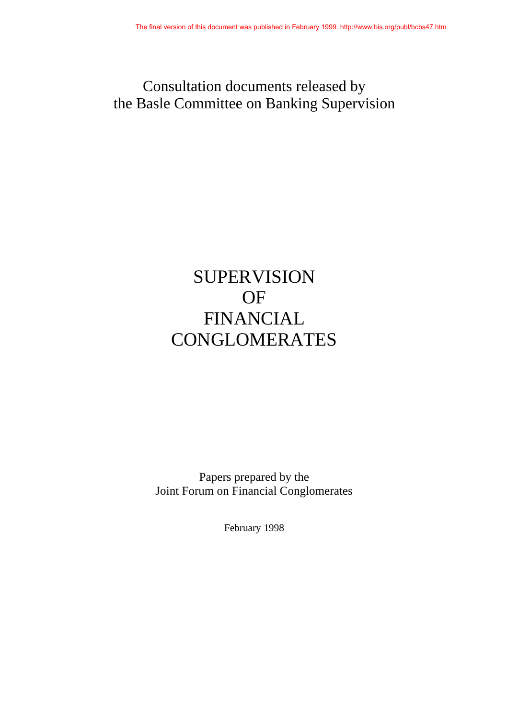## Consultation documents released by the Basle Committee on Banking Supervision

# SUPERVISION OF FINANCIAL **CONGLOMERATES**

Papers prepared by the Joint Forum on Financial Conglomerates

February 1998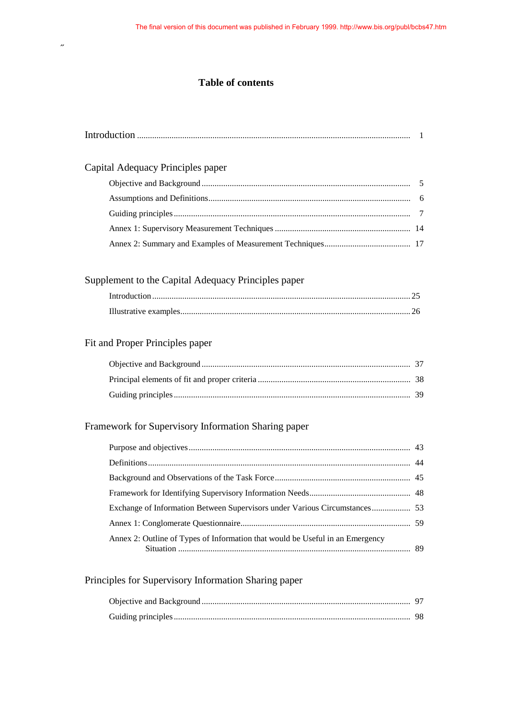### **Table of contents**

˝

| Capital Adequacy Principles paper                                             |  |
|-------------------------------------------------------------------------------|--|
|                                                                               |  |
|                                                                               |  |
|                                                                               |  |
|                                                                               |  |
|                                                                               |  |
| Supplement to the Capital Adequacy Principles paper                           |  |
|                                                                               |  |
|                                                                               |  |
| Fit and Proper Principles paper                                               |  |
|                                                                               |  |
|                                                                               |  |
|                                                                               |  |
| Framework for Supervisory Information Sharing paper                           |  |
|                                                                               |  |
|                                                                               |  |
|                                                                               |  |
|                                                                               |  |
| Exchange of Information Between Supervisors under Various Circumstances 53    |  |
|                                                                               |  |
| Annex 2: Outline of Types of Information that would be Useful in an Emergency |  |
| Principles for Supervisory Information Sharing paper                          |  |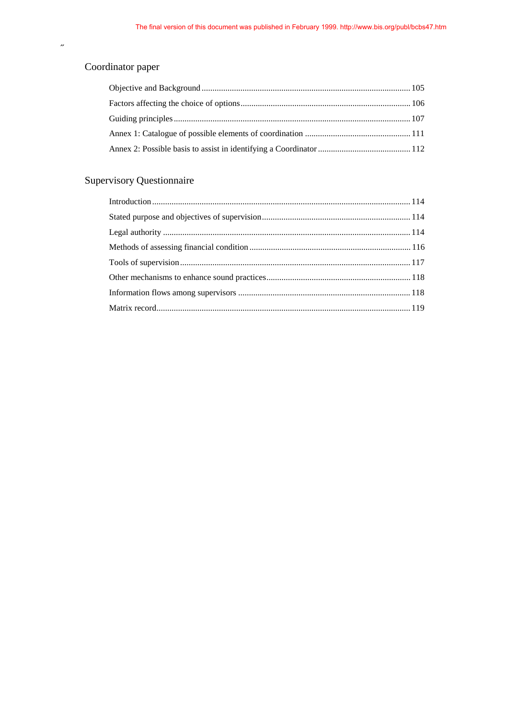### Coordinator paper

˝

### Supervisory Questionnaire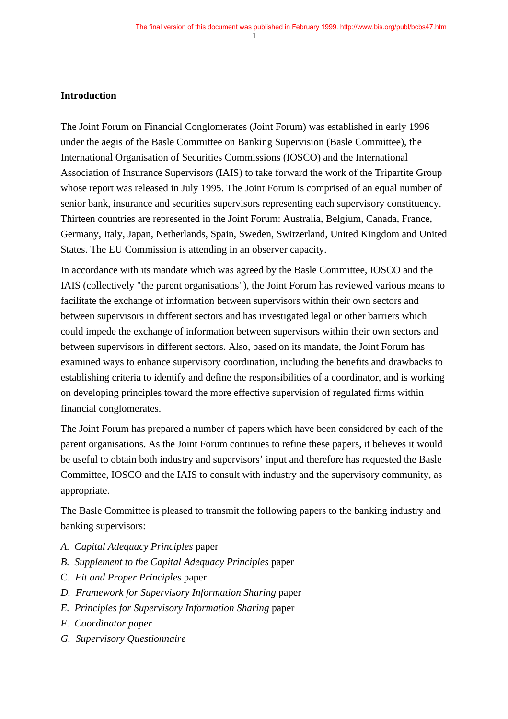#### **Introduction**

The Joint Forum on Financial Conglomerates (Joint Forum) was established in early 1996 under the aegis of the Basle Committee on Banking Supervision (Basle Committee), the International Organisation of Securities Commissions (IOSCO) and the International Association of Insurance Supervisors (IAIS) to take forward the work of the Tripartite Group whose report was released in July 1995. The Joint Forum is comprised of an equal number of senior bank, insurance and securities supervisors representing each supervisory constituency. Thirteen countries are represented in the Joint Forum: Australia, Belgium, Canada, France, Germany, Italy, Japan, Netherlands, Spain, Sweden, Switzerland, United Kingdom and United States. The EU Commission is attending in an observer capacity.

In accordance with its mandate which was agreed by the Basle Committee, IOSCO and the IAIS (collectively "the parent organisations"), the Joint Forum has reviewed various means to facilitate the exchange of information between supervisors within their own sectors and between supervisors in different sectors and has investigated legal or other barriers which could impede the exchange of information between supervisors within their own sectors and between supervisors in different sectors. Also, based on its mandate, the Joint Forum has examined ways to enhance supervisory coordination, including the benefits and drawbacks to establishing criteria to identify and define the responsibilities of a coordinator, and is working on developing principles toward the more effective supervision of regulated firms within financial conglomerates.

The Joint Forum has prepared a number of papers which have been considered by each of the parent organisations. As the Joint Forum continues to refine these papers, it believes it would be useful to obtain both industry and supervisors' input and therefore has requested the Basle Committee, IOSCO and the IAIS to consult with industry and the supervisory community, as appropriate.

The Basle Committee is pleased to transmit the following papers to the banking industry and banking supervisors:

- *A. Capital Adequacy Principles* paper
- *B. Supplement to the Capital Adequacy Principles* paper
- C. *Fit and Proper Principles* paper
- *D. Framework for Supervisory Information Sharing* paper
- *E. Principles for Supervisory Information Sharing* paper
- *F. Coordinator paper*
- *G. Supervisory Questionnaire*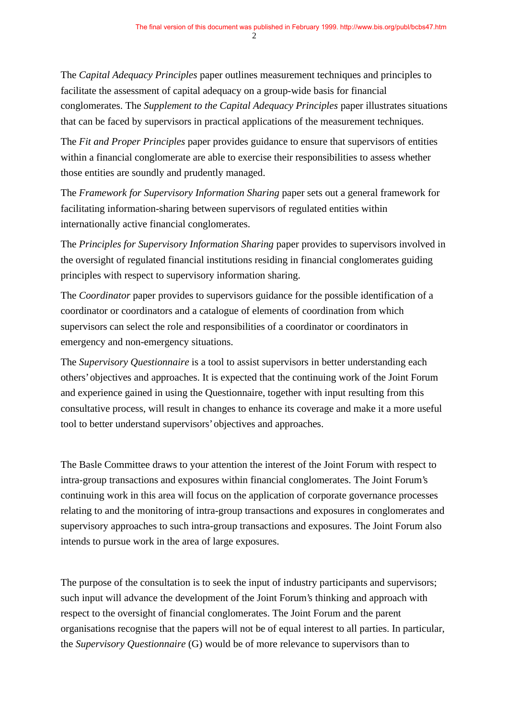The *Capital Adequacy Principles* paper outlines measurement techniques and principles to facilitate the assessment of capital adequacy on a group-wide basis for financial conglomerates. The *Supplement to the Capital Adequacy Principles* paper illustrates situations that can be faced by supervisors in practical applications of the measurement techniques.

The *Fit and Proper Principles* paper provides guidance to ensure that supervisors of entities within a financial conglomerate are able to exercise their responsibilities to assess whether those entities are soundly and prudently managed.

The *Framework for Supervisory Information Sharing* paper sets out a general framework for facilitating information-sharing between supervisors of regulated entities within internationally active financial conglomerates.

The *Principles for Supervisory Information Sharing* paper provides to supervisors involved in the oversight of regulated financial institutions residing in financial conglomerates guiding principles with respect to supervisory information sharing.

The *Coordinator* paper provides to supervisors guidance for the possible identification of a coordinator or coordinators and a catalogue of elements of coordination from which supervisors can select the role and responsibilities of a coordinator or coordinators in emergency and non-emergency situations.

The *Supervisory Questionnaire* is a tool to assist supervisors in better understanding each others' objectives and approaches. It is expected that the continuing work of the Joint Forum and experience gained in using the Questionnaire, together with input resulting from this consultative process, will result in changes to enhance its coverage and make it a more useful tool to better understand supervisors' objectives and approaches.

The Basle Committee draws to your attention the interest of the Joint Forum with respect to intra-group transactions and exposures within financial conglomerates. The Joint Forum's continuing work in this area will focus on the application of corporate governance processes relating to and the monitoring of intra-group transactions and exposures in conglomerates and supervisory approaches to such intra-group transactions and exposures. The Joint Forum also intends to pursue work in the area of large exposures.

The purpose of the consultation is to seek the input of industry participants and supervisors; such input will advance the development of the Joint Forum's thinking and approach with respect to the oversight of financial conglomerates. The Joint Forum and the parent organisations recognise that the papers will not be of equal interest to all parties. In particular, the *Supervisory Questionnaire* (G) would be of more relevance to supervisors than to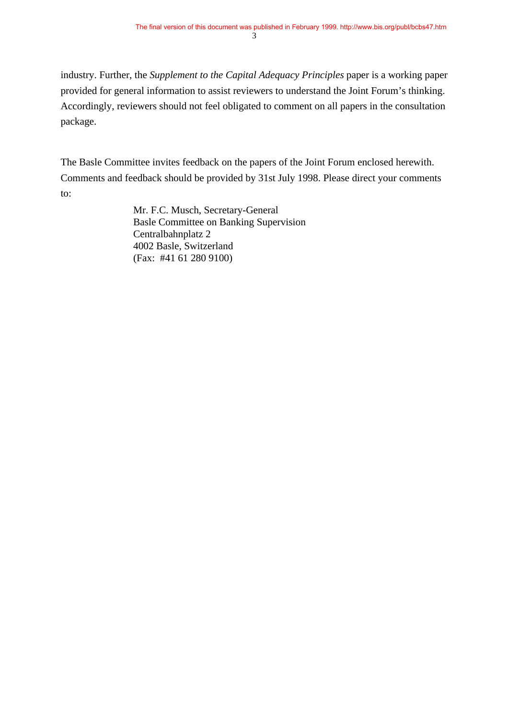industry. Further, the *Supplement to the Capital Adequacy Principles* paper is a working paper provided for general information to assist reviewers to understand the Joint Forum's thinking. Accordingly, reviewers should not feel obligated to comment on all papers in the consultation package.

The Basle Committee invites feedback on the papers of the Joint Forum enclosed herewith. Comments and feedback should be provided by 31st July 1998. Please direct your comments to:

> Mr. F.C. Musch, Secretary-General Basle Committee on Banking Supervision Centralbahnplatz 2 4002 Basle, Switzerland (Fax: #41 61 280 9100)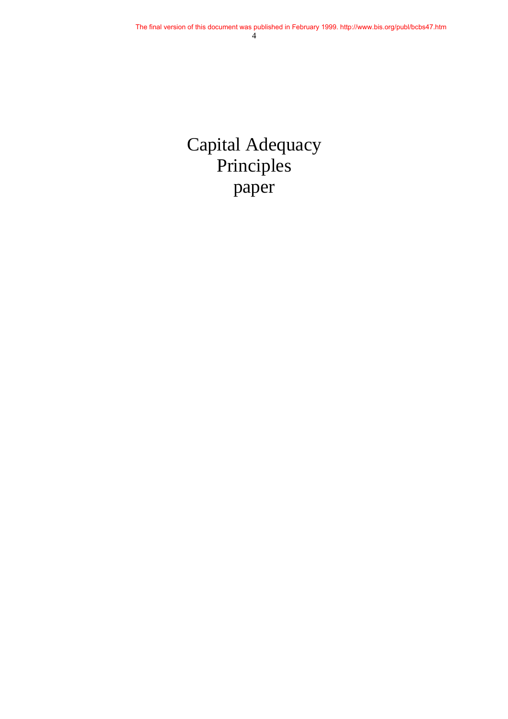# Capital Adequacy Principles paper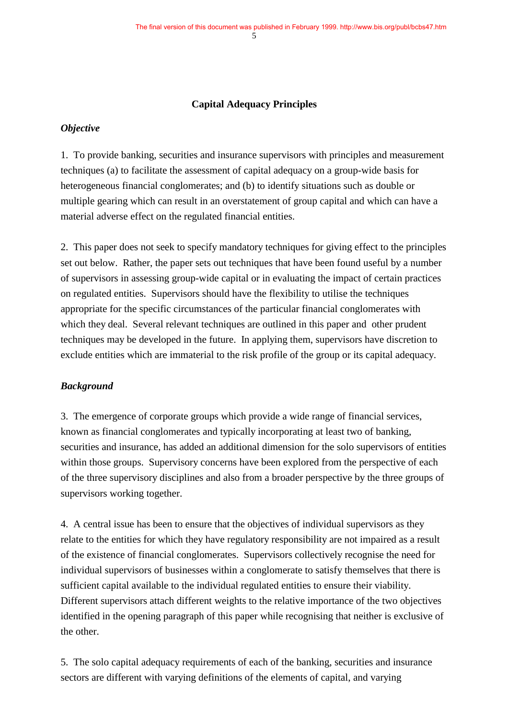#### **Capital Adequacy Principles**

#### *Objective*

1. To provide banking, securities and insurance supervisors with principles and measurement techniques (a) to facilitate the assessment of capital adequacy on a group-wide basis for heterogeneous financial conglomerates; and (b) to identify situations such as double or multiple gearing which can result in an overstatement of group capital and which can have a material adverse effect on the regulated financial entities.

2. This paper does not seek to specify mandatory techniques for giving effect to the principles set out below. Rather, the paper sets out techniques that have been found useful by a number of supervisors in assessing group-wide capital or in evaluating the impact of certain practices on regulated entities. Supervisors should have the flexibility to utilise the techniques appropriate for the specific circumstances of the particular financial conglomerates with which they deal. Several relevant techniques are outlined in this paper and other prudent techniques may be developed in the future. In applying them, supervisors have discretion to exclude entities which are immaterial to the risk profile of the group or its capital adequacy.

#### *Background*

3. The emergence of corporate groups which provide a wide range of financial services, known as financial conglomerates and typically incorporating at least two of banking, securities and insurance, has added an additional dimension for the solo supervisors of entities within those groups. Supervisory concerns have been explored from the perspective of each of the three supervisory disciplines and also from a broader perspective by the three groups of supervisors working together.

4. A central issue has been to ensure that the objectives of individual supervisors as they relate to the entities for which they have regulatory responsibility are not impaired as a result of the existence of financial conglomerates. Supervisors collectively recognise the need for individual supervisors of businesses within a conglomerate to satisfy themselves that there is sufficient capital available to the individual regulated entities to ensure their viability. Different supervisors attach different weights to the relative importance of the two objectives identified in the opening paragraph of this paper while recognising that neither is exclusive of the other.

5. The solo capital adequacy requirements of each of the banking, securities and insurance sectors are different with varying definitions of the elements of capital, and varying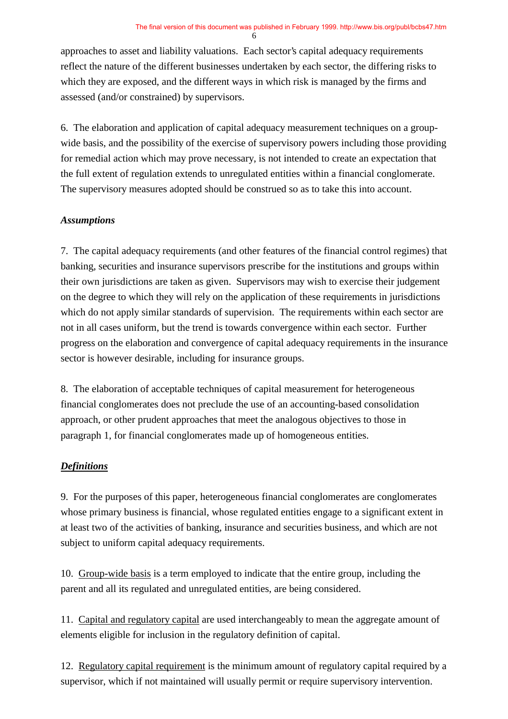approaches to asset and liability valuations. Each sector's capital adequacy requirements reflect the nature of the different businesses undertaken by each sector, the differing risks to which they are exposed, and the different ways in which risk is managed by the firms and assessed (and/or constrained) by supervisors.

6. The elaboration and application of capital adequacy measurement techniques on a groupwide basis, and the possibility of the exercise of supervisory powers including those providing for remedial action which may prove necessary, is not intended to create an expectation that the full extent of regulation extends to unregulated entities within a financial conglomerate. The supervisory measures adopted should be construed so as to take this into account.

### *Assumptions*

7. The capital adequacy requirements (and other features of the financial control regimes) that banking, securities and insurance supervisors prescribe for the institutions and groups within their own jurisdictions are taken as given. Supervisors may wish to exercise their judgement on the degree to which they will rely on the application of these requirements in jurisdictions which do not apply similar standards of supervision. The requirements within each sector are not in all cases uniform, but the trend is towards convergence within each sector. Further progress on the elaboration and convergence of capital adequacy requirements in the insurance sector is however desirable, including for insurance groups.

8. The elaboration of acceptable techniques of capital measurement for heterogeneous financial conglomerates does not preclude the use of an accounting-based consolidation approach, or other prudent approaches that meet the analogous objectives to those in paragraph 1, for financial conglomerates made up of homogeneous entities.

### *Definitions*

9. For the purposes of this paper, heterogeneous financial conglomerates are conglomerates whose primary business is financial, whose regulated entities engage to a significant extent in at least two of the activities of banking, insurance and securities business, and which are not subject to uniform capital adequacy requirements.

10. Group-wide basis is a term employed to indicate that the entire group, including the parent and all its regulated and unregulated entities, are being considered.

11. Capital and regulatory capital are used interchangeably to mean the aggregate amount of elements eligible for inclusion in the regulatory definition of capital.

12. Regulatory capital requirement is the minimum amount of regulatory capital required by a supervisor, which if not maintained will usually permit or require supervisory intervention.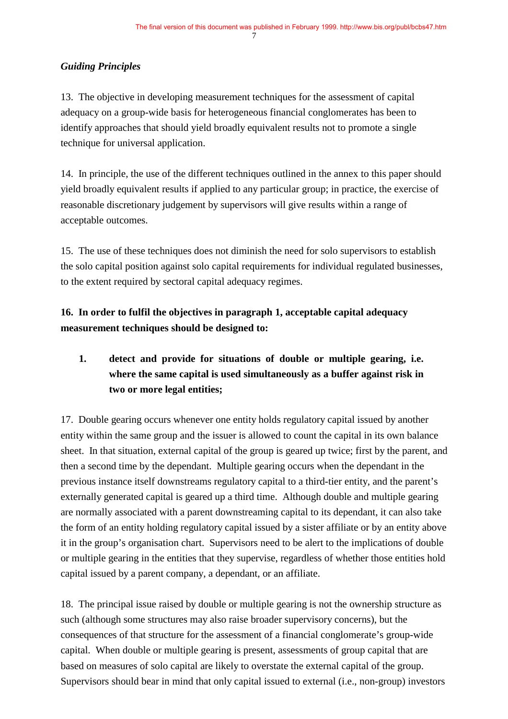### *Guiding Principles*

13. The objective in developing measurement techniques for the assessment of capital adequacy on a group-wide basis for heterogeneous financial conglomerates has been to identify approaches that should yield broadly equivalent results not to promote a single technique for universal application.

14. In principle, the use of the different techniques outlined in the annex to this paper should yield broadly equivalent results if applied to any particular group; in practice, the exercise of reasonable discretionary judgement by supervisors will give results within a range of acceptable outcomes.

15. The use of these techniques does not diminish the need for solo supervisors to establish the solo capital position against solo capital requirements for individual regulated businesses, to the extent required by sectoral capital adequacy regimes.

**16. In order to fulfil the objectives in paragraph 1, acceptable capital adequacy measurement techniques should be designed to:**

### **1. detect and provide for situations of double or multiple gearing, i.e. where the same capital is used simultaneously as a buffer against risk in two or more legal entities;**

17. Double gearing occurs whenever one entity holds regulatory capital issued by another entity within the same group and the issuer is allowed to count the capital in its own balance sheet. In that situation, external capital of the group is geared up twice; first by the parent, and then a second time by the dependant. Multiple gearing occurs when the dependant in the previous instance itself downstreams regulatory capital to a third-tier entity, and the parent's externally generated capital is geared up a third time. Although double and multiple gearing are normally associated with a parent downstreaming capital to its dependant, it can also take the form of an entity holding regulatory capital issued by a sister affiliate or by an entity above it in the group's organisation chart. Supervisors need to be alert to the implications of double or multiple gearing in the entities that they supervise, regardless of whether those entities hold capital issued by a parent company, a dependant, or an affiliate.

18. The principal issue raised by double or multiple gearing is not the ownership structure as such (although some structures may also raise broader supervisory concerns), but the consequences of that structure for the assessment of a financial conglomerate's group-wide capital. When double or multiple gearing is present, assessments of group capital that are based on measures of solo capital are likely to overstate the external capital of the group. Supervisors should bear in mind that only capital issued to external (i.e., non-group) investors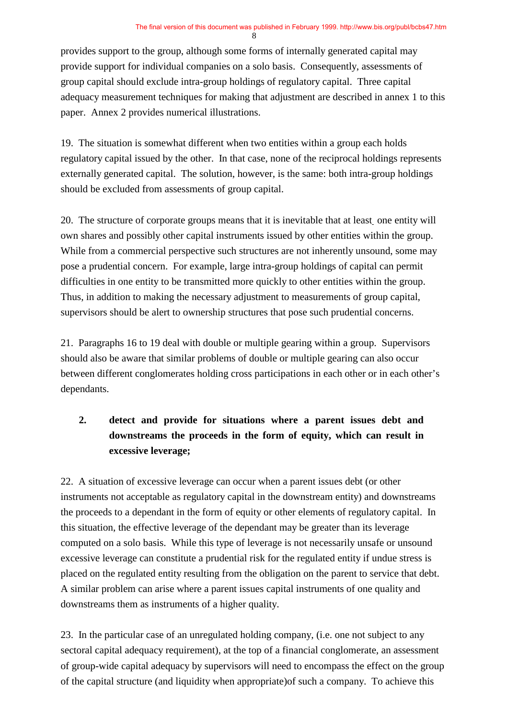provides support to the group, although some forms of internally generated capital may provide support for individual companies on a solo basis. Consequently, assessments of group capital should exclude intra-group holdings of regulatory capital. Three capital adequacy measurement techniques for making that adjustment are described in annex 1 to this paper. Annex 2 provides numerical illustrations.

19. The situation is somewhat different when two entities within a group each holds regulatory capital issued by the other. In that case, none of the reciprocal holdings represents externally generated capital. The solution, however, is the same: both intra-group holdings should be excluded from assessments of group capital.

20. The structure of corporate groups means that it is inevitable that at least one entity will own shares and possibly other capital instruments issued by other entities within the group. While from a commercial perspective such structures are not inherently unsound, some may pose a prudential concern. For example, large intra-group holdings of capital can permit difficulties in one entity to be transmitted more quickly to other entities within the group. Thus, in addition to making the necessary adjustment to measurements of group capital, supervisors should be alert to ownership structures that pose such prudential concerns.

21. Paragraphs 16 to 19 deal with double or multiple gearing within a group. Supervisors should also be aware that similar problems of double or multiple gearing can also occur between different conglomerates holding cross participations in each other or in each other's dependants.

### **2. detect and provide for situations where a parent issues debt and downstreams the proceeds in the form of equity, which can result in excessive leverage;**

22. A situation of excessive leverage can occur when a parent issues debt (or other instruments not acceptable as regulatory capital in the downstream entity) and downstreams the proceeds to a dependant in the form of equity or other elements of regulatory capital. In this situation, the effective leverage of the dependant may be greater than its leverage computed on a solo basis. While this type of leverage is not necessarily unsafe or unsound excessive leverage can constitute a prudential risk for the regulated entity if undue stress is placed on the regulated entity resulting from the obligation on the parent to service that debt. A similar problem can arise where a parent issues capital instruments of one quality and downstreams them as instruments of a higher quality.

23. In the particular case of an unregulated holding company, (i.e. one not subject to any sectoral capital adequacy requirement), at the top of a financial conglomerate, an assessment of group-wide capital adequacy by supervisors will need to encompass the effect on the group of the capital structure (and liquidity when appropriate)of such a company. To achieve this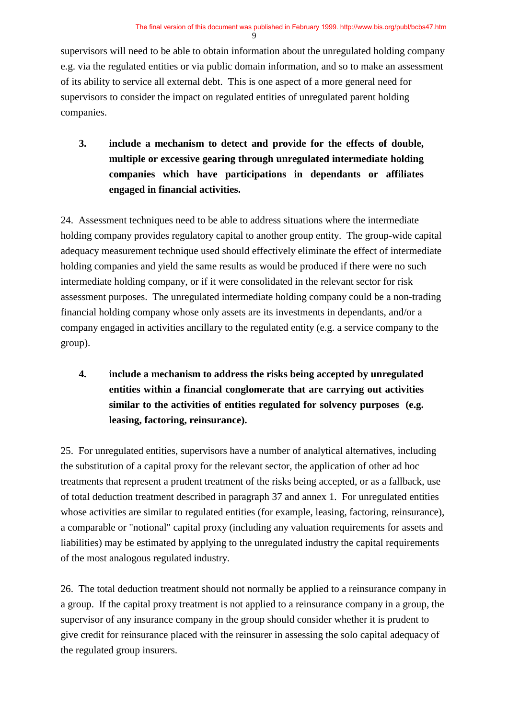supervisors will need to be able to obtain information about the unregulated holding company e.g. via the regulated entities or via public domain information, and so to make an assessment of its ability to service all external debt. This is one aspect of a more general need for supervisors to consider the impact on regulated entities of unregulated parent holding companies.

**3. include a mechanism to detect and provide for the effects of double, multiple or excessive gearing through unregulated intermediate holding companies which have participations in dependants or affiliates engaged in financial activities.**

24. Assessment techniques need to be able to address situations where the intermediate holding company provides regulatory capital to another group entity. The group-wide capital adequacy measurement technique used should effectively eliminate the effect of intermediate holding companies and yield the same results as would be produced if there were no such intermediate holding company, or if it were consolidated in the relevant sector for risk assessment purposes. The unregulated intermediate holding company could be a non-trading financial holding company whose only assets are its investments in dependants, and/or a company engaged in activities ancillary to the regulated entity (e.g. a service company to the group).

**4. include a mechanism to address the risks being accepted by unregulated entities within a financial conglomerate that are carrying out activities similar to the activities of entities regulated for solvency purposes (e.g. leasing, factoring, reinsurance).**

25. For unregulated entities, supervisors have a number of analytical alternatives, including the substitution of a capital proxy for the relevant sector, the application of other ad hoc treatments that represent a prudent treatment of the risks being accepted, or as a fallback, use of total deduction treatment described in paragraph 37 and annex 1. For unregulated entities whose activities are similar to regulated entities (for example, leasing, factoring, reinsurance), a comparable or "notional" capital proxy (including any valuation requirements for assets and liabilities) may be estimated by applying to the unregulated industry the capital requirements of the most analogous regulated industry.

26. The total deduction treatment should not normally be applied to a reinsurance company in a group. If the capital proxy treatment is not applied to a reinsurance company in a group, the supervisor of any insurance company in the group should consider whether it is prudent to give credit for reinsurance placed with the reinsurer in assessing the solo capital adequacy of the regulated group insurers.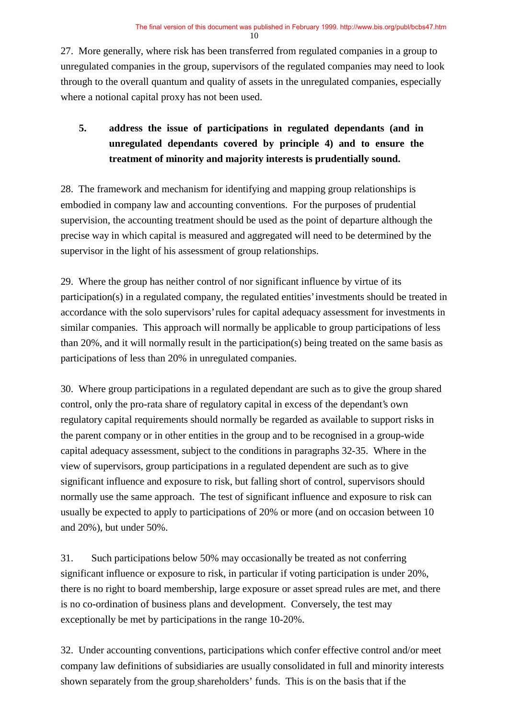27. More generally, where risk has been transferred from regulated companies in a group to unregulated companies in the group, supervisors of the regulated companies may need to look through to the overall quantum and quality of assets in the unregulated companies, especially where a notional capital proxy has not been used.

### **5. address the issue of participations in regulated dependants (and in unregulated dependants covered by principle 4) and to ensure the treatment of minority and majority interests is prudentially sound.**

28. The framework and mechanism for identifying and mapping group relationships is embodied in company law and accounting conventions. For the purposes of prudential supervision, the accounting treatment should be used as the point of departure although the precise way in which capital is measured and aggregated will need to be determined by the supervisor in the light of his assessment of group relationships.

29. Where the group has neither control of nor significant influence by virtue of its participation(s) in a regulated company, the regulated entities' investments should be treated in accordance with the solo supervisors' rules for capital adequacy assessment for investments in similar companies. This approach will normally be applicable to group participations of less than 20%, and it will normally result in the participation(s) being treated on the same basis as participations of less than 20% in unregulated companies.

30. Where group participations in a regulated dependant are such as to give the group shared control, only the pro-rata share of regulatory capital in excess of the dependant's own regulatory capital requirements should normally be regarded as available to support risks in the parent company or in other entities in the group and to be recognised in a group-wide capital adequacy assessment, subject to the conditions in paragraphs 32-35. Where in the view of supervisors, group participations in a regulated dependent are such as to give significant influence and exposure to risk, but falling short of control, supervisors should normally use the same approach. The test of significant influence and exposure to risk can usually be expected to apply to participations of 20% or more (and on occasion between 10 and 20%), but under 50%.

31. Such participations below 50% may occasionally be treated as not conferring significant influence or exposure to risk, in particular if voting participation is under 20%, there is no right to board membership, large exposure or asset spread rules are met, and there is no co-ordination of business plans and development. Conversely, the test may exceptionally be met by participations in the range 10-20%.

32. Under accounting conventions, participations which confer effective control and/or meet company law definitions of subsidiaries are usually consolidated in full and minority interests shown separately from the group shareholders' funds. This is on the basis that if the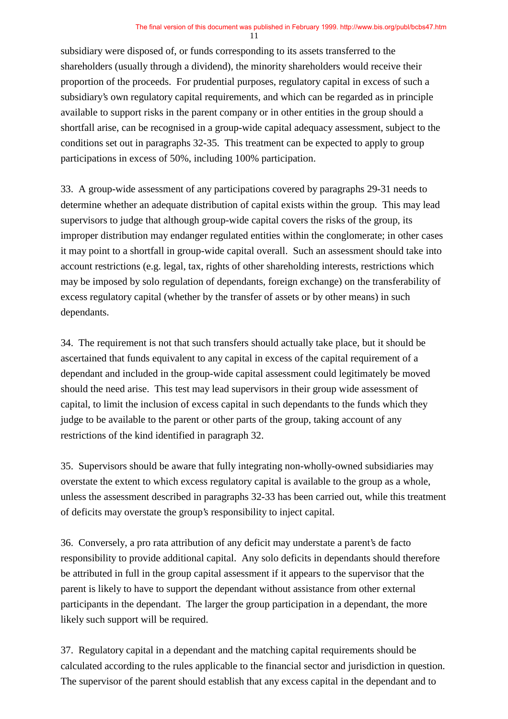subsidiary were disposed of, or funds corresponding to its assets transferred to the shareholders (usually through a dividend), the minority shareholders would receive their proportion of the proceeds. For prudential purposes, regulatory capital in excess of such a subsidiary's own regulatory capital requirements, and which can be regarded as in principle available to support risks in the parent company or in other entities in the group should a shortfall arise, can be recognised in a group-wide capital adequacy assessment, subject to the conditions set out in paragraphs 32-35. This treatment can be expected to apply to group participations in excess of 50%, including 100% participation.

33. A group-wide assessment of any participations covered by paragraphs 29-31 needs to determine whether an adequate distribution of capital exists within the group. This may lead supervisors to judge that although group-wide capital covers the risks of the group, its improper distribution may endanger regulated entities within the conglomerate; in other cases it may point to a shortfall in group-wide capital overall. Such an assessment should take into account restrictions (e.g. legal, tax, rights of other shareholding interests, restrictions which may be imposed by solo regulation of dependants, foreign exchange) on the transferability of excess regulatory capital (whether by the transfer of assets or by other means) in such dependants.

34. The requirement is not that such transfers should actually take place, but it should be ascertained that funds equivalent to any capital in excess of the capital requirement of a dependant and included in the group-wide capital assessment could legitimately be moved should the need arise. This test may lead supervisors in their group wide assessment of capital, to limit the inclusion of excess capital in such dependants to the funds which they judge to be available to the parent or other parts of the group, taking account of any restrictions of the kind identified in paragraph 32.

35. Supervisors should be aware that fully integrating non-wholly-owned subsidiaries may overstate the extent to which excess regulatory capital is available to the group as a whole, unless the assessment described in paragraphs 32-33 has been carried out, while this treatment of deficits may overstate the group's responsibility to inject capital.

36. Conversely, a pro rata attribution of any deficit may understate a parent's de facto responsibility to provide additional capital. Any solo deficits in dependants should therefore be attributed in full in the group capital assessment if it appears to the supervisor that the parent is likely to have to support the dependant without assistance from other external participants in the dependant. The larger the group participation in a dependant, the more likely such support will be required.

37. Regulatory capital in a dependant and the matching capital requirements should be calculated according to the rules applicable to the financial sector and jurisdiction in question. The supervisor of the parent should establish that any excess capital in the dependant and to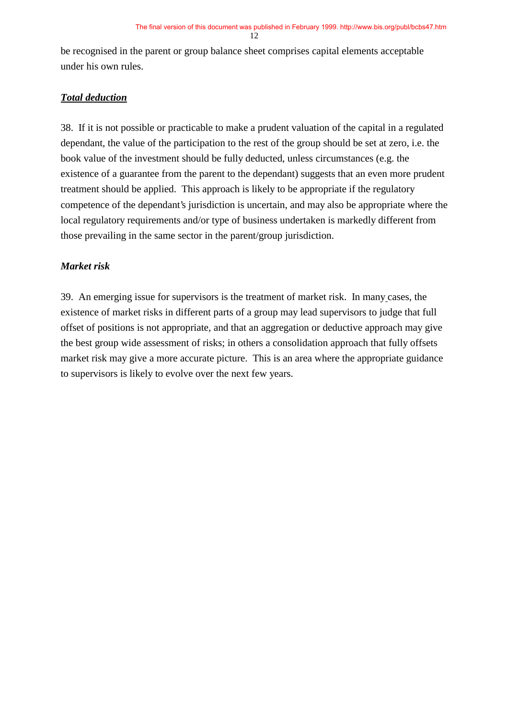be recognised in the parent or group balance sheet comprises capital elements acceptable under his own rules.

### *Total deduction*

38. If it is not possible or practicable to make a prudent valuation of the capital in a regulated dependant, the value of the participation to the rest of the group should be set at zero, i.e. the book value of the investment should be fully deducted, unless circumstances (e.g. the existence of a guarantee from the parent to the dependant) suggests that an even more prudent treatment should be applied. This approach is likely to be appropriate if the regulatory competence of the dependant's jurisdiction is uncertain, and may also be appropriate where the local regulatory requirements and/or type of business undertaken is markedly different from those prevailing in the same sector in the parent/group jurisdiction.

### *Market risk*

39. An emerging issue for supervisors is the treatment of market risk. In many cases, the existence of market risks in different parts of a group may lead supervisors to judge that full offset of positions is not appropriate, and that an aggregation or deductive approach may give the best group wide assessment of risks; in others a consolidation approach that fully offsets market risk may give a more accurate picture. This is an area where the appropriate guidance to supervisors is likely to evolve over the next few years.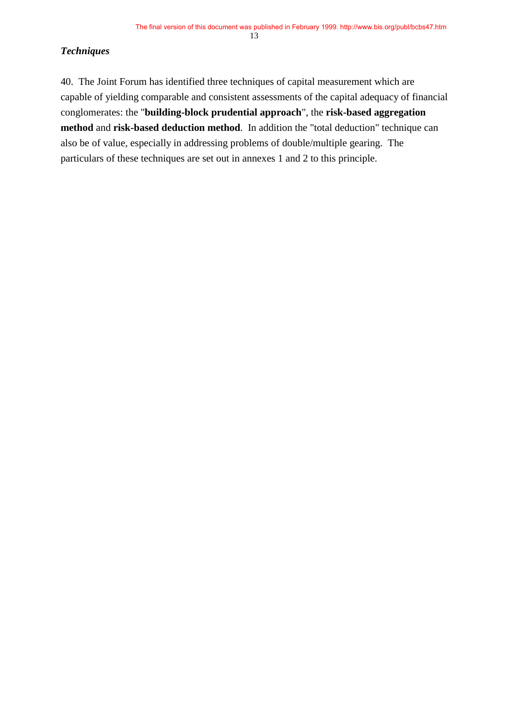#### *Techniques*

40. The Joint Forum has identified three techniques of capital measurement which are capable of yielding comparable and consistent assessments of the capital adequacy of financial conglomerates: the "**building-block prudential approach**", the **risk-based aggregation method** and **risk-based deduction method**. In addition the "total deduction" technique can also be of value, especially in addressing problems of double/multiple gearing. The particulars of these techniques are set out in annexes 1 and 2 to this principle.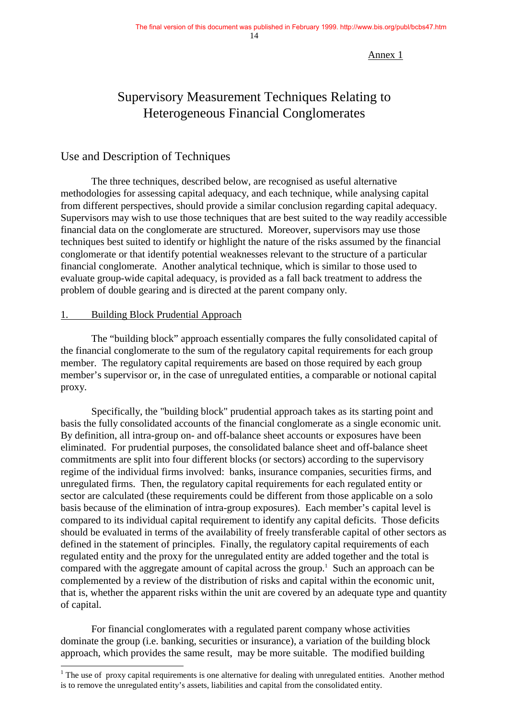#### Annex 1

## Supervisory Measurement Techniques Relating to Heterogeneous Financial Conglomerates

### Use and Description of Techniques

The three techniques, described below, are recognised as useful alternative methodologies for assessing capital adequacy, and each technique, while analysing capital from different perspectives, should provide a similar conclusion regarding capital adequacy. Supervisors may wish to use those techniques that are best suited to the way readily accessible financial data on the conglomerate are structured. Moreover, supervisors may use those techniques best suited to identify or highlight the nature of the risks assumed by the financial conglomerate or that identify potential weaknesses relevant to the structure of a particular financial conglomerate. Another analytical technique, which is similar to those used to evaluate group-wide capital adequacy, is provided as a fall back treatment to address the problem of double gearing and is directed at the parent company only.

#### 1. Building Block Prudential Approach

 $\overline{a}$ 

The "building block" approach essentially compares the fully consolidated capital of the financial conglomerate to the sum of the regulatory capital requirements for each group member. The regulatory capital requirements are based on those required by each group member's supervisor or, in the case of unregulated entities, a comparable or notional capital proxy.

Specifically, the "building block" prudential approach takes as its starting point and basis the fully consolidated accounts of the financial conglomerate as a single economic unit. By definition, all intra-group on- and off-balance sheet accounts or exposures have been eliminated. For prudential purposes, the consolidated balance sheet and off-balance sheet commitments are split into four different blocks (or sectors) according to the supervisory regime of the individual firms involved: banks, insurance companies, securities firms, and unregulated firms. Then, the regulatory capital requirements for each regulated entity or sector are calculated (these requirements could be different from those applicable on a solo basis because of the elimination of intra-group exposures). Each member's capital level is compared to its individual capital requirement to identify any capital deficits. Those deficits should be evaluated in terms of the availability of freely transferable capital of other sectors as defined in the statement of principles. Finally, the regulatory capital requirements of each regulated entity and the proxy for the unregulated entity are added together and the total is compared with the aggregate amount of capital across the group.<sup>1</sup> Such an approach can be complemented by a review of the distribution of risks and capital within the economic unit, that is, whether the apparent risks within the unit are covered by an adequate type and quantity of capital.

For financial conglomerates with a regulated parent company whose activities dominate the group (i.e. banking, securities or insurance), a variation of the building block approach, which provides the same result, may be more suitable. The modified building

 $1$  The use of proxy capital requirements is one alternative for dealing with unregulated entities. Another method is to remove the unregulated entity's assets, liabilities and capital from the consolidated entity.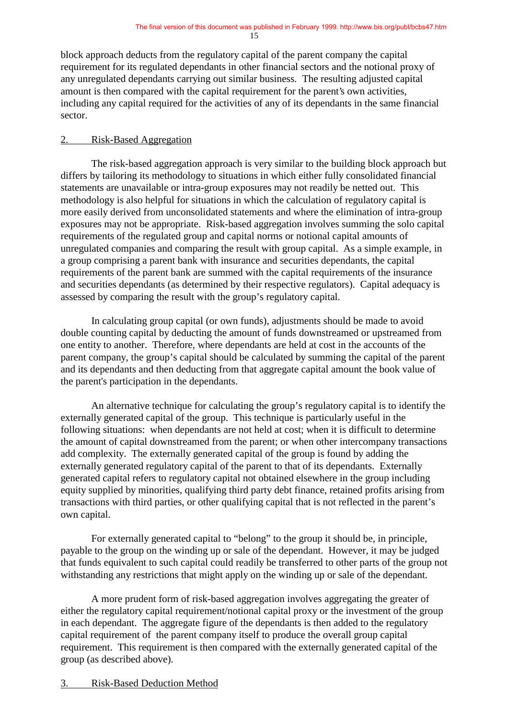block approach deducts from the regulatory capital of the parent company the capital requirement for its regulated dependants in other financial sectors and the notional proxy of any unregulated dependants carrying out similar business*.* The resulting adjusted capital amount is then compared with the capital requirement for the parent's own activities, including any capital required for the activities of any of its dependants in the same financial sector.

#### 2. Risk-Based Aggregation

The risk-based aggregation approach is very similar to the building block approach but differs by tailoring its methodology to situations in which either fully consolidated financial statements are unavailable or intra-group exposures may not readily be netted out. This methodology is also helpful for situations in which the calculation of regulatory capital is more easily derived from unconsolidated statements and where the elimination of intra-group exposures may not be appropriate. Risk-based aggregation involves summing the solo capital requirements of the regulated group and capital norms or notional capital amounts of unregulated companies and comparing the result with group capital. As a simple example, in a group comprising a parent bank with insurance and securities dependants, the capital requirements of the parent bank are summed with the capital requirements of the insurance and securities dependants (as determined by their respective regulators). Capital adequacy is assessed by comparing the result with the group's regulatory capital.

 In calculating group capital (or own funds), adjustments should be made to avoid double counting capital by deducting the amount of funds downstreamed or upstreamed from one entity to another. Therefore, where dependants are held at cost in the accounts of the parent company, the group's capital should be calculated by summing the capital of the parent and its dependants and then deducting from that aggregate capital amount the book value of the parent's participation in the dependants.

An alternative technique for calculating the group's regulatory capital is to identify the externally generated capital of the group. This technique is particularly useful in the following situations: when dependants are not held at cost; when it is difficult to determine the amount of capital downstreamed from the parent; or when other intercompany transactions add complexity. The externally generated capital of the group is found by adding the externally generated regulatory capital of the parent to that of its dependants. Externally generated capital refers to regulatory capital not obtained elsewhere in the group including equity supplied by minorities, qualifying third party debt finance, retained profits arising from transactions with third parties, or other qualifying capital that is not reflected in the parent's own capital.

For externally generated capital to "belong" to the group it should be, in principle, payable to the group on the winding up or sale of the dependant. However, it may be judged that funds equivalent to such capital could readily be transferred to other parts of the group not withstanding any restrictions that might apply on the winding up or sale of the dependant.

A more prudent form of risk-based aggregation involves aggregating the greater of either the regulatory capital requirement/notional capital proxy or the investment of the group in each dependant. The aggregate figure of the dependants is then added to the regulatory capital requirement of the parent company itself to produce the overall group capital requirement. This requirement is then compared with the externally generated capital of the group (as described above).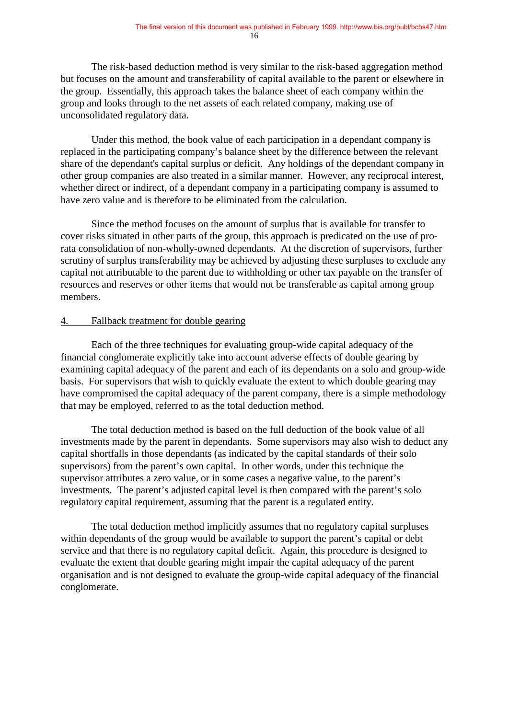The risk-based deduction method is very similar to the risk-based aggregation method but focuses on the amount and transferability of capital available to the parent or elsewhere in the group. Essentially, this approach takes the balance sheet of each company within the group and looks through to the net assets of each related company, making use of unconsolidated regulatory data.

Under this method, the book value of each participation in a dependant company is replaced in the participating company's balance sheet by the difference between the relevant share of the dependant's capital surplus or deficit. Any holdings of the dependant company in other group companies are also treated in a similar manner. However, any reciprocal interest, whether direct or indirect, of a dependant company in a participating company is assumed to have zero value and is therefore to be eliminated from the calculation.

Since the method focuses on the amount of surplus that is available for transfer to cover risks situated in other parts of the group, this approach is predicated on the use of prorata consolidation of non-wholly-owned dependants. At the discretion of supervisors, further scrutiny of surplus transferability may be achieved by adjusting these surpluses to exclude any capital not attributable to the parent due to withholding or other tax payable on the transfer of resources and reserves or other items that would not be transferable as capital among group members.

#### 4. Fallback treatment for double gearing

Each of the three techniques for evaluating group-wide capital adequacy of the financial conglomerate explicitly take into account adverse effects of double gearing by examining capital adequacy of the parent and each of its dependants on a solo and group-wide basis. For supervisors that wish to quickly evaluate the extent to which double gearing may have compromised the capital adequacy of the parent company, there is a simple methodology that may be employed, referred to as the total deduction method.

The total deduction method is based on the full deduction of the book value of all investments made by the parent in dependants. Some supervisors may also wish to deduct any capital shortfalls in those dependants (as indicated by the capital standards of their solo supervisors) from the parent's own capital. In other words, under this technique the supervisor attributes a zero value, or in some cases a negative value, to the parent's investments. The parent's adjusted capital level is then compared with the parent's solo regulatory capital requirement, assuming that the parent is a regulated entity.

The total deduction method implicitly assumes that no regulatory capital surpluses within dependants of the group would be available to support the parent's capital or debt service and that there is no regulatory capital deficit. Again, this procedure is designed to evaluate the extent that double gearing might impair the capital adequacy of the parent organisation and is not designed to evaluate the group-wide capital adequacy of the financial conglomerate.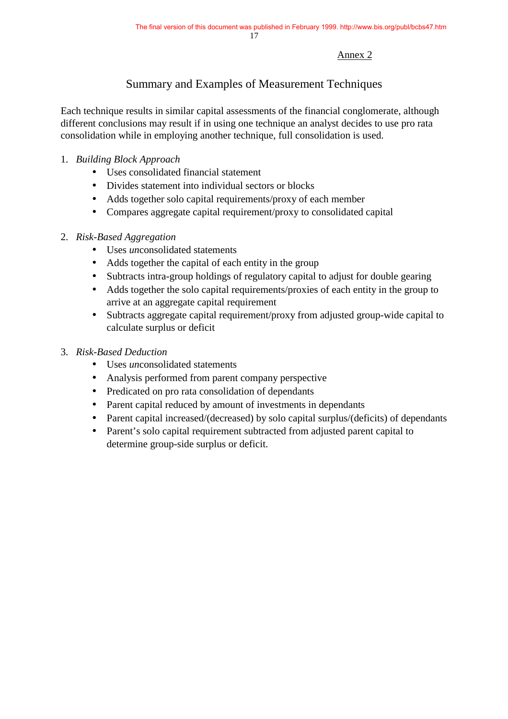#### Annex 2

### Summary and Examples of Measurement Techniques

Each technique results in similar capital assessments of the financial conglomerate, although different conclusions may result if in using one technique an analyst decides to use pro rata consolidation while in employing another technique, full consolidation is used.

### 1. *Building Block Approach*

- Uses consolidated financial statement
- Divides statement into individual sectors or blocks
- Adds together solo capital requirements/proxy of each member
- Compares aggregate capital requirement/proxy to consolidated capital

### 2. *Risk-Based Aggregation*

- Uses *un*consolidated statements
- Adds together the capital of each entity in the group
- Subtracts intra-group holdings of regulatory capital to adjust for double gearing
- Adds together the solo capital requirements/proxies of each entity in the group to arrive at an aggregate capital requirement
- Subtracts aggregate capital requirement/proxy from adjusted group-wide capital to calculate surplus or deficit

### 3. *Risk-Based Deduction*

- Uses *un*consolidated statements
- Analysis performed from parent company perspective
- Predicated on pro rata consolidation of dependants
- Parent capital reduced by amount of investments in dependants
- Parent capital increased/(decreased) by solo capital surplus/(deficits) of dependants
- Parent's solo capital requirement subtracted from adjusted parent capital to determine group-side surplus or deficit.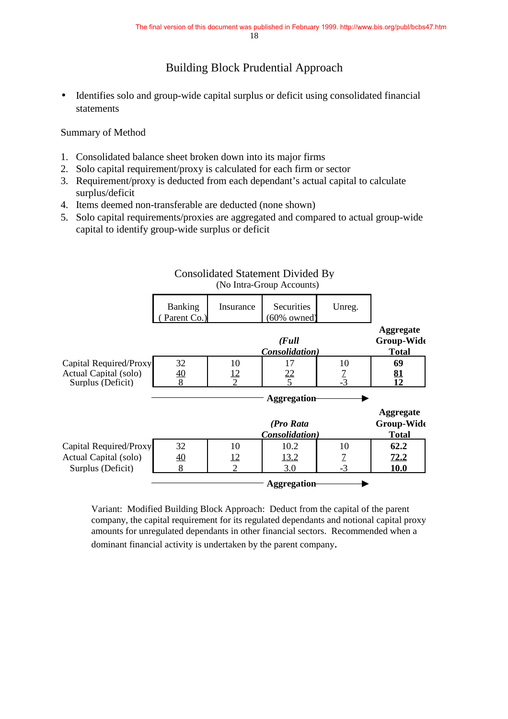### Building Block Prudential Approach

• Identifies solo and group-wide capital surplus or deficit using consolidated financial statements

Summary of Method

- 1. Consolidated balance sheet broken down into its major firms
- 2. Solo capital requirement/proxy is calculated for each firm or sector
- 3. Requirement/proxy is deducted from each dependant's actual capital to calculate surplus/deficit
- 4. Items deemed non-transferable are deducted (none shown)
- 5. Solo capital requirements/proxies are aggregated and compared to actual group-wide capital to identify group-wide surplus or deficit

|                        |                        |                | $(100 \text{ MHz} - 0.000)$ <i>recounts</i> |                |                                |
|------------------------|------------------------|----------------|---------------------------------------------|----------------|--------------------------------|
|                        | Banking<br>Parent Co.) | Insurance      | <b>Securities</b><br>$(60\%$ owned)         | Unreg.         |                                |
|                        |                        |                |                                             |                | <b>Aggregate</b>               |
|                        |                        |                | $\left($ Full                               |                | Group-Wide                     |
|                        |                        |                | Consolidation)                              |                | <b>Total</b>                   |
| Capital Required/Proxy | 32                     | 10             | 17                                          | 10             | 69                             |
| Actual Capital (solo)  | <u>40</u>              | <u> 12</u>     | 22                                          | $\frac{7}{3}$  | <u>81</u>                      |
| Surplus (Deficit)      | 8                      | $\mathcal{D}$  | $\overline{\phantom{0}}$                    |                | 12                             |
|                        |                        |                | Aggregation                                 |                |                                |
|                        |                        |                | (Pro Rata                                   |                | <b>Aggregate</b><br>Group-Wide |
|                        |                        |                | Consolidation)                              |                | <b>Total</b>                   |
| Capital Required/Proxy | 32                     | 10             | 10.2                                        | 10             | 62.2                           |
| Actual Capital (solo)  | 40                     | <u>12</u>      | 13.2                                        | $\overline{1}$ | 72.2                           |
| Surplus (Deficit)      | 8                      | $\overline{2}$ | 3.0                                         | $-3$           | 10.0                           |
|                        |                        |                |                                             |                |                                |

#### Consolidated Statement Divided By (No Intra-Group Accounts)

Variant: Modified Building Block Approach: Deduct from the capital of the parent company, the capital requirement for its regulated dependants and notional capital proxy amounts for unregulated dependants in other financial sectors. Recommended when a dominant financial activity is undertaken by the parent company.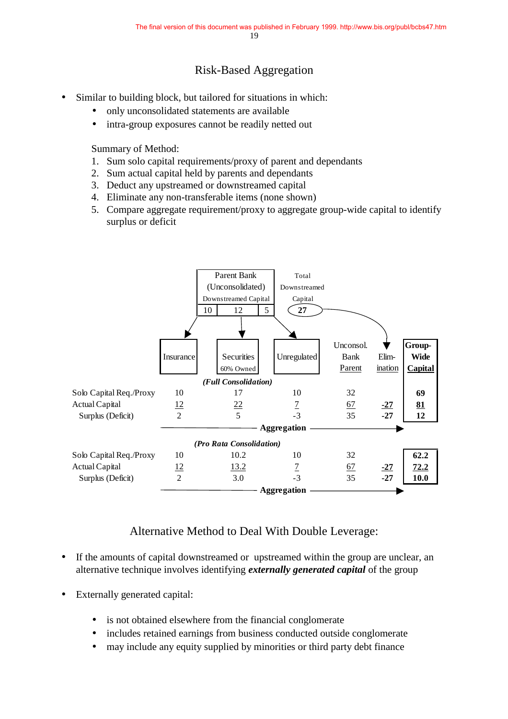### Risk-Based Aggregation

- Similar to building block, but tailored for situations in which:
	- only unconsolidated statements are available
	- intra-group exposures cannot be readily netted out

Summary of Method:

- 1. Sum solo capital requirements/proxy of parent and dependants
- 2. Sum actual capital held by parents and dependants
- 3. Deduct any upstreamed or downstreamed capital
- 4. Eliminate any non-transferable items (none shown)
- 5. Compare aggregate requirement/proxy to aggregate group-wide capital to identify surplus or deficit



### Alternative Method to Deal With Double Leverage:

- If the amounts of capital downstreamed or upstreamed within the group are unclear, an alternative technique involves identifying *externally generated capital* of the group
- Externally generated capital:
	- is not obtained elsewhere from the financial conglomerate
	- includes retained earnings from business conducted outside conglomerate
	- may include any equity supplied by minorities or third party debt finance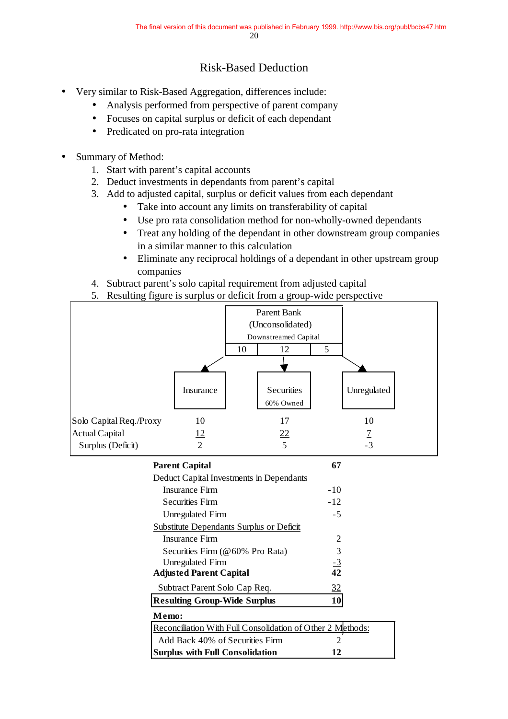### Risk-Based Deduction

- Very similar to Risk-Based Aggregation, differences include:
	- Analysis performed from perspective of parent company
	- Focuses on capital surplus or deficit of each dependant
	- Predicated on pro-rata integration
- Summary of Method:
	- 1. Start with parent's capital accounts
	- 2. Deduct investments in dependants from parent's capital
	- 3. Add to adjusted capital, surplus or deficit values from each dependant
		- Take into account any limits on transferability of capital
		- Use pro rata consolidation method for non-wholly-owned dependants
		- Treat any holding of the dependant in other downstream group companies in a similar manner to this calculation
		- Eliminate any reciprocal holdings of a dependant in other upstream group companies
	- 4. Subtract parent's solo capital requirement from adjusted capital
	- 5. Resulting figure is surplus or deficit from a group-wide perspective

| Parent Bank             |                                                            |    |                      |                      |                |  |
|-------------------------|------------------------------------------------------------|----|----------------------|----------------------|----------------|--|
| (Unconsolidated)        |                                                            |    |                      |                      |                |  |
|                         |                                                            |    | Downstreamed Capital |                      |                |  |
|                         |                                                            | 10 | 12                   | 5                    |                |  |
|                         |                                                            |    |                      |                      |                |  |
|                         |                                                            |    |                      |                      |                |  |
|                         | Insurance                                                  |    | <b>Securities</b>    |                      | Unregulated    |  |
|                         |                                                            |    | 60% Owned            |                      |                |  |
| Solo Capital Req./Proxy | 10                                                         |    | 17                   |                      | 10             |  |
| <b>Actual Capital</b>   | 12                                                         |    | 22                   |                      | $\overline{1}$ |  |
| Surplus (Deficit)       | $\mathfrak{D}$                                             |    | 5                    |                      | $-3$           |  |
|                         | <b>Parent Capital</b>                                      |    |                      | 67                   |                |  |
|                         | Deduct Capital Investments in Dependants                   |    |                      |                      |                |  |
|                         | <b>Insurance Firm</b>                                      |    |                      | $-10$                |                |  |
|                         | <b>Securities Firm</b>                                     |    |                      | $-12$                |                |  |
|                         | <b>Unregulated Firm</b>                                    |    |                      | $-5$                 |                |  |
|                         | Substitute Dependants Surplus or Deficit                   |    |                      |                      |                |  |
|                         | <b>Insurance Firm</b>                                      |    |                      | $\mathbf{2}$         |                |  |
|                         | Securities Firm (@60% Pro Rata)                            |    |                      | $\frac{3}{-3}$<br>42 |                |  |
|                         | <b>Unregulated Firm</b>                                    |    |                      |                      |                |  |
|                         | <b>Adjusted Parent Capital</b>                             |    |                      |                      |                |  |
|                         | Subtract Parent Solo Cap Req.                              |    |                      | 32                   |                |  |
|                         | <b>Resulting Group-Wide Surplus</b>                        |    |                      | 10                   |                |  |
|                         | Memo:                                                      |    |                      |                      |                |  |
|                         | Reconciliation With Full Consolidation of Other 2 Methods: |    |                      |                      |                |  |
|                         | Add Back 40% of Securities Firm                            |    |                      | $\overline{2}$       |                |  |
|                         | <b>Surplus with Full Consolidation</b>                     |    |                      | 12                   |                |  |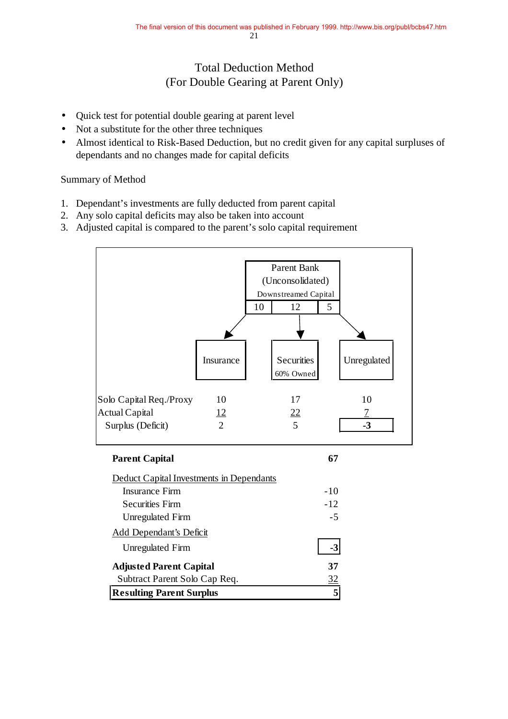### Total Deduction Method (For Double Gearing at Parent Only)

- Quick test for potential double gearing at parent level
- Not a substitute for the other three techniques
- Almost identical to Risk-Based Deduction, but no credit given for any capital surpluses of dependants and no changes made for capital deficits

Summary of Method

- 1. Dependant's investments are fully deducted from parent capital
- 2. Any solo capital deficits may also be taken into account
- 3. Adjusted capital is compared to the parent's solo capital requirement

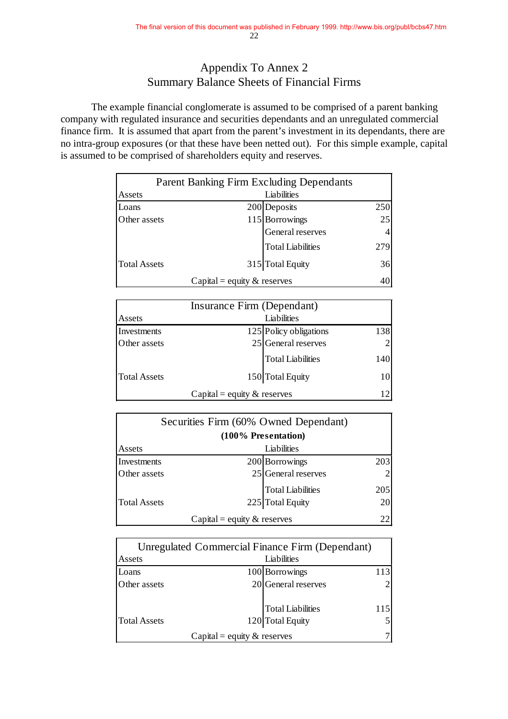### Appendix To Annex 2 Summary Balance Sheets of Financial Firms

The example financial conglomerate is assumed to be comprised of a parent banking company with regulated insurance and securities dependants and an unregulated commercial finance firm. It is assumed that apart from the parent's investment in its dependants, there are no intra-group exposures (or that these have been netted out). For this simple example, capital is assumed to be comprised of shareholders equity and reserves.

| <b>Parent Banking Firm Excluding Dependants</b> |                               |                          |     |
|-------------------------------------------------|-------------------------------|--------------------------|-----|
| Assets                                          |                               | Liabilities              |     |
| Loans                                           |                               | 200 Deposits             | 250 |
| Other assets                                    |                               | 115 Borrowings           | 25  |
|                                                 |                               | General reserves         | 4   |
|                                                 |                               | <b>Total Liabilities</b> | 279 |
| <b>Total Assets</b>                             |                               | 315 Total Equity         | 36  |
|                                                 | Capital = equity $&$ reserves |                          | 40  |

| Insurance Firm (Dependant) |                                |                          |     |  |
|----------------------------|--------------------------------|--------------------------|-----|--|
| Assets                     |                                | Liabilities              |     |  |
| Investments                |                                | 125 Policy obligations   | 138 |  |
| Other assets               |                                | $25$ General reserves    |     |  |
|                            |                                | <b>Total Liabilities</b> | 140 |  |
| <b>Total Assets</b>        |                                | 150 Total Equity         | 10  |  |
|                            | Capital = equity $\&$ reserves |                          |     |  |

| Securities Firm (60% Owned Dependant) |                                |                          |     |  |  |
|---------------------------------------|--------------------------------|--------------------------|-----|--|--|
|                                       | (100% Presentation)            |                          |     |  |  |
| Assets                                |                                | Liabilities              |     |  |  |
| Investments                           |                                | 200 Borrowings           | 203 |  |  |
| Other assets                          |                                | 25 General reserves      |     |  |  |
|                                       |                                | <b>Total Liabilities</b> | 205 |  |  |
| <b>Total Assets</b>                   |                                | 225 Total Equity         | 20  |  |  |
|                                       | Capital = equity $\&$ reserves |                          | 22  |  |  |

|                     |                                | Unregulated Commercial Finance Firm (Dependant) |                             |
|---------------------|--------------------------------|-------------------------------------------------|-----------------------------|
| Assets              |                                | Liabilities                                     |                             |
| Loans               |                                | 100 Borrowings                                  | 113                         |
| Other assets        |                                | 20 General reserves                             | $\mathcal{D}_{\mathcal{L}}$ |
|                     |                                | <b>Total Liabilities</b>                        | 115                         |
| <b>Total Assets</b> |                                | 120 Total Equity                                | 5                           |
|                     | Capital = equity $\&$ reserves |                                                 |                             |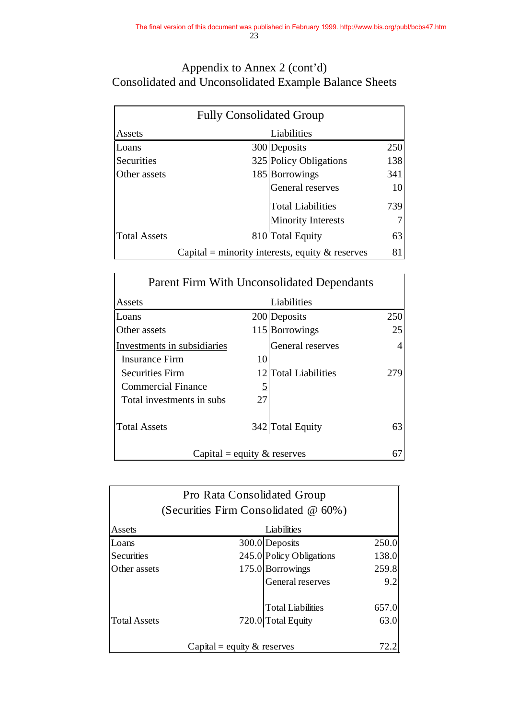### Appendix to Annex 2 (cont'd) Consolidated and Unconsolidated Example Balance Sheets

| <b>Fully Consolidated Group</b> |  |                                                    |     |  |
|---------------------------------|--|----------------------------------------------------|-----|--|
| Assets                          |  | Liabilities                                        |     |  |
| Loans                           |  | 300 Deposits                                       | 250 |  |
| <b>Securities</b>               |  | 325 Policy Obligations                             | 138 |  |
| Other assets                    |  | 185 Borrowings                                     | 341 |  |
|                                 |  | General reserves                                   | 10  |  |
|                                 |  | <b>Total Liabilities</b>                           | 739 |  |
|                                 |  | <b>Minority Interests</b>                          |     |  |
| <b>Total Assets</b>             |  | 810 Total Equity                                   | 63  |  |
|                                 |  | Capital = minority interests, equity $\&$ reserves | 81  |  |

| <b>Parent Firm With Unconsolidated Dependants</b> |          |                      |     |  |
|---------------------------------------------------|----------|----------------------|-----|--|
| Assets                                            |          | Liabilities          |     |  |
| Loans                                             |          | 200 Deposits         | 250 |  |
| Other assets                                      |          | 115 Borrowings       | 25  |  |
| Investments in subsidiaries                       |          | General reserves     |     |  |
| Insurance Firm                                    | 10       |                      |     |  |
| <b>Securities Firm</b>                            |          | 12 Total Liabilities | 279 |  |
| <b>Commercial Finance</b>                         | <u>5</u> |                      |     |  |
| Total investments in subs                         | 27       |                      |     |  |
|                                                   |          |                      |     |  |
| <b>Total Assets</b>                               |          | 342 Total Equity     | 63  |  |
|                                                   |          |                      |     |  |
| Capital = equity $&$ reserves                     |          |                      | 67  |  |

| Pro Rata Consolidated Group             |  |                          |       |  |  |
|-----------------------------------------|--|--------------------------|-------|--|--|
| (Securities Firm Consolidated $@60\%$ ) |  |                          |       |  |  |
| Liabilities<br>Assets                   |  |                          |       |  |  |
| Loans                                   |  | 300.0 Deposits           | 250.0 |  |  |
| <b>Securities</b>                       |  | 245.0 Policy Obligations | 138.0 |  |  |
| Other assets                            |  | 175.0 Borrowings         | 259.8 |  |  |
| General reserves<br>9.2                 |  |                          |       |  |  |
|                                         |  | <b>Total Liabilities</b> | 657.0 |  |  |
| <b>Total Assets</b>                     |  | 720.0 Total Equity       | 63.0  |  |  |
| Capital = equity $\&$ reserves          |  |                          |       |  |  |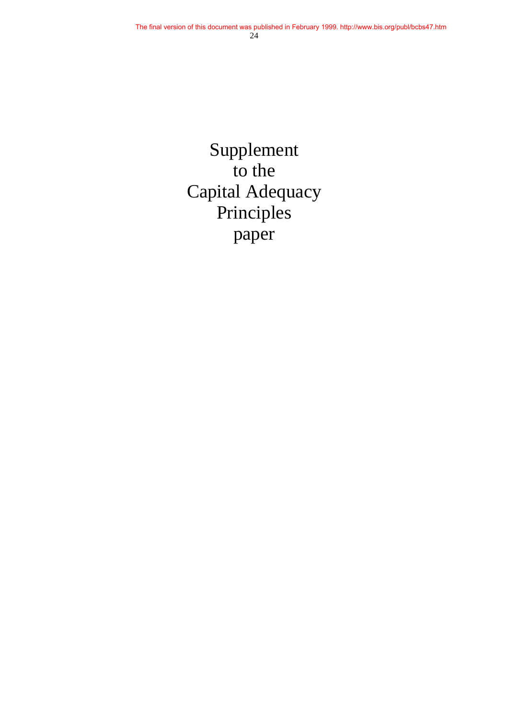Supplement to the Capital Adequacy Principles paper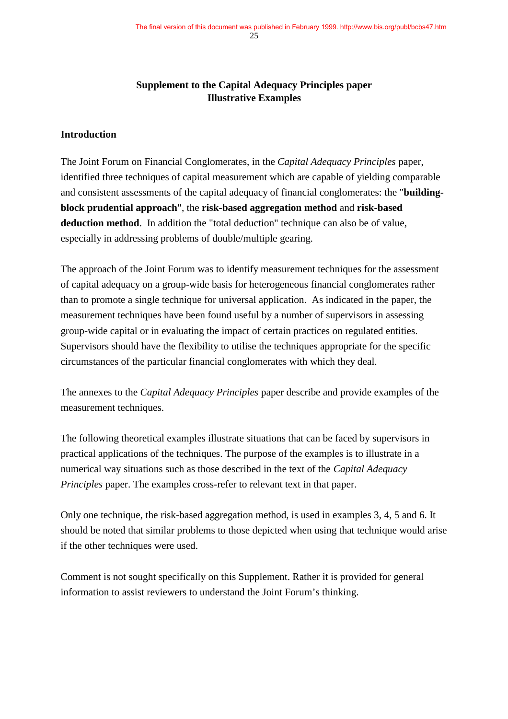### **Supplement to the Capital Adequacy Principles paper Illustrative Examples**

#### **Introduction**

The Joint Forum on Financial Conglomerates, in the *Capital Adequacy Principles* paper, identified three techniques of capital measurement which are capable of yielding comparable and consistent assessments of the capital adequacy of financial conglomerates: the "**buildingblock prudential approach**", the **risk-based aggregation method** and **risk-based deduction method**. In addition the "total deduction" technique can also be of value, especially in addressing problems of double/multiple gearing.

The approach of the Joint Forum was to identify measurement techniques for the assessment of capital adequacy on a group-wide basis for heterogeneous financial conglomerates rather than to promote a single technique for universal application. As indicated in the paper, the measurement techniques have been found useful by a number of supervisors in assessing group-wide capital or in evaluating the impact of certain practices on regulated entities. Supervisors should have the flexibility to utilise the techniques appropriate for the specific circumstances of the particular financial conglomerates with which they deal.

The annexes to the *Capital Adequacy Principles* paper describe and provide examples of the measurement techniques.

The following theoretical examples illustrate situations that can be faced by supervisors in practical applications of the techniques. The purpose of the examples is to illustrate in a numerical way situations such as those described in the text of the *Capital Adequacy Principles* paper. The examples cross-refer to relevant text in that paper.

Only one technique, the risk-based aggregation method, is used in examples 3, 4, 5 and 6. It should be noted that similar problems to those depicted when using that technique would arise if the other techniques were used.

Comment is not sought specifically on this Supplement. Rather it is provided for general information to assist reviewers to understand the Joint Forum's thinking.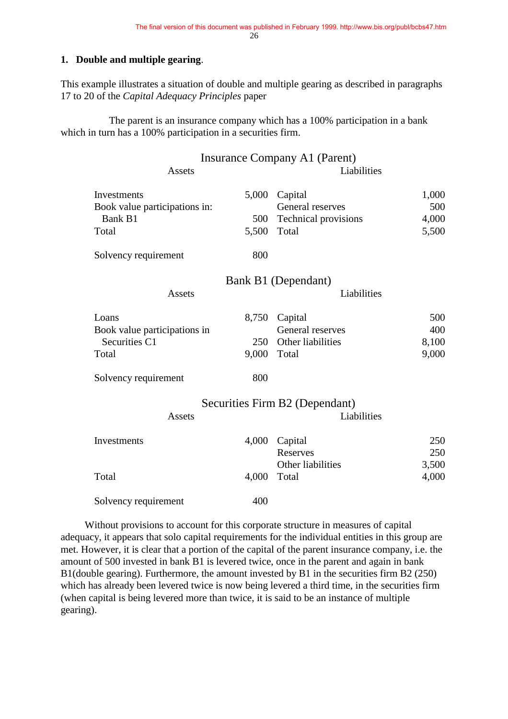#### **1. Double and multiple gearing**.

This example illustrates a situation of double and multiple gearing as described in paragraphs 17 to 20 of the *Capital Adequacy Principles* paper

The parent is an insurance company which has a 100% participation in a bank which in turn has a 100% participation in a securities firm.

| Assets                                              |              | Insurance Company A1 (Parent)<br>Liabilities |                |
|-----------------------------------------------------|--------------|----------------------------------------------|----------------|
| <b>Investments</b><br>Book value participations in: | 5,000        | Capital<br>General reserves                  | 1,000<br>500   |
| Bank B1<br>Total                                    | 500<br>5,500 | <b>Technical provisions</b><br>Total         | 4,000<br>5,500 |
| Solvency requirement                                | 800          |                                              |                |
|                                                     |              | Bank B1 (Dependant)                          |                |
| Assets                                              |              | Liabilities                                  |                |
| Loans                                               | 8,750        | Capital                                      | 500            |
| Book value participations in                        |              | General reserves                             | 400            |
| Securities C1                                       | 250          | Other liabilities                            | 8,100          |
| Total                                               | 9,000        | Total                                        | 9,000          |
| Solvency requirement                                | 800          |                                              |                |
|                                                     |              | Securities Firm B2 (Dependant)               |                |
| Assets                                              |              | Liabilities                                  |                |
| Investments                                         | 4,000        | Capital<br><b>Reserves</b>                   | 250<br>250     |
|                                                     |              | Other liabilities                            | 3,500          |
| Total                                               | 4,000        | Total                                        | 4,000          |
| Solvency requirement                                | 400          |                                              |                |

Without provisions to account for this corporate structure in measures of capital adequacy, it appears that solo capital requirements for the individual entities in this group are met. However, it is clear that a portion of the capital of the parent insurance company, i.e. the amount of 500 invested in bank B1 is levered twice, once in the parent and again in bank B1(double gearing). Furthermore, the amount invested by B1 in the securities firm B2 (250) which has already been levered twice is now being levered a third time, in the securities firm (when capital is being levered more than twice, it is said to be an instance of multiple gearing).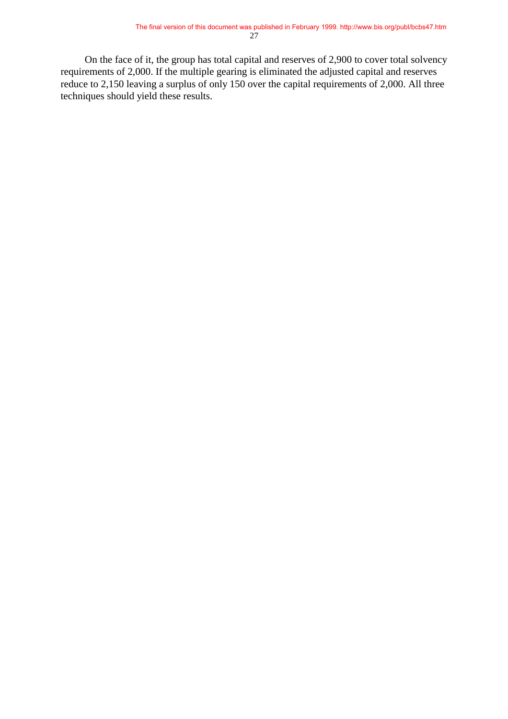On the face of it, the group has total capital and reserves of 2,900 to cover total solvency requirements of 2,000. If the multiple gearing is eliminated the adjusted capital and reserves reduce to 2,150 leaving a surplus of only 150 over the capital requirements of 2,000. All three techniques should yield these results.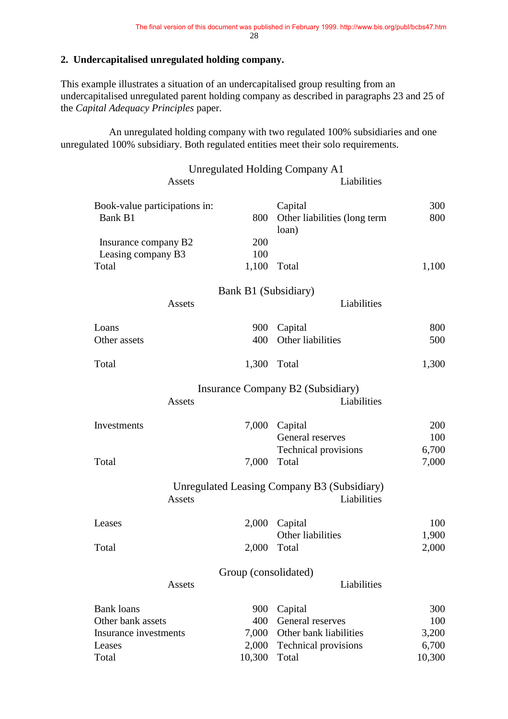#### **2. Undercapitalised unregulated holding company.**

This example illustrates a situation of an undercapitalised group resulting from an undercapitalised unregulated parent holding company as described in paragraphs 23 and 25 of the *Capital Adequacy Principles* paper.

An unregulated holding company with two regulated 100% subsidiaries and one unregulated 100% subsidiary. Both regulated entities meet their solo requirements.

|                               |        |        | <b>Unregulated Holding Company A1</b>              |        |
|-------------------------------|--------|--------|----------------------------------------------------|--------|
|                               | Assets |        | Liabilities                                        |        |
| Book-value participations in: |        |        | Capital                                            | 300    |
| Bank B1                       |        | 800    | Other liabilities (long term<br>loan)              | 800    |
| Insurance company B2          |        | 200    |                                                    |        |
| Leasing company B3            |        | 100    |                                                    |        |
| Total                         |        | 1,100  | Total                                              | 1,100  |
|                               |        |        | Bank B1 (Subsidiary)                               |        |
|                               | Assets |        | Liabilities                                        |        |
| Loans                         |        | 900    | Capital                                            | 800    |
| Other assets                  |        | 400    | Other liabilities                                  | 500    |
| Total                         |        | 1,300  | Total                                              | 1,300  |
|                               |        |        | Insurance Company B2 (Subsidiary)                  |        |
|                               | Assets |        | Liabilities                                        |        |
| Investments                   |        | 7,000  | Capital                                            | 200    |
|                               |        |        | General reserves                                   | 100    |
|                               |        |        | <b>Technical provisions</b>                        | 6,700  |
| Total                         |        | 7,000  | Total                                              | 7,000  |
|                               |        |        | <b>Unregulated Leasing Company B3 (Subsidiary)</b> |        |
|                               | Assets |        | Liabilities                                        |        |
| Leases                        |        | 2,000  | Capital                                            | 100    |
|                               |        |        | Other liabilities                                  | 1,900  |
| Total                         |        | 2,000  | Total                                              | 2,000  |
|                               |        |        | Group (consolidated)                               |        |
|                               | Assets |        | Liabilities                                        |        |
| <b>Bank loans</b>             |        | 900    | Capital                                            | 300    |
| Other bank assets             |        | 400    | General reserves                                   | 100    |
| Insurance investments         |        | 7,000  | Other bank liabilities                             | 3,200  |
| Leases                        |        | 2,000  | <b>Technical provisions</b>                        | 6,700  |
| Total                         |        | 10,300 | Total                                              | 10,300 |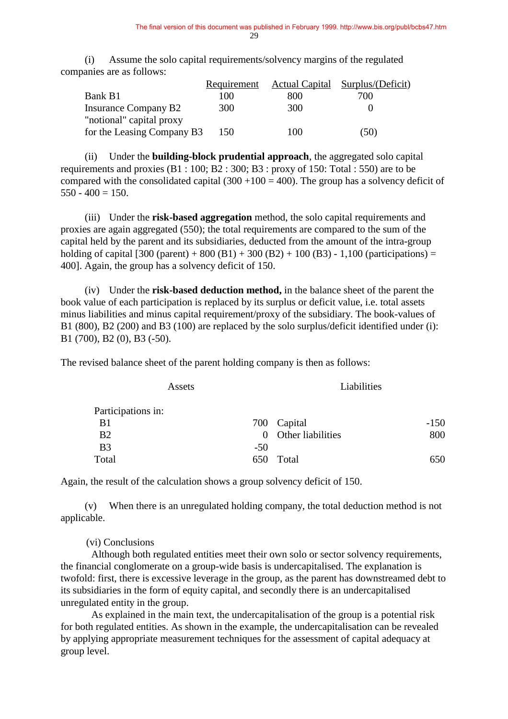(i) Assume the solo capital requirements/solvency margins of the regulated companies are as follows:

|                             | Requirement |     | Actual Capital Surplus/(Deficit) |
|-----------------------------|-------------|-----|----------------------------------|
| Bank B1                     | 100         | 800 | 700                              |
| <b>Insurance Company B2</b> | 300         | 300 |                                  |
| "notional" capital proxy    |             |     |                                  |
| for the Leasing Company B3  | 150         | 100 | (50)                             |

(ii) Under the **building-block prudential approach**, the aggregated solo capital requirements and proxies  $(B1:100; B2:300; B3:$  proxy of 150: Total : 550) are to be compared with the consolidated capital  $(300 + 100 = 400)$ . The group has a solvency deficit of  $550 - 400 = 150$ .

(iii) Under the **risk-based aggregation** method, the solo capital requirements and proxies are again aggregated (550); the total requirements are compared to the sum of the capital held by the parent and its subsidiaries, deducted from the amount of the intra-group holding of capital  $[300 (parent) + 800 (B1) + 300 (B2) + 100 (B3) - 1,100 (participations) =$ 400]. Again, the group has a solvency deficit of 150.

(iv) Under the **risk-based deduction method,** in the balance sheet of the parent the book value of each participation is replaced by its surplus or deficit value, i.e. total assets minus liabilities and minus capital requirement/proxy of the subsidiary. The book-values of B1 (800), B2 (200) and B3 (100) are replaced by the solo surplus/deficit identified under (i): B1 (700), B2 (0), B3 (-50).

The revised balance sheet of the parent holding company is then as follows:

| Assets             |       | Liabilities       |        |
|--------------------|-------|-------------------|--------|
| Participations in: |       |                   |        |
| B <sub>1</sub>     |       | 700 Capital       | $-150$ |
| B <sub>2</sub>     | 0     | Other liabilities | 800    |
| B <sub>3</sub>     | $-50$ |                   |        |
| Total              |       | 650 Total         | 650    |

Again, the result of the calculation shows a group solvency deficit of 150.

(v) When there is an unregulated holding company, the total deduction method is not applicable.

(vi) Conclusions

Although both regulated entities meet their own solo or sector solvency requirements, the financial conglomerate on a group-wide basis is undercapitalised. The explanation is twofold: first, there is excessive leverage in the group, as the parent has downstreamed debt to its subsidiaries in the form of equity capital, and secondly there is an undercapitalised unregulated entity in the group.

As explained in the main text, the undercapitalisation of the group is a potential risk for both regulated entities. As shown in the example, the undercapitalisation can be revealed by applying appropriate measurement techniques for the assessment of capital adequacy at group level.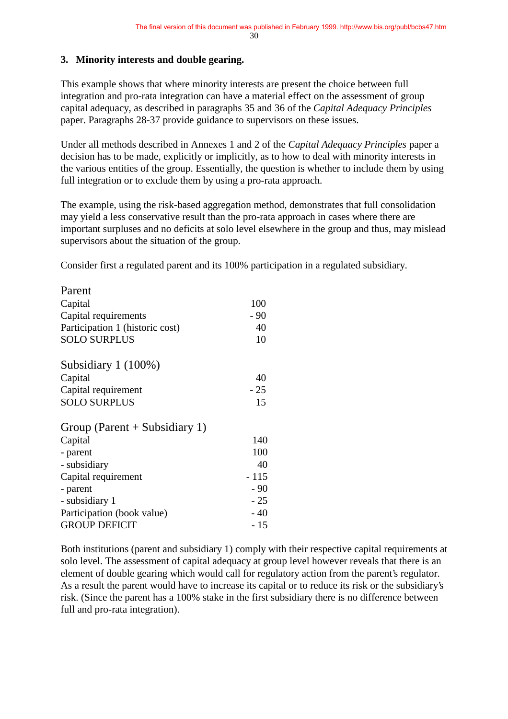#### **3. Minority interests and double gearing.**

This example shows that where minority interests are present the choice between full integration and pro-rata integration can have a material effect on the assessment of group capital adequacy, as described in paragraphs 35 and 36 of the *Capital Adequacy Principles* paper. Paragraphs 28-37 provide guidance to supervisors on these issues.

Under all methods described in Annexes 1 and 2 of the *Capital Adequacy Principles* paper a decision has to be made, explicitly or implicitly, as to how to deal with minority interests in the various entities of the group. Essentially, the question is whether to include them by using full integration or to exclude them by using a pro-rata approach.

The example, using the risk-based aggregation method, demonstrates that full consolidation may yield a less conservative result than the pro-rata approach in cases where there are important surpluses and no deficits at solo level elsewhere in the group and thus, may mislead supervisors about the situation of the group.

Consider first a regulated parent and its 100% participation in a regulated subsidiary.

| Parent                          |        |
|---------------------------------|--------|
| Capital                         | 100    |
| Capital requirements            | $-90$  |
| Participation 1 (historic cost) | 40     |
| <b>SOLO SURPLUS</b>             | 10     |
| Subsidiary 1 (100%)             |        |
| Capital                         | 40     |
| Capital requirement             | $-25$  |
| <b>SOLO SURPLUS</b>             | 15     |
| Group (Parent $+$ Subsidiary 1) |        |
| Capital                         | 140    |
| - parent                        | 100    |
| - subsidiary                    | 40     |
| Capital requirement             | $-115$ |
| - parent                        | $-90$  |
| - subsidiary 1                  | $-25$  |
| Participation (book value)      | $-40$  |
| <b>GROUP DEFICIT</b>            | $-15$  |

Both institutions (parent and subsidiary 1) comply with their respective capital requirements at solo level. The assessment of capital adequacy at group level however reveals that there is an element of double gearing which would call for regulatory action from the parent's regulator. As a result the parent would have to increase its capital or to reduce its risk or the subsidiary's risk. (Since the parent has a 100% stake in the first subsidiary there is no difference between full and pro-rata integration).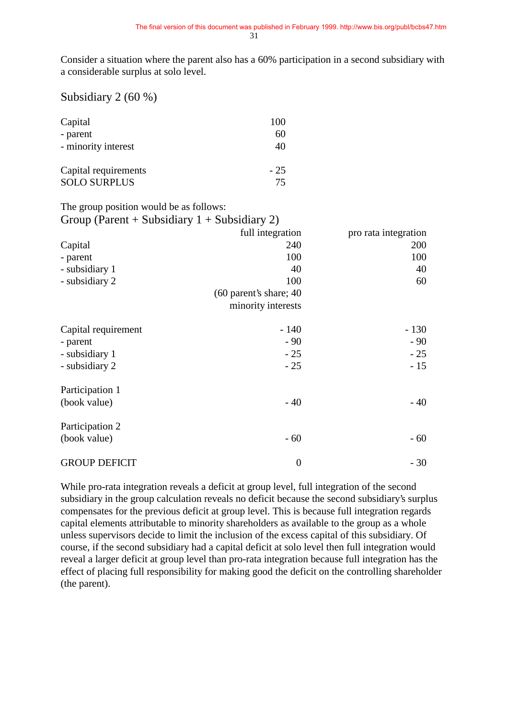Consider a situation where the parent also has a 60% participation in a second subsidiary with a considerable surplus at solo level.

#### Subsidiary 2 (60 %)

| Capital<br>- parent  | 100<br>60 |
|----------------------|-----------|
| - minority interest  | 40        |
| Capital requirements | $-25$     |
| <b>SOLO SURPLUS</b>  | 75        |

The group position would be as follows:

| Group (Parent + Subsidiary $1 +$ Subsidiary 2) |                          |                      |
|------------------------------------------------|--------------------------|----------------------|
|                                                | full integration         | pro rata integration |
| Capital                                        | 240                      | 200                  |
| - parent                                       | 100                      | 100                  |
| - subsidiary 1                                 | 40                       | 40                   |
| - subsidiary 2                                 | 100                      | 60                   |
|                                                | $(60$ parent's share; 40 |                      |
|                                                | minority interests       |                      |
| Capital requirement                            | $-140$                   | $-130$               |
| - parent                                       | $-90$                    | $-90$                |
| - subsidiary 1                                 | $-25$                    | $-25$                |
| - subsidiary 2                                 | $-25$                    | $-15$                |
| Participation 1                                |                          |                      |
| (book value)                                   | $-40$                    | $-40$                |
| Participation 2                                |                          |                      |
| (book value)                                   | $-60$                    | - 60                 |
| <b>GROUP DEFICIT</b>                           | $\boldsymbol{0}$         | $-30$                |

While pro-rata integration reveals a deficit at group level, full integration of the second subsidiary in the group calculation reveals no deficit because the second subsidiary's surplus compensates for the previous deficit at group level. This is because full integration regards capital elements attributable to minority shareholders as available to the group as a whole unless supervisors decide to limit the inclusion of the excess capital of this subsidiary. Of course, if the second subsidiary had a capital deficit at solo level then full integration would reveal a larger deficit at group level than pro-rata integration because full integration has the effect of placing full responsibility for making good the deficit on the controlling shareholder (the parent).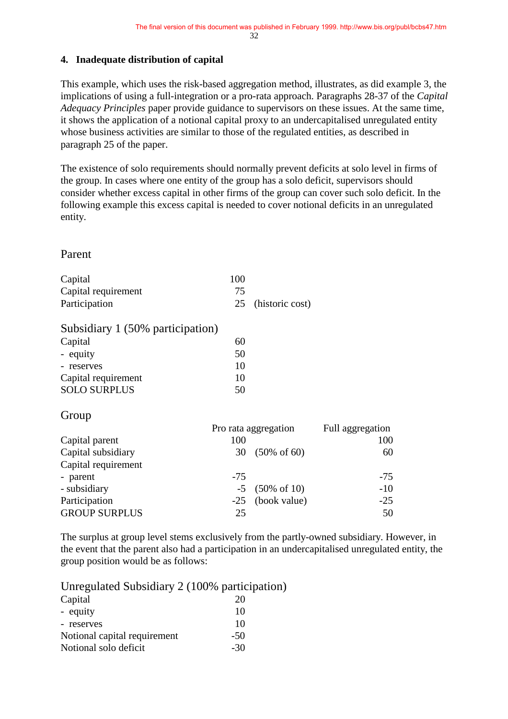#### **4. Inadequate distribution of capital**

This example, which uses the risk-based aggregation method, illustrates, as did example 3, the implications of using a full-integration or a pro-rata approach. Paragraphs 28-37 of the *Capital Adequacy Principles* paper provide guidance to supervisors on these issues. At the same time, it shows the application of a notional capital proxy to an undercapitalised unregulated entity whose business activities are similar to those of the regulated entities, as described in paragraph 25 of the paper.

The existence of solo requirements should normally prevent deficits at solo level in firms of the group. In cases where one entity of the group has a solo deficit, supervisors should consider whether excess capital in other firms of the group can cover such solo deficit. In the following example this excess capital is needed to cover notional deficits in an unregulated entity.

### Parent

| Capital             | 100 |                    |
|---------------------|-----|--------------------|
| Capital requirement | 75  |                    |
| Participation       |     | 25 (historic cost) |

| Subsidiary 1 (50% participation) |    |
|----------------------------------|----|
| Capital                          | 60 |
| - equity                         | 50 |
| - reserves                       | 10 |

| $-10001$ YGS        | .  |
|---------------------|----|
| Capital requirement | 10 |
| <b>SOLO SURPLUS</b> | 50 |

### Group

|                      | Pro rata aggregation | Full aggregation |       |
|----------------------|----------------------|------------------|-------|
| Capital parent       | 100                  |                  | 100   |
| Capital subsidiary   |                      | 30 (50% of 60)   | 60    |
| Capital requirement  |                      |                  |       |
| - parent             | $-75$                |                  | $-75$ |
| - subsidiary         |                      | $-5$ (50% of 10) | $-10$ |
| Participation        |                      | -25 (book value) | $-25$ |
| <b>GROUP SURPLUS</b> | 25                   |                  | 50    |

The surplus at group level stems exclusively from the partly-owned subsidiary. However, in the event that the parent also had a participation in an undercapitalised unregulated entity, the group position would be as follows:

Unregulated Subsidiary 2 (100% participation)

| Capital                      | 20    |
|------------------------------|-------|
| - equity                     | 10    |
| - reserves                   | 10    |
| Notional capital requirement | $-50$ |
| Notional solo deficit        | $-30$ |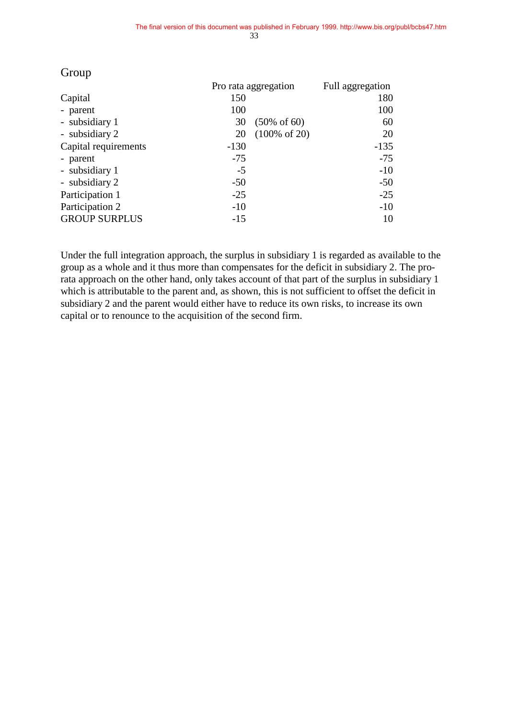|                      | Pro rata aggregation |                          | Full aggregation |
|----------------------|----------------------|--------------------------|------------------|
| Capital              | 150                  |                          | 180              |
| - parent             | 100                  |                          | 100              |
| - subsidiary 1       | 30                   | $(50\% \text{ of } 60)$  | 60               |
| - subsidiary 2       | 20                   | $(100\% \text{ of } 20)$ | 20               |
| Capital requirements | $-130$               |                          | $-135$           |
| - parent             | $-75$                |                          | $-75$            |
| - subsidiary 1       | $-5$                 |                          | $-10$            |
| - subsidiary 2       | $-50$                |                          | $-50$            |
| Participation 1      | $-25$                |                          | $-25$            |
| Participation 2      | $-10$                |                          | $-10$            |
| <b>GROUP SURPLUS</b> | $-15$                |                          | 10               |

### Group

Under the full integration approach, the surplus in subsidiary 1 is regarded as available to the group as a whole and it thus more than compensates for the deficit in subsidiary 2. The prorata approach on the other hand, only takes account of that part of the surplus in subsidiary 1 which is attributable to the parent and, as shown, this is not sufficient to offset the deficit in subsidiary 2 and the parent would either have to reduce its own risks, to increase its own capital or to renounce to the acquisition of the second firm.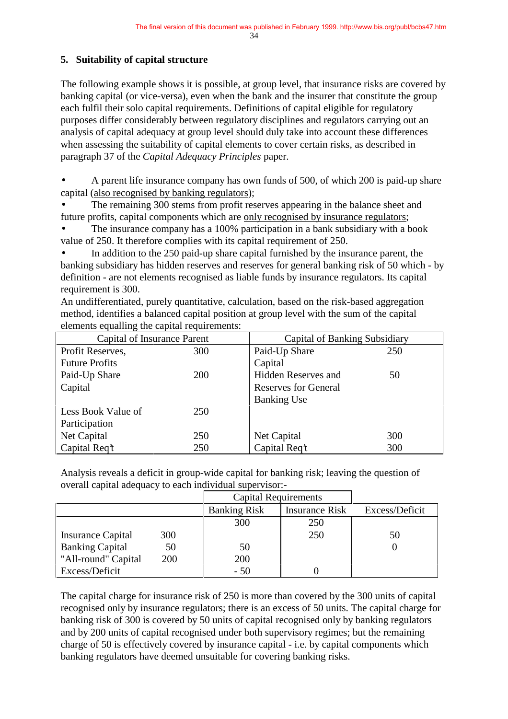34

## **5. Suitability of capital structure**

The following example shows it is possible, at group level, that insurance risks are covered by banking capital (or vice-versa), even when the bank and the insurer that constitute the group each fulfil their solo capital requirements. Definitions of capital eligible for regulatory purposes differ considerably between regulatory disciplines and regulators carrying out an analysis of capital adequacy at group level should duly take into account these differences when assessing the suitability of capital elements to cover certain risks, as described in paragraph 37 of the *Capital Adequacy Principles* paper.

• A parent life insurance company has own funds of 500, of which 200 is paid-up share capital (also recognised by banking regulators);

The remaining 300 stems from profit reserves appearing in the balance sheet and future profits, capital components which are only recognised by insurance regulators;

The insurance company has a 100% participation in a bank subsidiary with a book value of 250. It therefore complies with its capital requirement of 250.

In addition to the 250 paid-up share capital furnished by the insurance parent, the banking subsidiary has hidden reserves and reserves for general banking risk of 50 which - by definition - are not elements recognised as liable funds by insurance regulators. Its capital requirement is 300.

An undifferentiated, purely quantitative, calculation, based on the risk-based aggregation method, identifies a balanced capital position at group level with the sum of the capital elements equalling the capital requirements:

| Capital of Insurance Parent |            |                             | Capital of Banking Subsidiary |  |
|-----------------------------|------------|-----------------------------|-------------------------------|--|
| Profit Reserves,            | 300        | Paid-Up Share               | 250                           |  |
| <b>Future Profits</b>       |            | Capital                     |                               |  |
| Paid-Up Share               | <b>200</b> | <b>Hidden Reserves and</b>  | 50                            |  |
| Capital                     |            | <b>Reserves for General</b> |                               |  |
|                             |            | <b>Banking Use</b>          |                               |  |
| Less Book Value of          | 250        |                             |                               |  |
| Participation               |            |                             |                               |  |
| Net Capital                 | 250        | Net Capital                 | 300                           |  |
| Capital Req't               | 250        | Capital Req't               | 300                           |  |

Analysis reveals a deficit in group-wide capital for banking risk; leaving the question of overall capital adequacy to each individual supervisor:-

|                        |     | <b>Capital Requirements</b> |                       |                |
|------------------------|-----|-----------------------------|-----------------------|----------------|
|                        |     | <b>Banking Risk</b>         | <b>Insurance Risk</b> | Excess/Deficit |
|                        |     | 300                         | 250                   |                |
| Insurance Capital      | 300 |                             | 250                   | 50             |
| <b>Banking Capital</b> | 50  | 50                          |                       |                |
| "All-round" Capital    | 200 | 200                         |                       |                |
| Excess/Deficit         |     | $-50$                       |                       |                |

The capital charge for insurance risk of 250 is more than covered by the 300 units of capital recognised only by insurance regulators; there is an excess of 50 units. The capital charge for banking risk of 300 is covered by 50 units of capital recognised only by banking regulators and by 200 units of capital recognised under both supervisory regimes; but the remaining charge of 50 is effectively covered by insurance capital - i.e. by capital components which banking regulators have deemed unsuitable for covering banking risks.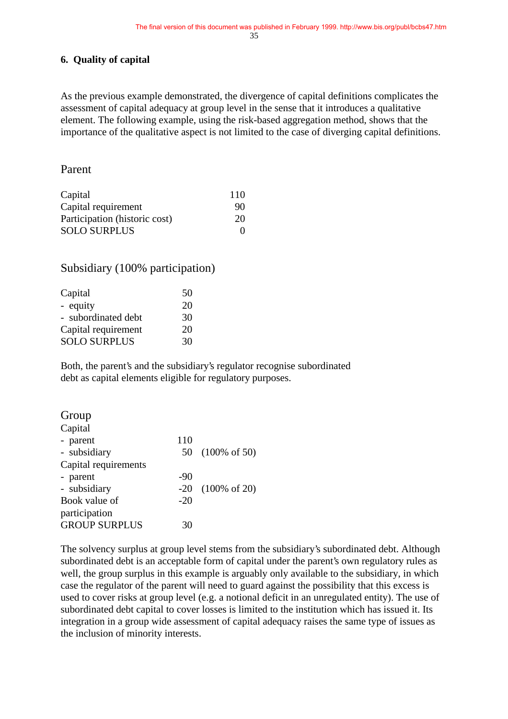## **6. Quality of capital**

As the previous example demonstrated, the divergence of capital definitions complicates the assessment of capital adequacy at group level in the sense that it introduces a qualitative element. The following example, using the risk-based aggregation method, shows that the importance of the qualitative aspect is not limited to the case of diverging capital definitions.

## Parent

| Capital                       | 110 |
|-------------------------------|-----|
| Capital requirement           | 90  |
| Participation (historic cost) | 20  |
| <b>SOLO SURPLUS</b>           | 0   |

## Subsidiary (100% participation)

| Capital             | 50 |
|---------------------|----|
| - equity            | 20 |
| - subordinated debt | 30 |
| Capital requirement | 20 |
| <b>SOLO SURPLUS</b> | 30 |
|                     |    |

Both, the parent's and the subsidiary's regulator recognise subordinated debt as capital elements eligible for regulatory purposes.

| Group                |       |                          |
|----------------------|-------|--------------------------|
| Capital              |       |                          |
| - parent             | 110   |                          |
| - subsidiary         |       | 50 (100% of 50)          |
| Capital requirements |       |                          |
| - parent             | -90   |                          |
| - subsidiary         | $-20$ | $(100\% \text{ of } 20)$ |
| Book value of        | $-20$ |                          |
| participation        |       |                          |
| <b>GROUP SURPLUS</b> | 30    |                          |

The solvency surplus at group level stems from the subsidiary's subordinated debt. Although subordinated debt is an acceptable form of capital under the parent's own regulatory rules as well, the group surplus in this example is arguably only available to the subsidiary, in which case the regulator of the parent will need to guard against the possibility that this excess is used to cover risks at group level (e.g. a notional deficit in an unregulated entity). The use of subordinated debt capital to cover losses is limited to the institution which has issued it. Its integration in a group wide assessment of capital adequacy raises the same type of issues as the inclusion of minority interests.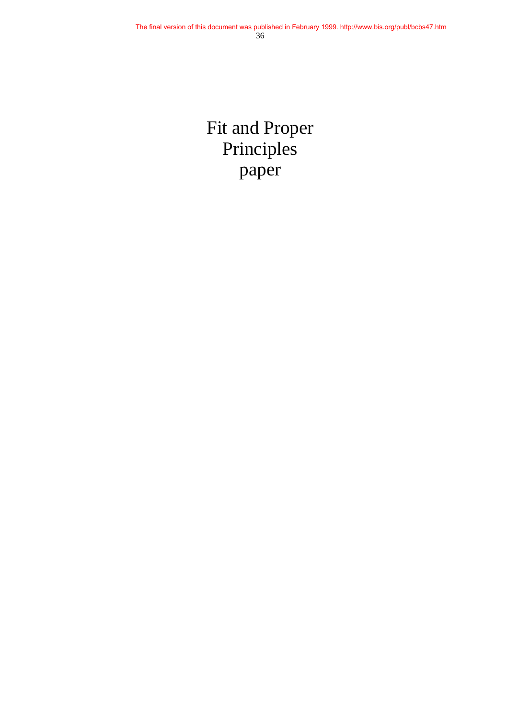Fit and Proper Principles paper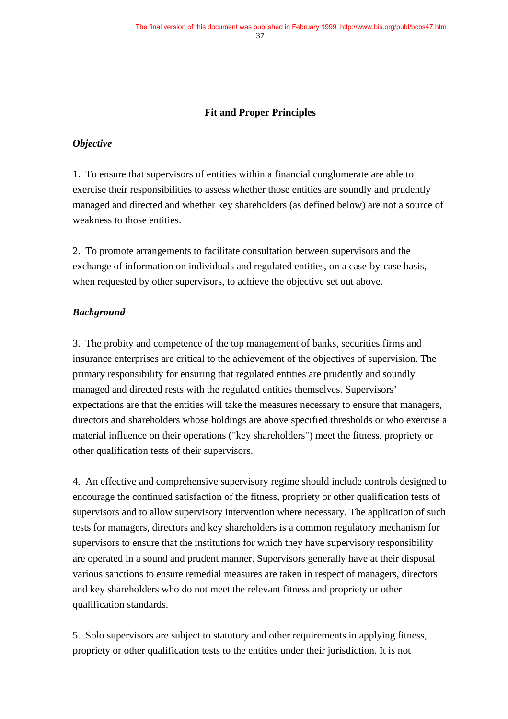## **Fit and Proper Principles**

### *Objective*

1. To ensure that supervisors of entities within a financial conglomerate are able to exercise their responsibilities to assess whether those entities are soundly and prudently managed and directed and whether key shareholders (as defined below) are not a source of weakness to those entities.

2. To promote arrangements to facilitate consultation between supervisors and the exchange of information on individuals and regulated entities, on a case-by-case basis, when requested by other supervisors, to achieve the objective set out above.

#### *Background*

3. The probity and competence of the top management of banks, securities firms and insurance enterprises are critical to the achievement of the objectives of supervision. The primary responsibility for ensuring that regulated entities are prudently and soundly managed and directed rests with the regulated entities themselves. Supervisors' expectations are that the entities will take the measures necessary to ensure that managers, directors and shareholders whose holdings are above specified thresholds or who exercise a material influence on their operations ("key shareholders") meet the fitness, propriety or other qualification tests of their supervisors.

4. An effective and comprehensive supervisory regime should include controls designed to encourage the continued satisfaction of the fitness, propriety or other qualification tests of supervisors and to allow supervisory intervention where necessary. The application of such tests for managers, directors and key shareholders is a common regulatory mechanism for supervisors to ensure that the institutions for which they have supervisory responsibility are operated in a sound and prudent manner. Supervisors generally have at their disposal various sanctions to ensure remedial measures are taken in respect of managers, directors and key shareholders who do not meet the relevant fitness and propriety or other qualification standards.

5. Solo supervisors are subject to statutory and other requirements in applying fitness, propriety or other qualification tests to the entities under their jurisdiction. It is not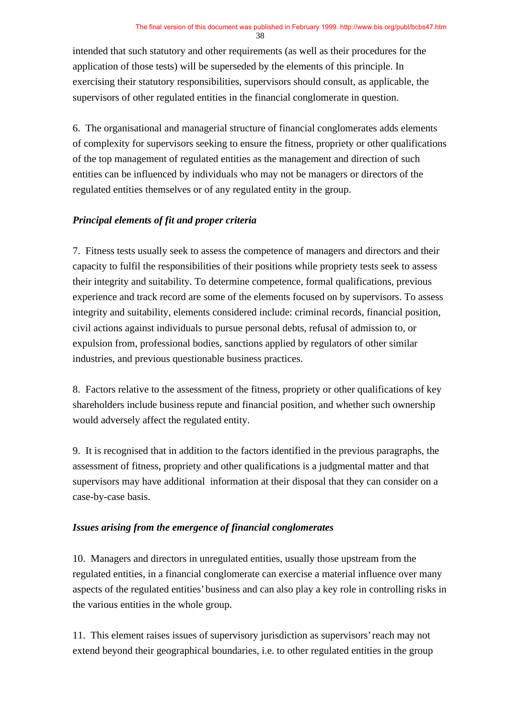38

intended that such statutory and other requirements (as well as their procedures for the application of those tests) will be superseded by the elements of this principle. In exercising their statutory responsibilities, supervisors should consult, as applicable, the supervisors of other regulated entities in the financial conglomerate in question.

6. The organisational and managerial structure of financial conglomerates adds elements of complexity for supervisors seeking to ensure the fitness, propriety or other qualifications of the top management of regulated entities as the management and direction of such entities can be influenced by individuals who may not be managers or directors of the regulated entities themselves or of any regulated entity in the group.

# *Principal elements of fit and proper criteria*

7. Fitness tests usually seek to assess the competence of managers and directors and their capacity to fulfil the responsibilities of their positions while propriety tests seek to assess their integrity and suitability. To determine competence, formal qualifications, previous experience and track record are some of the elements focused on by supervisors. To assess integrity and suitability, elements considered include: criminal records, financial position, civil actions against individuals to pursue personal debts, refusal of admission to, or expulsion from, professional bodies, sanctions applied by regulators of other similar industries, and previous questionable business practices.

8. Factors relative to the assessment of the fitness, propriety or other qualifications of key shareholders include business repute and financial position, and whether such ownership would adversely affect the regulated entity.

9. It is recognised that in addition to the factors identified in the previous paragraphs, the assessment of fitness, propriety and other qualifications is a judgmental matter and that supervisors may have additional information at their disposal that they can consider on a case-by-case basis.

## *Issues arising from the emergence of financial conglomerates*

10. Managers and directors in unregulated entities, usually those upstream from the regulated entities, in a financial conglomerate can exercise a material influence over many aspects of the regulated entities' business and can also play a key role in controlling risks in the various entities in the whole group.

11. This element raises issues of supervisory jurisdiction as supervisors' reach may not extend beyond their geographical boundaries, i.e. to other regulated entities in the group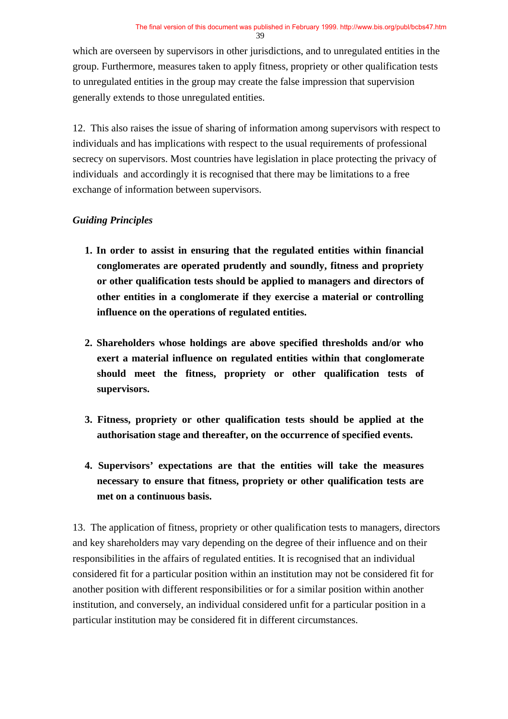39

which are overseen by supervisors in other jurisdictions, and to unregulated entities in the group. Furthermore, measures taken to apply fitness, propriety or other qualification tests to unregulated entities in the group may create the false impression that supervision generally extends to those unregulated entities.

12. This also raises the issue of sharing of information among supervisors with respect to individuals and has implications with respect to the usual requirements of professional secrecy on supervisors. Most countries have legislation in place protecting the privacy of individuals and accordingly it is recognised that there may be limitations to a free exchange of information between supervisors.

# *Guiding Principles*

- **1. In order to assist in ensuring that the regulated entities within financial conglomerates are operated prudently and soundly, fitness and propriety or other qualification tests should be applied to managers and directors of other entities in a conglomerate if they exercise a material or controlling influence on the operations of regulated entities.**
- **2. Shareholders whose holdings are above specified thresholds and/or who exert a material influence on regulated entities within that conglomerate should meet the fitness, propriety or other qualification tests of supervisors.**
- **3. Fitness, propriety or other qualification tests should be applied at the authorisation stage and thereafter, on the occurrence of specified events.**
- **4. Supervisors' expectations are that the entities will take the measures necessary to ensure that fitness, propriety or other qualification tests are met on a continuous basis.**

13. The application of fitness, propriety or other qualification tests to managers, directors and key shareholders may vary depending on the degree of their influence and on their responsibilities in the affairs of regulated entities. It is recognised that an individual considered fit for a particular position within an institution may not be considered fit for another position with different responsibilities or for a similar position within another institution, and conversely, an individual considered unfit for a particular position in a particular institution may be considered fit in different circumstances.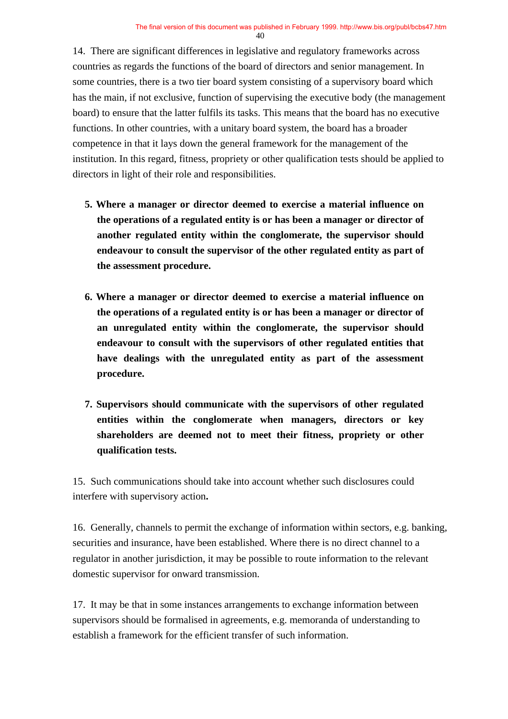14. There are significant differences in legislative and regulatory frameworks across countries as regards the functions of the board of directors and senior management. In some countries, there is a two tier board system consisting of a supervisory board which has the main, if not exclusive, function of supervising the executive body (the management board) to ensure that the latter fulfils its tasks. This means that the board has no executive functions. In other countries, with a unitary board system, the board has a broader competence in that it lays down the general framework for the management of the institution. In this regard, fitness, propriety or other qualification tests should be applied to directors in light of their role and responsibilities.

- **5. Where a manager or director deemed to exercise a material influence on the operations of a regulated entity is or has been a manager or director of another regulated entity within the conglomerate, the supervisor should endeavour to consult the supervisor of the other regulated entity as part of the assessment procedure.**
- **6. Where a manager or director deemed to exercise a material influence on the operations of a regulated entity is or has been a manager or director of an unregulated entity within the conglomerate, the supervisor should endeavour to consult with the supervisors of other regulated entities that have dealings with the unregulated entity as part of the assessment procedure.**
- **7. Supervisors should communicate with the supervisors of other regulated entities within the conglomerate when managers, directors or key shareholders are deemed not to meet their fitness, propriety or other qualification tests.**

15. Such communications should take into account whether such disclosures could interfere with supervisory action**.**

16. Generally, channels to permit the exchange of information within sectors, e.g. banking, securities and insurance, have been established. Where there is no direct channel to a regulator in another jurisdiction, it may be possible to route information to the relevant domestic supervisor for onward transmission.

17. It may be that in some instances arrangements to exchange information between supervisors should be formalised in agreements, e.g. memoranda of understanding to establish a framework for the efficient transfer of such information.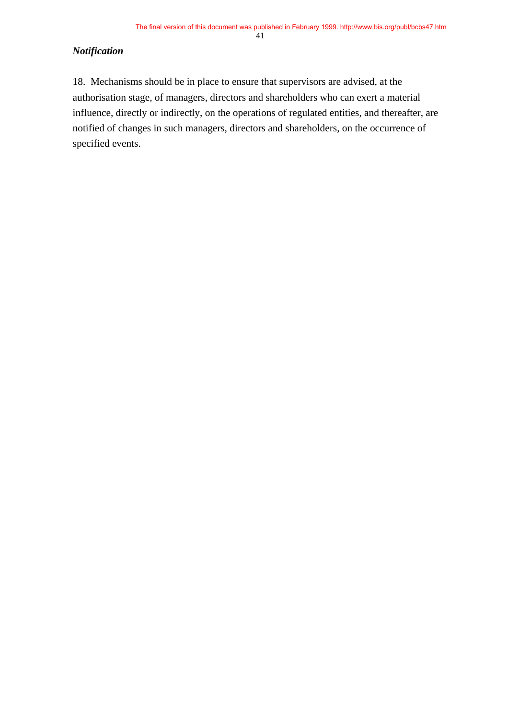41

## *Notification*

18. Mechanisms should be in place to ensure that supervisors are advised, at the authorisation stage, of managers, directors and shareholders who can exert a material influence, directly or indirectly, on the operations of regulated entities, and thereafter, are notified of changes in such managers, directors and shareholders, on the occurrence of specified events.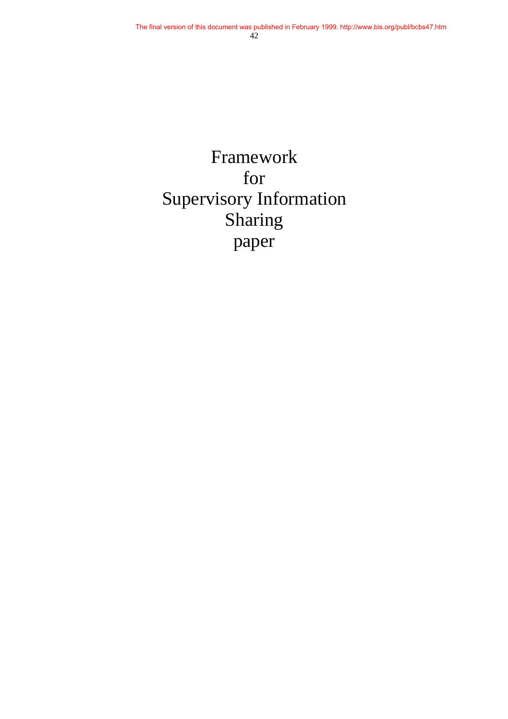Framework for Supervisory Information Sharing paper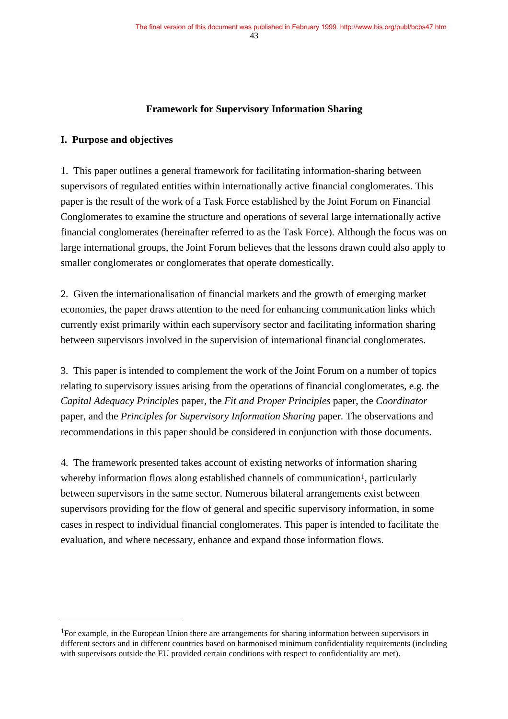## **Framework for Supervisory Information Sharing**

### **I. Purpose and objectives**

1. This paper outlines a general framework for facilitating information-sharing between supervisors of regulated entities within internationally active financial conglomerates. This paper is the result of the work of a Task Force established by the Joint Forum on Financial Conglomerates to examine the structure and operations of several large internationally active financial conglomerates (hereinafter referred to as the Task Force). Although the focus was on large international groups, the Joint Forum believes that the lessons drawn could also apply to smaller conglomerates or conglomerates that operate domestically.

2. Given the internationalisation of financial markets and the growth of emerging market economies, the paper draws attention to the need for enhancing communication links which currently exist primarily within each supervisory sector and facilitating information sharing between supervisors involved in the supervision of international financial conglomerates.

3. This paper is intended to complement the work of the Joint Forum on a number of topics relating to supervisory issues arising from the operations of financial conglomerates, e.g. the *Capital Adequacy Principles* paper, the *Fit and Proper Principles* paper, the *Coordinator* paper, and the *Principles for Supervisory Information Sharing* paper. The observations and recommendations in this paper should be considered in conjunction with those documents.

4. The framework presented takes account of existing networks of information sharing whereby information flows along established channels of communication<sup>1</sup>, particularly between supervisors in the same sector. Numerous bilateral arrangements exist between supervisors providing for the flow of general and specific supervisory information, in some cases in respect to individual financial conglomerates. This paper is intended to facilitate the evaluation, and where necessary, enhance and expand those information flows.

 <sup>1</sup>For example, in the European Union there are arrangements for sharing information between supervisors in different sectors and in different countries based on harmonised minimum confidentiality requirements (including with supervisors outside the EU provided certain conditions with respect to confidentiality are met).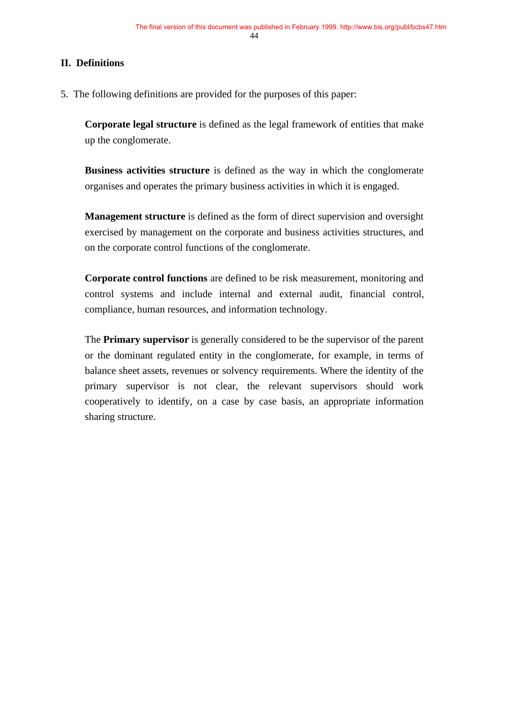## **II. Definitions**

5. The following definitions are provided for the purposes of this paper:

**Corporate legal structure** is defined as the legal framework of entities that make up the conglomerate.

**Business activities structure** is defined as the way in which the conglomerate organises and operates the primary business activities in which it is engaged.

**Management structure** is defined as the form of direct supervision and oversight exercised by management on the corporate and business activities structures, and on the corporate control functions of the conglomerate.

**Corporate control functions** are defined to be risk measurement, monitoring and control systems and include internal and external audit, financial control, compliance, human resources, and information technology.

The **Primary supervisor** is generally considered to be the supervisor of the parent or the dominant regulated entity in the conglomerate, for example, in terms of balance sheet assets, revenues or solvency requirements. Where the identity of the primary supervisor is not clear, the relevant supervisors should work cooperatively to identify, on a case by case basis, an appropriate information sharing structure.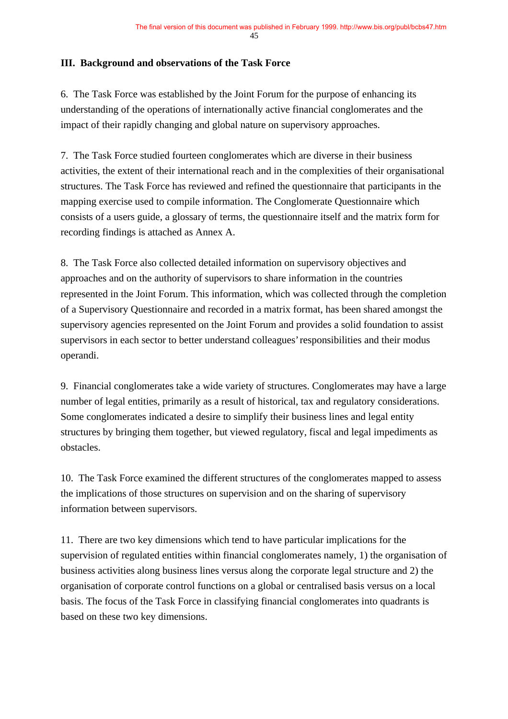## **III. Background and observations of the Task Force**

6. The Task Force was established by the Joint Forum for the purpose of enhancing its understanding of the operations of internationally active financial conglomerates and the impact of their rapidly changing and global nature on supervisory approaches.

7. The Task Force studied fourteen conglomerates which are diverse in their business activities, the extent of their international reach and in the complexities of their organisational structures. The Task Force has reviewed and refined the questionnaire that participants in the mapping exercise used to compile information. The Conglomerate Questionnaire which consists of a users guide, a glossary of terms, the questionnaire itself and the matrix form for recording findings is attached as Annex A.

8. The Task Force also collected detailed information on supervisory objectives and approaches and on the authority of supervisors to share information in the countries represented in the Joint Forum. This information, which was collected through the completion of a Supervisory Questionnaire and recorded in a matrix format, has been shared amongst the supervisory agencies represented on the Joint Forum and provides a solid foundation to assist supervisors in each sector to better understand colleagues' responsibilities and their modus operandi.

9. Financial conglomerates take a wide variety of structures. Conglomerates may have a large number of legal entities, primarily as a result of historical, tax and regulatory considerations. Some conglomerates indicated a desire to simplify their business lines and legal entity structures by bringing them together, but viewed regulatory, fiscal and legal impediments as obstacles.

10. The Task Force examined the different structures of the conglomerates mapped to assess the implications of those structures on supervision and on the sharing of supervisory information between supervisors.

11. There are two key dimensions which tend to have particular implications for the supervision of regulated entities within financial conglomerates namely, 1) the organisation of business activities along business lines versus along the corporate legal structure and 2) the organisation of corporate control functions on a global or centralised basis versus on a local basis. The focus of the Task Force in classifying financial conglomerates into quadrants is based on these two key dimensions.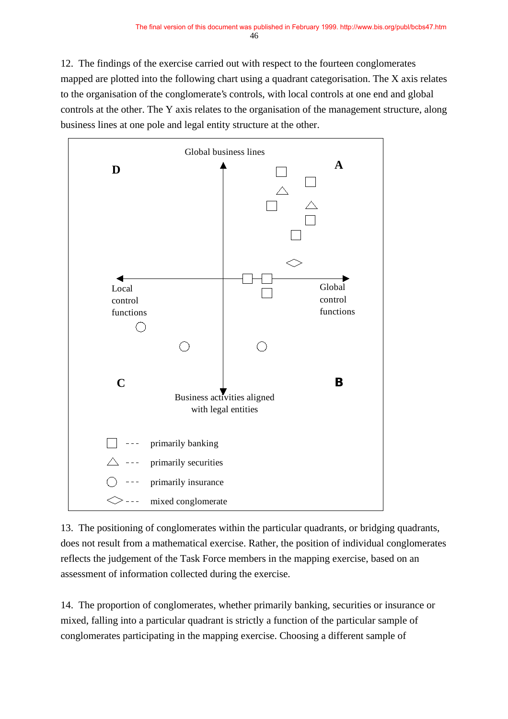12. The findings of the exercise carried out with respect to the fourteen conglomerates mapped are plotted into the following chart using a quadrant categorisation. The X axis relates to the organisation of the conglomerate's controls, with local controls at one end and global controls at the other. The Y axis relates to the organisation of the management structure, along business lines at one pole and legal entity structure at the other.



13. The positioning of conglomerates within the particular quadrants, or bridging quadrants, does not result from a mathematical exercise. Rather, the position of individual conglomerates reflects the judgement of the Task Force members in the mapping exercise, based on an assessment of information collected during the exercise.

14. The proportion of conglomerates, whether primarily banking, securities or insurance or mixed, falling into a particular quadrant is strictly a function of the particular sample of conglomerates participating in the mapping exercise. Choosing a different sample of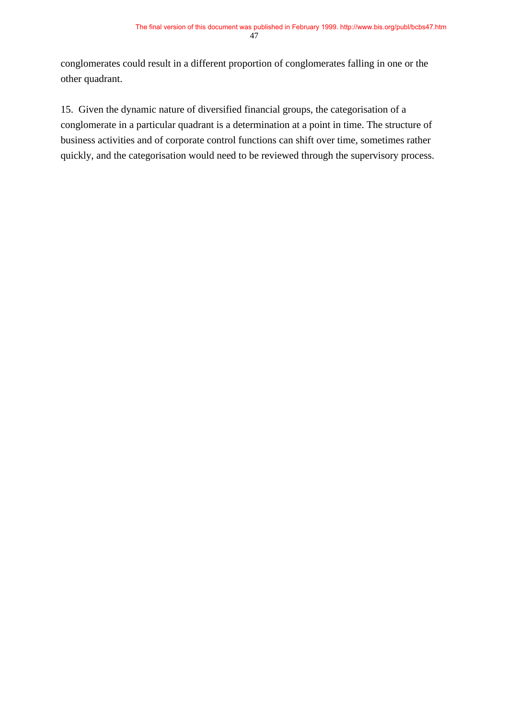conglomerates could result in a different proportion of conglomerates falling in one or the other quadrant.

15. Given the dynamic nature of diversified financial groups, the categorisation of a conglomerate in a particular quadrant is a determination at a point in time. The structure of business activities and of corporate control functions can shift over time, sometimes rather quickly, and the categorisation would need to be reviewed through the supervisory process.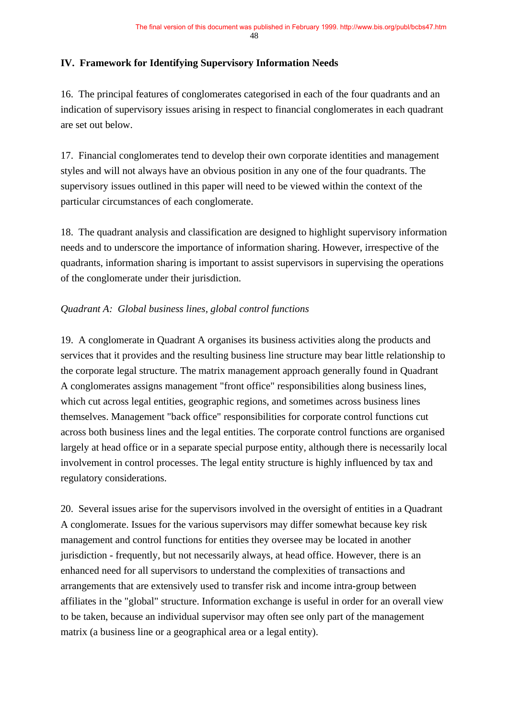## **IV. Framework for Identifying Supervisory Information Needs**

16. The principal features of conglomerates categorised in each of the four quadrants and an indication of supervisory issues arising in respect to financial conglomerates in each quadrant are set out below.

17. Financial conglomerates tend to develop their own corporate identities and management styles and will not always have an obvious position in any one of the four quadrants. The supervisory issues outlined in this paper will need to be viewed within the context of the particular circumstances of each conglomerate.

18. The quadrant analysis and classification are designed to highlight supervisory information needs and to underscore the importance of information sharing. However, irrespective of the quadrants, information sharing is important to assist supervisors in supervising the operations of the conglomerate under their jurisdiction.

## *Quadrant A: Global business lines, global control functions*

19. A conglomerate in Quadrant A organises its business activities along the products and services that it provides and the resulting business line structure may bear little relationship to the corporate legal structure. The matrix management approach generally found in Quadrant A conglomerates assigns management "front office" responsibilities along business lines, which cut across legal entities, geographic regions, and sometimes across business lines themselves. Management "back office" responsibilities for corporate control functions cut across both business lines and the legal entities. The corporate control functions are organised largely at head office or in a separate special purpose entity, although there is necessarily local involvement in control processes. The legal entity structure is highly influenced by tax and regulatory considerations.

20. Several issues arise for the supervisors involved in the oversight of entities in a Quadrant A conglomerate. Issues for the various supervisors may differ somewhat because key risk management and control functions for entities they oversee may be located in another jurisdiction - frequently, but not necessarily always, at head office. However, there is an enhanced need for all supervisors to understand the complexities of transactions and arrangements that are extensively used to transfer risk and income intra-group between affiliates in the "global" structure. Information exchange is useful in order for an overall view to be taken, because an individual supervisor may often see only part of the management matrix (a business line or a geographical area or a legal entity).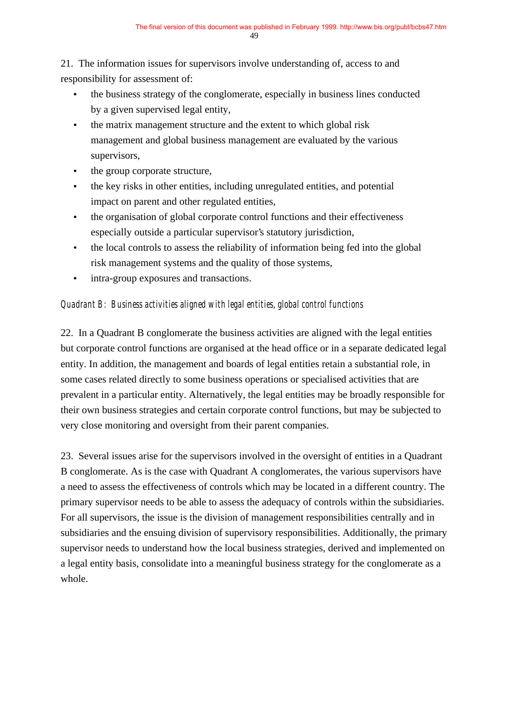21. The information issues for supervisors involve understanding of, access to and responsibility for assessment of:

- the business strategy of the conglomerate, especially in business lines conducted by a given supervised legal entity,
- the matrix management structure and the extent to which global risk management and global business management are evaluated by the various supervisors,
- the group corporate structure,
- the key risks in other entities, including unregulated entities, and potential impact on parent and other regulated entities,
- the organisation of global corporate control functions and their effectiveness especially outside a particular supervisor's statutory jurisdiction,
- the local controls to assess the reliability of information being fed into the global risk management systems and the quality of those systems,
- intra-group exposures and transactions.

## *Quadrant B: Business activities aligned with legal entities, global control functions*

22. In a Quadrant B conglomerate the business activities are aligned with the legal entities but corporate control functions are organised at the head office or in a separate dedicated legal entity. In addition, the management and boards of legal entities retain a substantial role, in some cases related directly to some business operations or specialised activities that are prevalent in a particular entity. Alternatively, the legal entities may be broadly responsible for their own business strategies and certain corporate control functions, but may be subjected to very close monitoring and oversight from their parent companies.

23. Several issues arise for the supervisors involved in the oversight of entities in a Quadrant B conglomerate. As is the case with Quadrant A conglomerates, the various supervisors have a need to assess the effectiveness of controls which may be located in a different country. The primary supervisor needs to be able to assess the adequacy of controls within the subsidiaries. For all supervisors, the issue is the division of management responsibilities centrally and in subsidiaries and the ensuing division of supervisory responsibilities. Additionally, the primary supervisor needs to understand how the local business strategies, derived and implemented on a legal entity basis, consolidate into a meaningful business strategy for the conglomerate as a whole.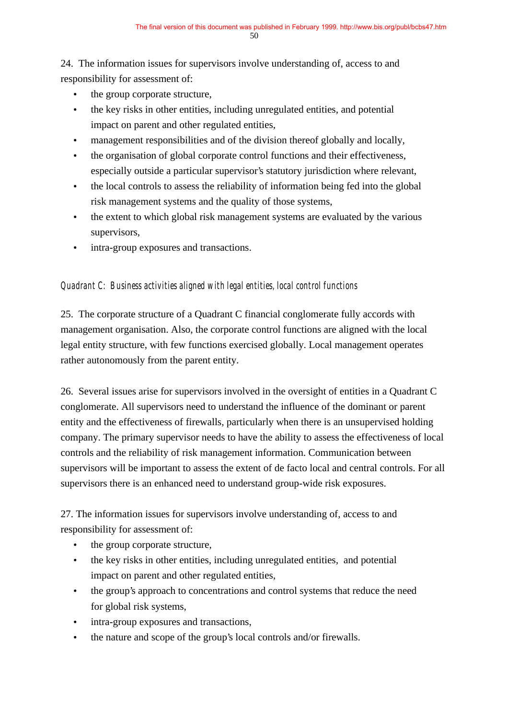24. The information issues for supervisors involve understanding of, access to and responsibility for assessment of:

- the group corporate structure,
- the key risks in other entities, including unregulated entities, and potential impact on parent and other regulated entities,
- management responsibilities and of the division thereof globally and locally,
- the organisation of global corporate control functions and their effectiveness, especially outside a particular supervisor's statutory jurisdiction where relevant,
- the local controls to assess the reliability of information being fed into the global risk management systems and the quality of those systems,
- the extent to which global risk management systems are evaluated by the various supervisors,
- intra-group exposures and transactions.

## *Quadrant C: Business activities aligned with legal entities, local control functions*

25. The corporate structure of a Quadrant C financial conglomerate fully accords with management organisation. Also, the corporate control functions are aligned with the local legal entity structure, with few functions exercised globally. Local management operates rather autonomously from the parent entity.

26. Several issues arise for supervisors involved in the oversight of entities in a Quadrant C conglomerate. All supervisors need to understand the influence of the dominant or parent entity and the effectiveness of firewalls, particularly when there is an unsupervised holding company. The primary supervisor needs to have the ability to assess the effectiveness of local controls and the reliability of risk management information. Communication between supervisors will be important to assess the extent of de facto local and central controls. For all supervisors there is an enhanced need to understand group-wide risk exposures.

27. The information issues for supervisors involve understanding of, access to and responsibility for assessment of:

- the group corporate structure,
- the key risks in other entities, including unregulated entities, and potential impact on parent and other regulated entities,
- the group's approach to concentrations and control systems that reduce the need for global risk systems,
- intra-group exposures and transactions,
- the nature and scope of the group's local controls and/or firewalls.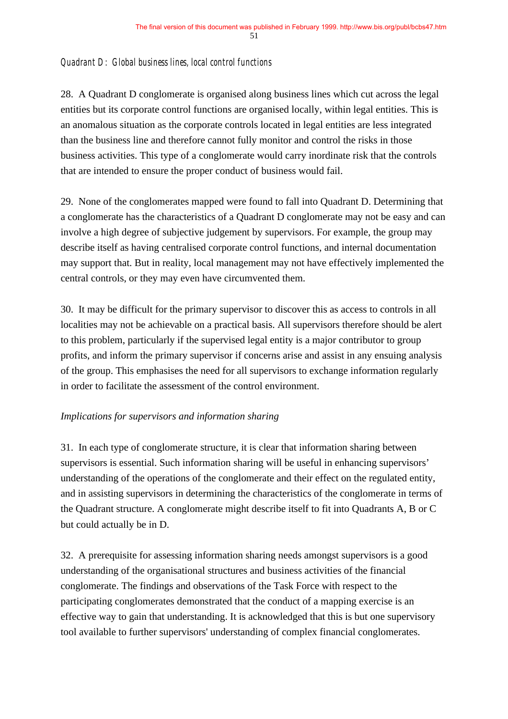## *Quadrant D: Global business lines, local control functions*

28. A Quadrant D conglomerate is organised along business lines which cut across the legal entities but its corporate control functions are organised locally, within legal entities. This is an anomalous situation as the corporate controls located in legal entities are less integrated than the business line and therefore cannot fully monitor and control the risks in those business activities. This type of a conglomerate would carry inordinate risk that the controls that are intended to ensure the proper conduct of business would fail.

29. None of the conglomerates mapped were found to fall into Quadrant D. Determining that a conglomerate has the characteristics of a Quadrant D conglomerate may not be easy and can involve a high degree of subjective judgement by supervisors. For example, the group may describe itself as having centralised corporate control functions, and internal documentation may support that. But in reality, local management may not have effectively implemented the central controls, or they may even have circumvented them.

30. It may be difficult for the primary supervisor to discover this as access to controls in all localities may not be achievable on a practical basis. All supervisors therefore should be alert to this problem, particularly if the supervised legal entity is a major contributor to group profits, and inform the primary supervisor if concerns arise and assist in any ensuing analysis of the group. This emphasises the need for all supervisors to exchange information regularly in order to facilitate the assessment of the control environment.

#### *Implications for supervisors and information sharing*

31. In each type of conglomerate structure, it is clear that information sharing between supervisors is essential. Such information sharing will be useful in enhancing supervisors' understanding of the operations of the conglomerate and their effect on the regulated entity, and in assisting supervisors in determining the characteristics of the conglomerate in terms of the Quadrant structure. A conglomerate might describe itself to fit into Quadrants A, B or C but could actually be in D.

32. A prerequisite for assessing information sharing needs amongst supervisors is a good understanding of the organisational structures and business activities of the financial conglomerate. The findings and observations of the Task Force with respect to the participating conglomerates demonstrated that the conduct of a mapping exercise is an effective way to gain that understanding. It is acknowledged that this is but one supervisory tool available to further supervisors' understanding of complex financial conglomerates.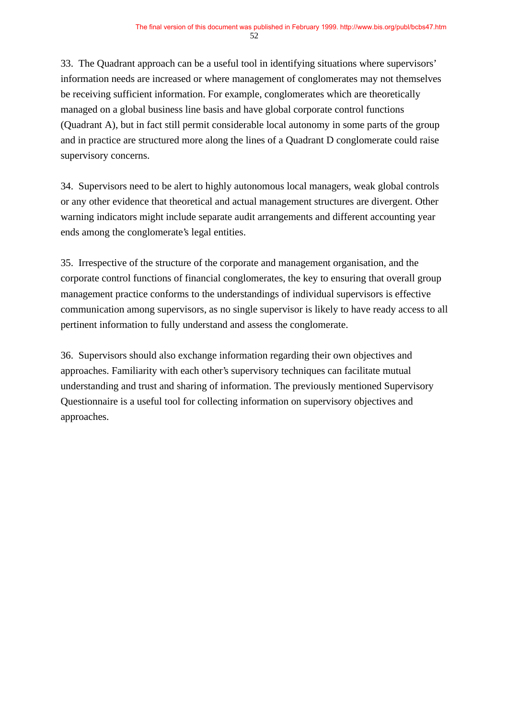33. The Quadrant approach can be a useful tool in identifying situations where supervisors' information needs are increased or where management of conglomerates may not themselves be receiving sufficient information. For example, conglomerates which are theoretically managed on a global business line basis and have global corporate control functions (Quadrant A), but in fact still permit considerable local autonomy in some parts of the group and in practice are structured more along the lines of a Quadrant D conglomerate could raise supervisory concerns.

34. Supervisors need to be alert to highly autonomous local managers, weak global controls or any other evidence that theoretical and actual management structures are divergent. Other warning indicators might include separate audit arrangements and different accounting year ends among the conglomerate's legal entities.

35. Irrespective of the structure of the corporate and management organisation, and the corporate control functions of financial conglomerates, the key to ensuring that overall group management practice conforms to the understandings of individual supervisors is effective communication among supervisors, as no single supervisor is likely to have ready access to all pertinent information to fully understand and assess the conglomerate.

36. Supervisors should also exchange information regarding their own objectives and approaches. Familiarity with each other's supervisory techniques can facilitate mutual understanding and trust and sharing of information. The previously mentioned Supervisory Questionnaire is a useful tool for collecting information on supervisory objectives and approaches.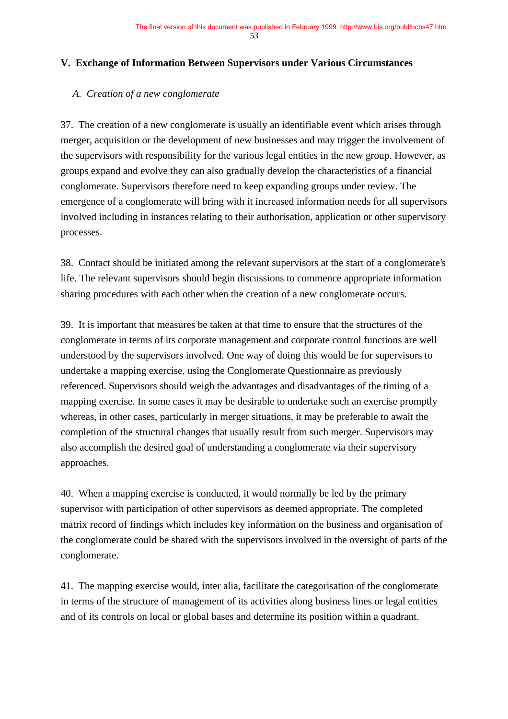#### **V. Exchange of Information Between Supervisors under Various Circumstances**

#### *A. Creation of a new conglomerate*

37. The creation of a new conglomerate is usually an identifiable event which arises through merger, acquisition or the development of new businesses and may trigger the involvement of the supervisors with responsibility for the various legal entities in the new group. However, as groups expand and evolve they can also gradually develop the characteristics of a financial conglomerate. Supervisors therefore need to keep expanding groups under review. The emergence of a conglomerate will bring with it increased information needs for all supervisors involved including in instances relating to their authorisation, application or other supervisory processes.

38. Contact should be initiated among the relevant supervisors at the start of a conglomerate's life. The relevant supervisors should begin discussions to commence appropriate information sharing procedures with each other when the creation of a new conglomerate occurs.

39. It is important that measures be taken at that time to ensure that the structures of the conglomerate in terms of its corporate management and corporate control functions are well understood by the supervisors involved. One way of doing this would be for supervisors to undertake a mapping exercise, using the Conglomerate Questionnaire as previously referenced. Supervisors should weigh the advantages and disadvantages of the timing of a mapping exercise. In some cases it may be desirable to undertake such an exercise promptly whereas, in other cases, particularly in merger situations, it may be preferable to await the completion of the structural changes that usually result from such merger. Supervisors may also accomplish the desired goal of understanding a conglomerate via their supervisory approaches.

40. When a mapping exercise is conducted, it would normally be led by the primary supervisor with participation of other supervisors as deemed appropriate. The completed matrix record of findings which includes key information on the business and organisation of the conglomerate could be shared with the supervisors involved in the oversight of parts of the conglomerate.

41. The mapping exercise would, inter alia, facilitate the categorisation of the conglomerate in terms of the structure of management of its activities along business lines or legal entities and of its controls on local or global bases and determine its position within a quadrant.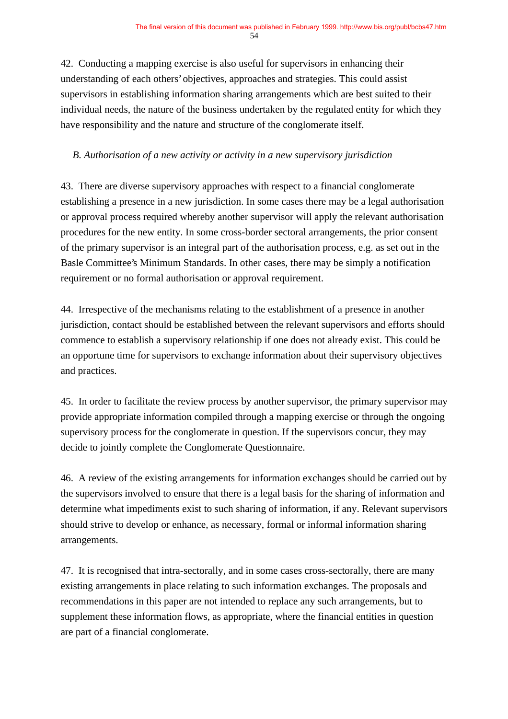42. Conducting a mapping exercise is also useful for supervisors in enhancing their understanding of each others' objectives, approaches and strategies. This could assist supervisors in establishing information sharing arrangements which are best suited to their individual needs, the nature of the business undertaken by the regulated entity for which they have responsibility and the nature and structure of the conglomerate itself.

## *B. Authorisation of a new activity or activity in a new supervisory jurisdiction*

43. There are diverse supervisory approaches with respect to a financial conglomerate establishing a presence in a new jurisdiction. In some cases there may be a legal authorisation or approval process required whereby another supervisor will apply the relevant authorisation procedures for the new entity. In some cross-border sectoral arrangements, the prior consent of the primary supervisor is an integral part of the authorisation process, e.g. as set out in the Basle Committee's Minimum Standards. In other cases, there may be simply a notification requirement or no formal authorisation or approval requirement.

44. Irrespective of the mechanisms relating to the establishment of a presence in another jurisdiction, contact should be established between the relevant supervisors and efforts should commence to establish a supervisory relationship if one does not already exist. This could be an opportune time for supervisors to exchange information about their supervisory objectives and practices.

45. In order to facilitate the review process by another supervisor, the primary supervisor may provide appropriate information compiled through a mapping exercise or through the ongoing supervisory process for the conglomerate in question. If the supervisors concur, they may decide to jointly complete the Conglomerate Questionnaire.

46. A review of the existing arrangements for information exchanges should be carried out by the supervisors involved to ensure that there is a legal basis for the sharing of information and determine what impediments exist to such sharing of information, if any. Relevant supervisors should strive to develop or enhance, as necessary, formal or informal information sharing arrangements.

47. It is recognised that intra-sectorally, and in some cases cross-sectorally, there are many existing arrangements in place relating to such information exchanges. The proposals and recommendations in this paper are not intended to replace any such arrangements, but to supplement these information flows, as appropriate, where the financial entities in question are part of a financial conglomerate.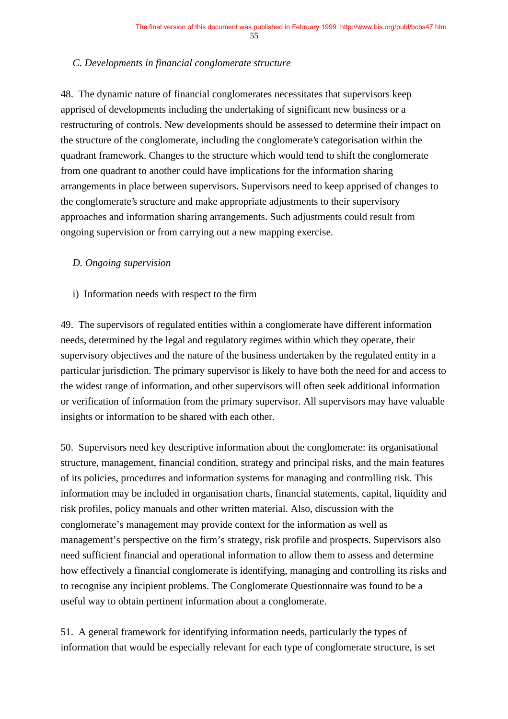#### *C. Developments in financial conglomerate structure*

48. The dynamic nature of financial conglomerates necessitates that supervisors keep apprised of developments including the undertaking of significant new business or a restructuring of controls. New developments should be assessed to determine their impact on the structure of the conglomerate, including the conglomerate's categorisation within the quadrant framework. Changes to the structure which would tend to shift the conglomerate from one quadrant to another could have implications for the information sharing arrangements in place between supervisors. Supervisors need to keep apprised of changes to the conglomerate's structure and make appropriate adjustments to their supervisory approaches and information sharing arrangements. Such adjustments could result from ongoing supervision or from carrying out a new mapping exercise.

#### *D. Ongoing supervision*

i) Information needs with respect to the firm

49. The supervisors of regulated entities within a conglomerate have different information needs, determined by the legal and regulatory regimes within which they operate, their supervisory objectives and the nature of the business undertaken by the regulated entity in a particular jurisdiction. The primary supervisor is likely to have both the need for and access to the widest range of information, and other supervisors will often seek additional information or verification of information from the primary supervisor. All supervisors may have valuable insights or information to be shared with each other.

50. Supervisors need key descriptive information about the conglomerate: its organisational structure, management, financial condition, strategy and principal risks, and the main features of its policies, procedures and information systems for managing and controlling risk. This information may be included in organisation charts, financial statements, capital, liquidity and risk profiles, policy manuals and other written material. Also, discussion with the conglomerate's management may provide context for the information as well as management's perspective on the firm's strategy, risk profile and prospects. Supervisors also need sufficient financial and operational information to allow them to assess and determine how effectively a financial conglomerate is identifying, managing and controlling its risks and to recognise any incipient problems. The Conglomerate Questionnaire was found to be a useful way to obtain pertinent information about a conglomerate.

51. A general framework for identifying information needs, particularly the types of information that would be especially relevant for each type of conglomerate structure, is set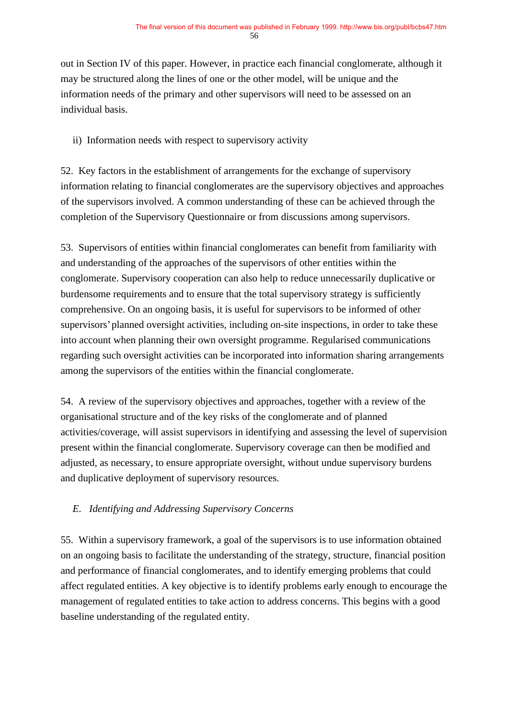out in Section IV of this paper. However, in practice each financial conglomerate, although it may be structured along the lines of one or the other model, will be unique and the information needs of the primary and other supervisors will need to be assessed on an individual basis.

ii) Information needs with respect to supervisory activity

52. Key factors in the establishment of arrangements for the exchange of supervisory information relating to financial conglomerates are the supervisory objectives and approaches of the supervisors involved. A common understanding of these can be achieved through the completion of the Supervisory Questionnaire or from discussions among supervisors.

53. Supervisors of entities within financial conglomerates can benefit from familiarity with and understanding of the approaches of the supervisors of other entities within the conglomerate. Supervisory cooperation can also help to reduce unnecessarily duplicative or burdensome requirements and to ensure that the total supervisory strategy is sufficiently comprehensive. On an ongoing basis, it is useful for supervisors to be informed of other supervisors' planned oversight activities, including on-site inspections, in order to take these into account when planning their own oversight programme. Regularised communications regarding such oversight activities can be incorporated into information sharing arrangements among the supervisors of the entities within the financial conglomerate.

54. A review of the supervisory objectives and approaches, together with a review of the organisational structure and of the key risks of the conglomerate and of planned activities/coverage, will assist supervisors in identifying and assessing the level of supervision present within the financial conglomerate. Supervisory coverage can then be modified and adjusted, as necessary, to ensure appropriate oversight, without undue supervisory burdens and duplicative deployment of supervisory resources.

## *E. Identifying and Addressing Supervisory Concerns*

55. Within a supervisory framework, a goal of the supervisors is to use information obtained on an ongoing basis to facilitate the understanding of the strategy, structure, financial position and performance of financial conglomerates, and to identify emerging problems that could affect regulated entities. A key objective is to identify problems early enough to encourage the management of regulated entities to take action to address concerns. This begins with a good baseline understanding of the regulated entity.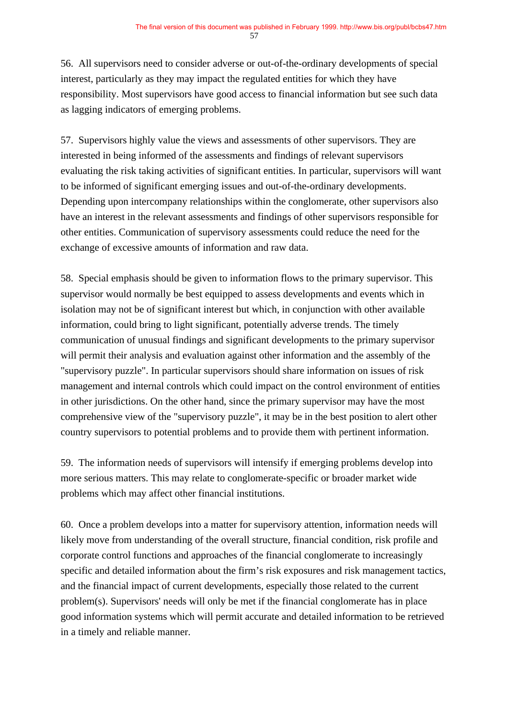56. All supervisors need to consider adverse or out-of-the-ordinary developments of special interest, particularly as they may impact the regulated entities for which they have responsibility. Most supervisors have good access to financial information but see such data as lagging indicators of emerging problems.

57. Supervisors highly value the views and assessments of other supervisors. They are interested in being informed of the assessments and findings of relevant supervisors evaluating the risk taking activities of significant entities. In particular, supervisors will want to be informed of significant emerging issues and out-of-the-ordinary developments. Depending upon intercompany relationships within the conglomerate, other supervisors also have an interest in the relevant assessments and findings of other supervisors responsible for other entities. Communication of supervisory assessments could reduce the need for the exchange of excessive amounts of information and raw data.

58. Special emphasis should be given to information flows to the primary supervisor. This supervisor would normally be best equipped to assess developments and events which in isolation may not be of significant interest but which, in conjunction with other available information, could bring to light significant, potentially adverse trends. The timely communication of unusual findings and significant developments to the primary supervisor will permit their analysis and evaluation against other information and the assembly of the "supervisory puzzle". In particular supervisors should share information on issues of risk management and internal controls which could impact on the control environment of entities in other jurisdictions. On the other hand, since the primary supervisor may have the most comprehensive view of the "supervisory puzzle", it may be in the best position to alert other country supervisors to potential problems and to provide them with pertinent information.

59. The information needs of supervisors will intensify if emerging problems develop into more serious matters. This may relate to conglomerate-specific or broader market wide problems which may affect other financial institutions.

60. Once a problem develops into a matter for supervisory attention, information needs will likely move from understanding of the overall structure, financial condition, risk profile and corporate control functions and approaches of the financial conglomerate to increasingly specific and detailed information about the firm's risk exposures and risk management tactics, and the financial impact of current developments, especially those related to the current problem(s). Supervisors' needs will only be met if the financial conglomerate has in place good information systems which will permit accurate and detailed information to be retrieved in a timely and reliable manner.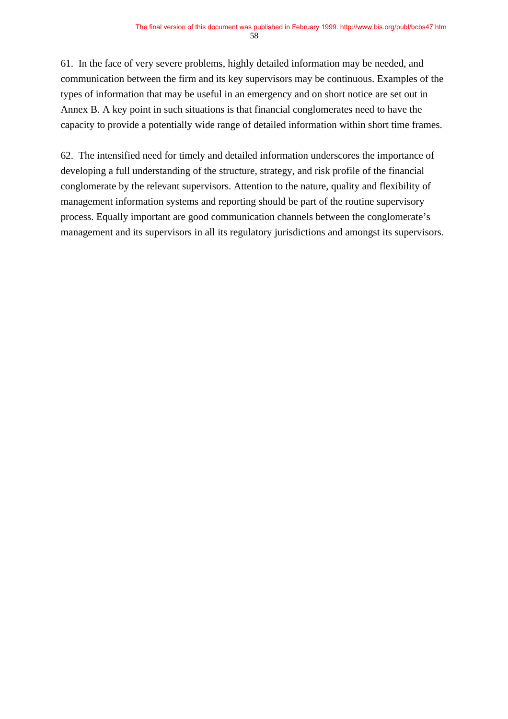61. In the face of very severe problems, highly detailed information may be needed, and communication between the firm and its key supervisors may be continuous. Examples of the types of information that may be useful in an emergency and on short notice are set out in Annex B. A key point in such situations is that financial conglomerates need to have the capacity to provide a potentially wide range of detailed information within short time frames.

62. The intensified need for timely and detailed information underscores the importance of developing a full understanding of the structure, strategy, and risk profile of the financial conglomerate by the relevant supervisors. Attention to the nature, quality and flexibility of management information systems and reporting should be part of the routine supervisory process. Equally important are good communication channels between the conglomerate's management and its supervisors in all its regulatory jurisdictions and amongst its supervisors.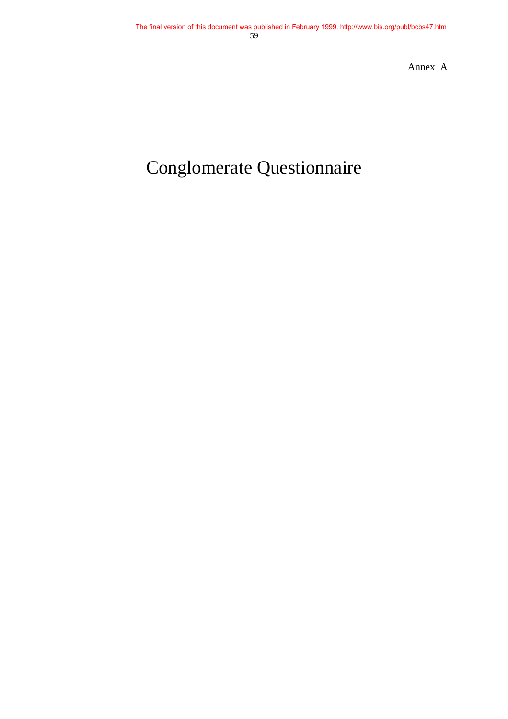Annex A

# Conglomerate Questionnaire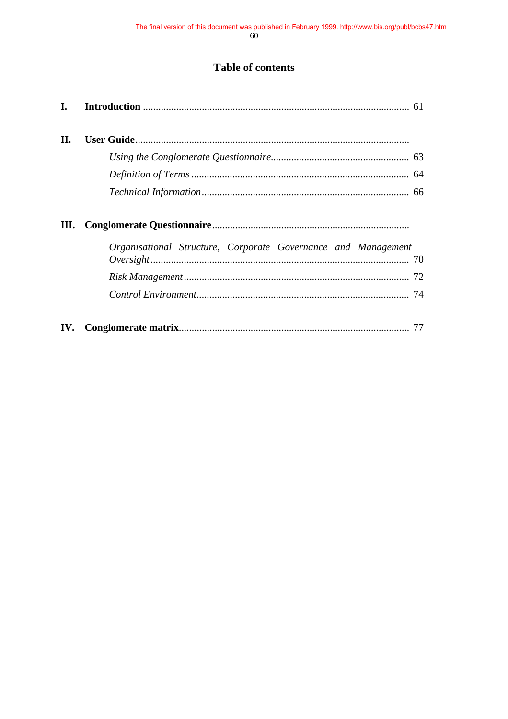# **Table of contents**

| $\mathbf{I}$ . |                                                               |    |
|----------------|---------------------------------------------------------------|----|
| II.            |                                                               |    |
|                |                                                               |    |
|                |                                                               |    |
|                |                                                               |    |
| Ш.             | Organisational Structure, Corporate Governance and Management |    |
|                |                                                               |    |
|                |                                                               |    |
|                |                                                               |    |
| IV.            |                                                               | 77 |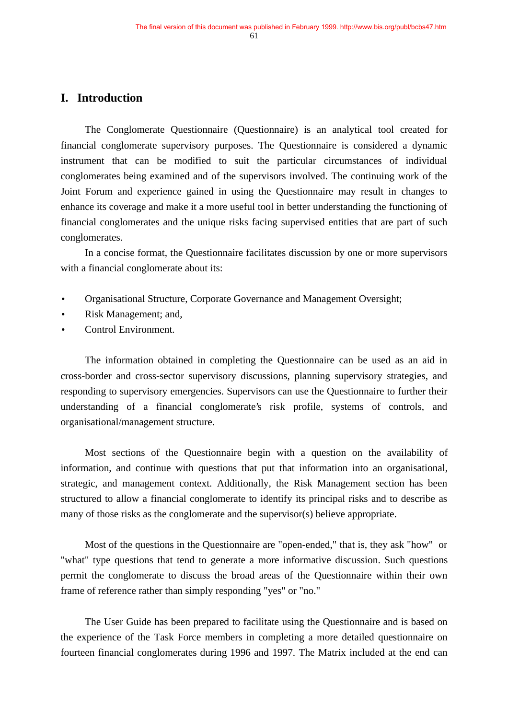# **I. Introduction**

The Conglomerate Questionnaire (Questionnaire) is an analytical tool created for financial conglomerate supervisory purposes. The Questionnaire is considered a dynamic instrument that can be modified to suit the particular circumstances of individual conglomerates being examined and of the supervisors involved. The continuing work of the Joint Forum and experience gained in using the Questionnaire may result in changes to enhance its coverage and make it a more useful tool in better understanding the functioning of financial conglomerates and the unique risks facing supervised entities that are part of such conglomerates.

In a concise format, the Questionnaire facilitates discussion by one or more supervisors with a financial conglomerate about its:

- Organisational Structure, Corporate Governance and Management Oversight;
- Risk Management; and,
- Control Environment.

The information obtained in completing the Questionnaire can be used as an aid in cross-border and cross-sector supervisory discussions, planning supervisory strategies, and responding to supervisory emergencies. Supervisors can use the Questionnaire to further their understanding of a financial conglomerate's risk profile, systems of controls, and organisational/management structure.

Most sections of the Questionnaire begin with a question on the availability of information, and continue with questions that put that information into an organisational, strategic, and management context. Additionally, the Risk Management section has been structured to allow a financial conglomerate to identify its principal risks and to describe as many of those risks as the conglomerate and the supervisor(s) believe appropriate.

Most of the questions in the Questionnaire are "open-ended," that is, they ask "how" or "what" type questions that tend to generate a more informative discussion. Such questions permit the conglomerate to discuss the broad areas of the Questionnaire within their own frame of reference rather than simply responding "yes" or "no."

The User Guide has been prepared to facilitate using the Questionnaire and is based on the experience of the Task Force members in completing a more detailed questionnaire on fourteen financial conglomerates during 1996 and 1997. The Matrix included at the end can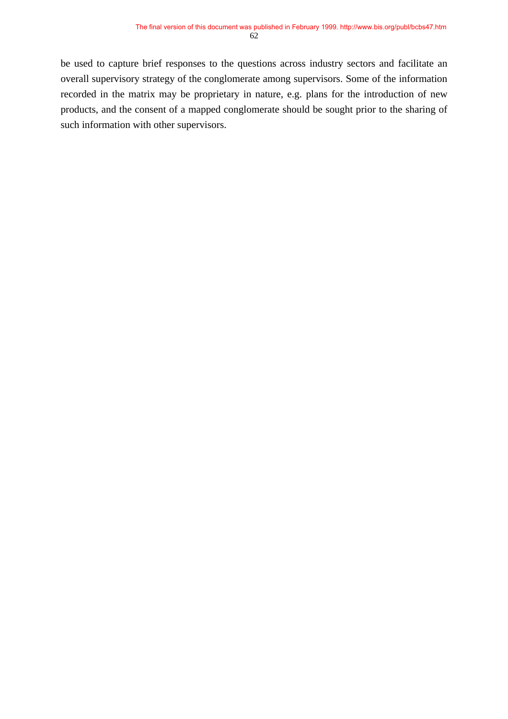be used to capture brief responses to the questions across industry sectors and facilitate an overall supervisory strategy of the conglomerate among supervisors. Some of the information recorded in the matrix may be proprietary in nature, e.g. plans for the introduction of new products, and the consent of a mapped conglomerate should be sought prior to the sharing of such information with other supervisors.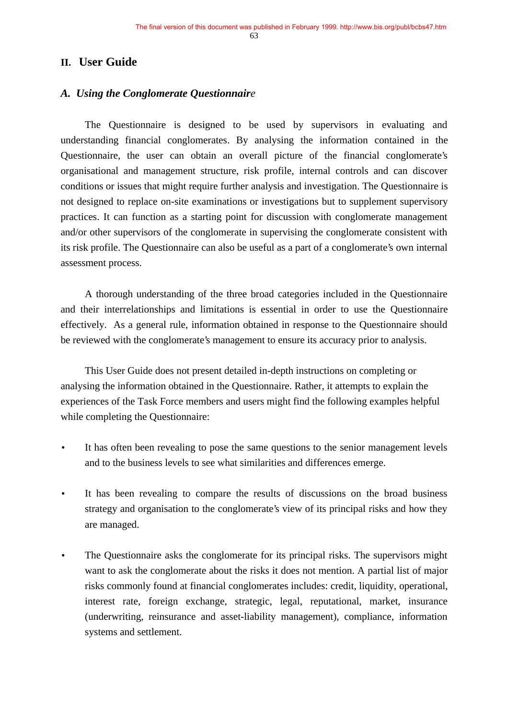63

## **II. User Guide**

## *A. Using the Conglomerate Questionnaire*

The Questionnaire is designed to be used by supervisors in evaluating and understanding financial conglomerates. By analysing the information contained in the Questionnaire, the user can obtain an overall picture of the financial conglomerate's organisational and management structure, risk profile, internal controls and can discover conditions or issues that might require further analysis and investigation. The Questionnaire is not designed to replace on-site examinations or investigations but to supplement supervisory practices. It can function as a starting point for discussion with conglomerate management and/or other supervisors of the conglomerate in supervising the conglomerate consistent with its risk profile. The Questionnaire can also be useful as a part of a conglomerate's own internal assessment process.

A thorough understanding of the three broad categories included in the Questionnaire and their interrelationships and limitations is essential in order to use the Questionnaire effectively. As a general rule, information obtained in response to the Questionnaire should be reviewed with the conglomerate's management to ensure its accuracy prior to analysis.

This User Guide does not present detailed in-depth instructions on completing or analysing the information obtained in the Questionnaire. Rather, it attempts to explain the experiences of the Task Force members and users might find the following examples helpful while completing the Questionnaire:

- It has often been revealing to pose the same questions to the senior management levels and to the business levels to see what similarities and differences emerge.
- It has been revealing to compare the results of discussions on the broad business strategy and organisation to the conglomerate's view of its principal risks and how they are managed.
- The Questionnaire asks the conglomerate for its principal risks. The supervisors might want to ask the conglomerate about the risks it does not mention. A partial list of major risks commonly found at financial conglomerates includes: credit, liquidity, operational, interest rate, foreign exchange, strategic, legal, reputational, market, insurance (underwriting, reinsurance and asset-liability management), compliance, information systems and settlement.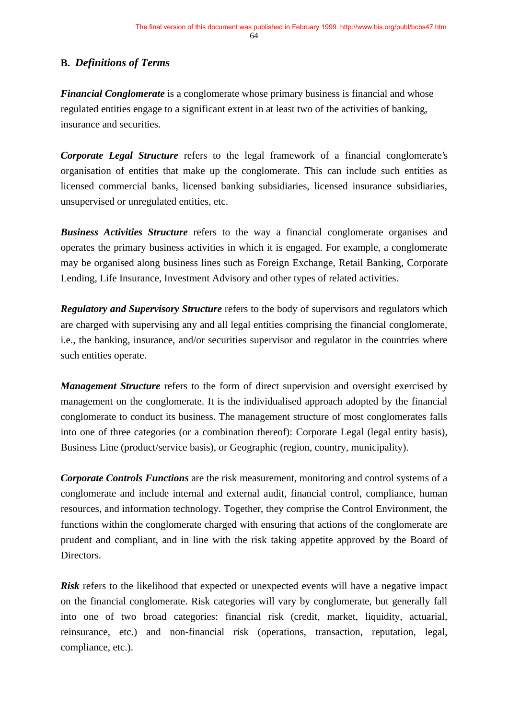## **B.** *Definitions of Terms*

*Financial Conglomerate* is a conglomerate whose primary business is financial and whose regulated entities engage to a significant extent in at least two of the activities of banking, insurance and securities.

*Corporate Legal Structure* refers to the legal framework of a financial conglomerate's organisation of entities that make up the conglomerate. This can include such entities as licensed commercial banks, licensed banking subsidiaries, licensed insurance subsidiaries, unsupervised or unregulated entities, etc.

*Business Activities Structure* refers to the way a financial conglomerate organises and operates the primary business activities in which it is engaged. For example, a conglomerate may be organised along business lines such as Foreign Exchange, Retail Banking, Corporate Lending, Life Insurance, Investment Advisory and other types of related activities.

*Regulatory and Supervisory Structure* refers to the body of supervisors and regulators which are charged with supervising any and all legal entities comprising the financial conglomerate, i.e., the banking, insurance, and/or securities supervisor and regulator in the countries where such entities operate.

*Management Structure* refers to the form of direct supervision and oversight exercised by management on the conglomerate. It is the individualised approach adopted by the financial conglomerate to conduct its business. The management structure of most conglomerates falls into one of three categories (or a combination thereof): Corporate Legal (legal entity basis), Business Line (product/service basis), or Geographic (region, country, municipality).

*Corporate Controls Functions* are the risk measurement, monitoring and control systems of a conglomerate and include internal and external audit, financial control, compliance, human resources, and information technology. Together, they comprise the Control Environment, the functions within the conglomerate charged with ensuring that actions of the conglomerate are prudent and compliant, and in line with the risk taking appetite approved by the Board of Directors.

**Risk** refers to the likelihood that expected or unexpected events will have a negative impact on the financial conglomerate. Risk categories will vary by conglomerate, but generally fall into one of two broad categories: financial risk (credit, market, liquidity, actuarial, reinsurance, etc.) and non-financial risk (operations, transaction, reputation, legal, compliance, etc.).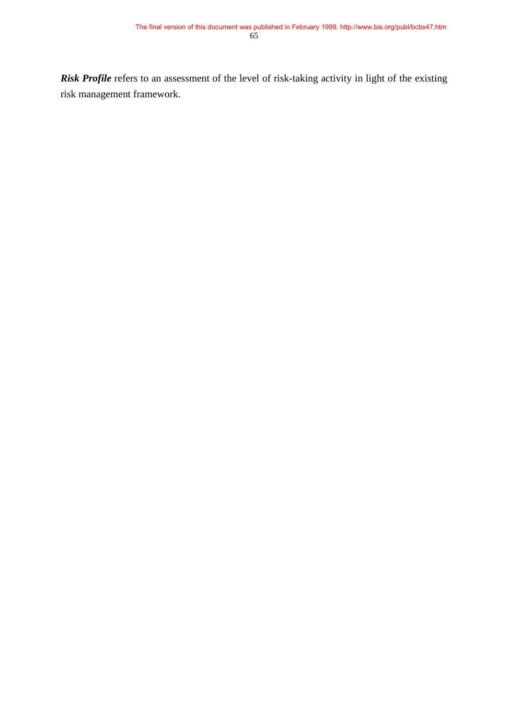*Risk Profile* refers to an assessment of the level of risk-taking activity in light of the existing risk management framework.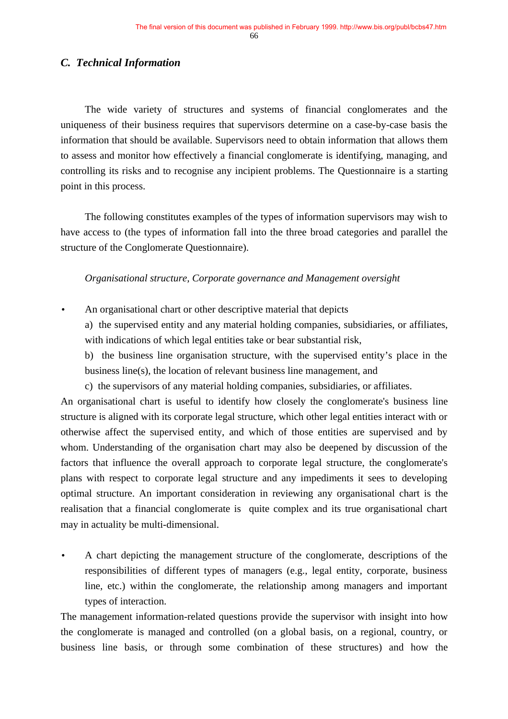## *C. Technical Information*

The wide variety of structures and systems of financial conglomerates and the uniqueness of their business requires that supervisors determine on a case-by-case basis the information that should be available. Supervisors need to obtain information that allows them to assess and monitor how effectively a financial conglomerate is identifying, managing, and controlling its risks and to recognise any incipient problems. The Questionnaire is a starting point in this process.

The following constitutes examples of the types of information supervisors may wish to have access to (the types of information fall into the three broad categories and parallel the structure of the Conglomerate Questionnaire).

#### *Organisational structure, Corporate governance and Management oversight*

• An organisational chart or other descriptive material that depicts

a) the supervised entity and any material holding companies, subsidiaries, or affiliates, with indications of which legal entities take or bear substantial risk,

b) the business line organisation structure, with the supervised entity's place in the business line(s), the location of relevant business line management, and

c) the supervisors of any material holding companies, subsidiaries, or affiliates.

An organisational chart is useful to identify how closely the conglomerate's business line structure is aligned with its corporate legal structure, which other legal entities interact with or otherwise affect the supervised entity, and which of those entities are supervised and by whom. Understanding of the organisation chart may also be deepened by discussion of the factors that influence the overall approach to corporate legal structure, the conglomerate's plans with respect to corporate legal structure and any impediments it sees to developing optimal structure. An important consideration in reviewing any organisational chart is the realisation that a financial conglomerate is quite complex and its true organisational chart may in actuality be multi-dimensional.

• A chart depicting the management structure of the conglomerate, descriptions of the responsibilities of different types of managers (e.g., legal entity, corporate, business line, etc.) within the conglomerate, the relationship among managers and important types of interaction.

The management information-related questions provide the supervisor with insight into how the conglomerate is managed and controlled (on a global basis, on a regional, country, or business line basis, or through some combination of these structures) and how the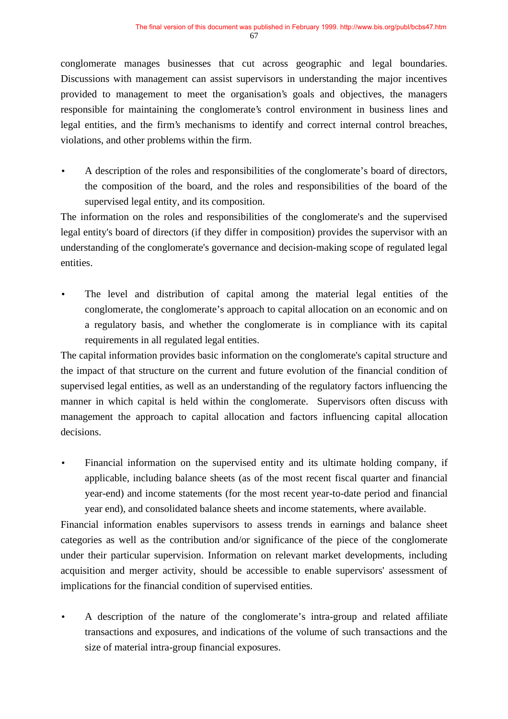conglomerate manages businesses that cut across geographic and legal boundaries. Discussions with management can assist supervisors in understanding the major incentives provided to management to meet the organisation's goals and objectives, the managers responsible for maintaining the conglomerate's control environment in business lines and legal entities, and the firm's mechanisms to identify and correct internal control breaches, violations, and other problems within the firm.

• A description of the roles and responsibilities of the conglomerate's board of directors, the composition of the board, and the roles and responsibilities of the board of the supervised legal entity, and its composition.

The information on the roles and responsibilities of the conglomerate's and the supervised legal entity's board of directors (if they differ in composition) provides the supervisor with an understanding of the conglomerate's governance and decision-making scope of regulated legal entities.

The level and distribution of capital among the material legal entities of the conglomerate, the conglomerate's approach to capital allocation on an economic and on a regulatory basis, and whether the conglomerate is in compliance with its capital requirements in all regulated legal entities.

The capital information provides basic information on the conglomerate's capital structure and the impact of that structure on the current and future evolution of the financial condition of supervised legal entities, as well as an understanding of the regulatory factors influencing the manner in which capital is held within the conglomerate. Supervisors often discuss with management the approach to capital allocation and factors influencing capital allocation decisions.

• Financial information on the supervised entity and its ultimate holding company, if applicable, including balance sheets (as of the most recent fiscal quarter and financial year-end) and income statements (for the most recent year-to-date period and financial year end), and consolidated balance sheets and income statements, where available.

Financial information enables supervisors to assess trends in earnings and balance sheet categories as well as the contribution and/or significance of the piece of the conglomerate under their particular supervision. Information on relevant market developments, including acquisition and merger activity, should be accessible to enable supervisors' assessment of implications for the financial condition of supervised entities.

• A description of the nature of the conglomerate's intra-group and related affiliate transactions and exposures, and indications of the volume of such transactions and the size of material intra-group financial exposures.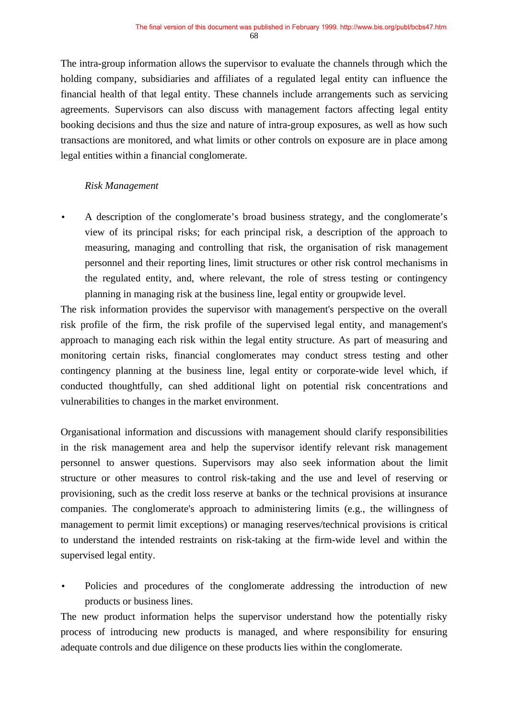The intra-group information allows the supervisor to evaluate the channels through which the holding company, subsidiaries and affiliates of a regulated legal entity can influence the financial health of that legal entity. These channels include arrangements such as servicing agreements. Supervisors can also discuss with management factors affecting legal entity booking decisions and thus the size and nature of intra-group exposures, as well as how such transactions are monitored, and what limits or other controls on exposure are in place among legal entities within a financial conglomerate.

#### *Risk Management*

• A description of the conglomerate's broad business strategy, and the conglomerate's view of its principal risks; for each principal risk, a description of the approach to measuring, managing and controlling that risk, the organisation of risk management personnel and their reporting lines, limit structures or other risk control mechanisms in the regulated entity, and, where relevant, the role of stress testing or contingency planning in managing risk at the business line, legal entity or groupwide level.

The risk information provides the supervisor with management's perspective on the overall risk profile of the firm, the risk profile of the supervised legal entity, and management's approach to managing each risk within the legal entity structure. As part of measuring and monitoring certain risks, financial conglomerates may conduct stress testing and other contingency planning at the business line, legal entity or corporate-wide level which, if conducted thoughtfully, can shed additional light on potential risk concentrations and vulnerabilities to changes in the market environment.

Organisational information and discussions with management should clarify responsibilities in the risk management area and help the supervisor identify relevant risk management personnel to answer questions. Supervisors may also seek information about the limit structure or other measures to control risk-taking and the use and level of reserving or provisioning, such as the credit loss reserve at banks or the technical provisions at insurance companies. The conglomerate's approach to administering limits (e.g., the willingness of management to permit limit exceptions) or managing reserves/technical provisions is critical to understand the intended restraints on risk-taking at the firm-wide level and within the supervised legal entity.

Policies and procedures of the conglomerate addressing the introduction of new products or business lines.

The new product information helps the supervisor understand how the potentially risky process of introducing new products is managed, and where responsibility for ensuring adequate controls and due diligence on these products lies within the conglomerate.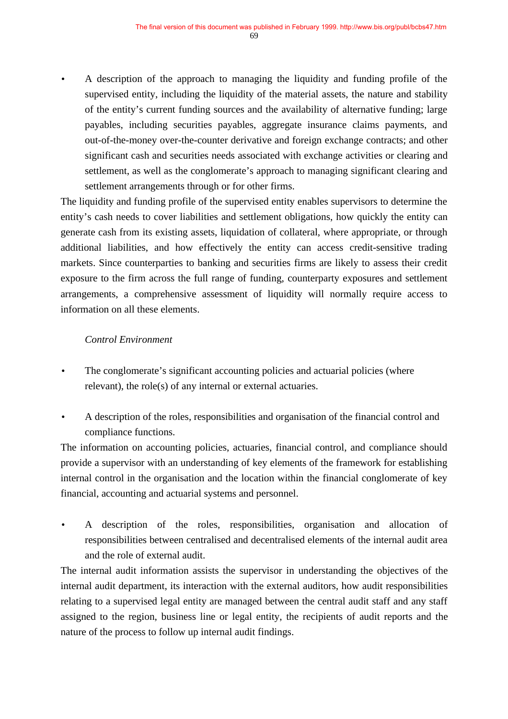• A description of the approach to managing the liquidity and funding profile of the supervised entity, including the liquidity of the material assets, the nature and stability of the entity's current funding sources and the availability of alternative funding; large payables, including securities payables, aggregate insurance claims payments, and out-of-the-money over-the-counter derivative and foreign exchange contracts; and other significant cash and securities needs associated with exchange activities or clearing and settlement, as well as the conglomerate's approach to managing significant clearing and settlement arrangements through or for other firms.

The liquidity and funding profile of the supervised entity enables supervisors to determine the entity's cash needs to cover liabilities and settlement obligations, how quickly the entity can generate cash from its existing assets, liquidation of collateral, where appropriate, or through additional liabilities, and how effectively the entity can access credit-sensitive trading markets. Since counterparties to banking and securities firms are likely to assess their credit exposure to the firm across the full range of funding, counterparty exposures and settlement arrangements, a comprehensive assessment of liquidity will normally require access to information on all these elements.

## *Control Environment*

- The conglomerate's significant accounting policies and actuarial policies (where relevant), the role(s) of any internal or external actuaries.
- A description of the roles, responsibilities and organisation of the financial control and compliance functions.

The information on accounting policies, actuaries, financial control, and compliance should provide a supervisor with an understanding of key elements of the framework for establishing internal control in the organisation and the location within the financial conglomerate of key financial, accounting and actuarial systems and personnel.

• A description of the roles, responsibilities, organisation and allocation of responsibilities between centralised and decentralised elements of the internal audit area and the role of external audit.

The internal audit information assists the supervisor in understanding the objectives of the internal audit department, its interaction with the external auditors, how audit responsibilities relating to a supervised legal entity are managed between the central audit staff and any staff assigned to the region, business line or legal entity, the recipients of audit reports and the nature of the process to follow up internal audit findings.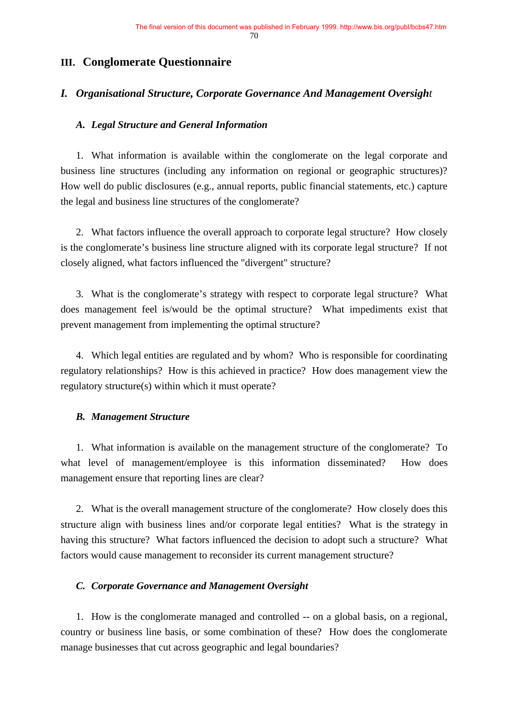## **III. Conglomerate Questionnaire**

## *I. Organisational Structure, Corporate Governance And Management Oversight*

#### *A. Legal Structure and General Information*

1. What information is available within the conglomerate on the legal corporate and business line structures (including any information on regional or geographic structures)? How well do public disclosures (e.g., annual reports, public financial statements, etc.) capture the legal and business line structures of the conglomerate?

2. What factors influence the overall approach to corporate legal structure? How closely is the conglomerate's business line structure aligned with its corporate legal structure? If not closely aligned, what factors influenced the "divergent" structure?

3. What is the conglomerate's strategy with respect to corporate legal structure? What does management feel is/would be the optimal structure? What impediments exist that prevent management from implementing the optimal structure?

4. Which legal entities are regulated and by whom? Who is responsible for coordinating regulatory relationships? How is this achieved in practice? How does management view the regulatory structure(s) within which it must operate?

#### *B. Management Structure*

1. What information is available on the management structure of the conglomerate? To what level of management/employee is this information disseminated? How does management ensure that reporting lines are clear?

2. What is the overall management structure of the conglomerate? How closely does this structure align with business lines and/or corporate legal entities? What is the strategy in having this structure? What factors influenced the decision to adopt such a structure? What factors would cause management to reconsider its current management structure?

#### *C. Corporate Governance and Management Oversight*

1. How is the conglomerate managed and controlled -- on a global basis, on a regional, country or business line basis, or some combination of these? How does the conglomerate manage businesses that cut across geographic and legal boundaries?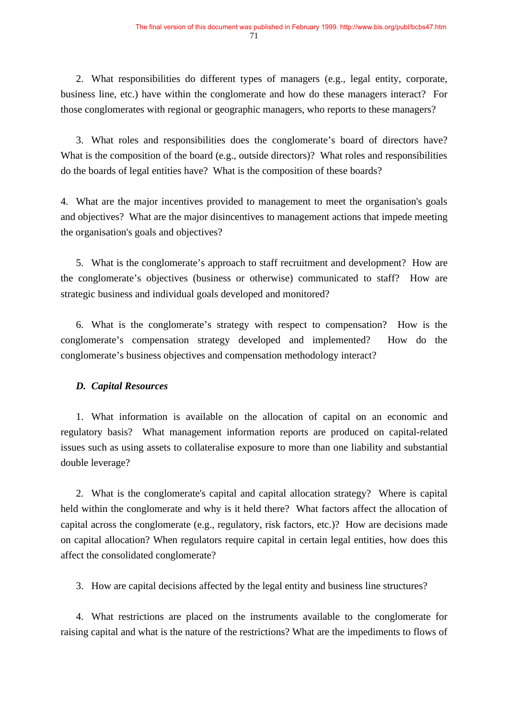2. What responsibilities do different types of managers (e.g., legal entity, corporate, business line, etc.) have within the conglomerate and how do these managers interact? For those conglomerates with regional or geographic managers, who reports to these managers?

3. What roles and responsibilities does the conglomerate's board of directors have? What is the composition of the board (e.g., outside directors)? What roles and responsibilities do the boards of legal entities have? What is the composition of these boards?

4. What are the major incentives provided to management to meet the organisation's goals and objectives? What are the major disincentives to management actions that impede meeting the organisation's goals and objectives?

5. What is the conglomerate's approach to staff recruitment and development? How are the conglomerate's objectives (business or otherwise) communicated to staff? How are strategic business and individual goals developed and monitored?

6. What is the conglomerate's strategy with respect to compensation? How is the conglomerate's compensation strategy developed and implemented? How do the conglomerate's business objectives and compensation methodology interact?

## *D. Capital Resources*

1. What information is available on the allocation of capital on an economic and regulatory basis? What management information reports are produced on capital-related issues such as using assets to collateralise exposure to more than one liability and substantial double leverage?

2. What is the conglomerate's capital and capital allocation strategy? Where is capital held within the conglomerate and why is it held there? What factors affect the allocation of capital across the conglomerate (e.g., regulatory, risk factors, etc.)? How are decisions made on capital allocation? When regulators require capital in certain legal entities, how does this affect the consolidated conglomerate?

3. How are capital decisions affected by the legal entity and business line structures?

4. What restrictions are placed on the instruments available to the conglomerate for raising capital and what is the nature of the restrictions? What are the impediments to flows of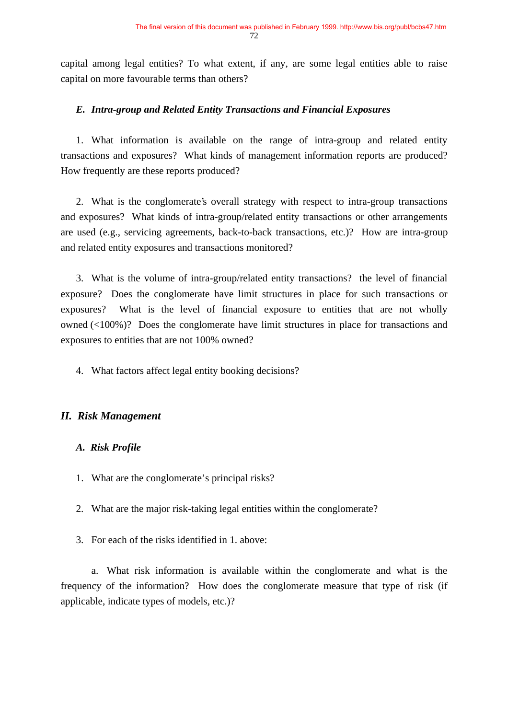capital among legal entities? To what extent, if any, are some legal entities able to raise capital on more favourable terms than others?

#### *E. Intra-group and Related Entity Transactions and Financial Exposures*

1. What information is available on the range of intra-group and related entity transactions and exposures? What kinds of management information reports are produced? How frequently are these reports produced?

2. What is the conglomerate's overall strategy with respect to intra-group transactions and exposures? What kinds of intra-group/related entity transactions or other arrangements are used (e.g., servicing agreements, back-to-back transactions, etc.)? How are intra-group and related entity exposures and transactions monitored?

3. What is the volume of intra-group/related entity transactions? the level of financial exposure? Does the conglomerate have limit structures in place for such transactions or exposures? What is the level of financial exposure to entities that are not wholly owned (<100%)? Does the conglomerate have limit structures in place for transactions and exposures to entities that are not 100% owned?

4. What factors affect legal entity booking decisions?

## *II. Risk Management*

#### *A. Risk Profile*

- 1. What are the conglomerate's principal risks?
- 2. What are the major risk-taking legal entities within the conglomerate?
- 3. For each of the risks identified in 1. above:

a. What risk information is available within the conglomerate and what is the frequency of the information? How does the conglomerate measure that type of risk (if applicable, indicate types of models, etc.)?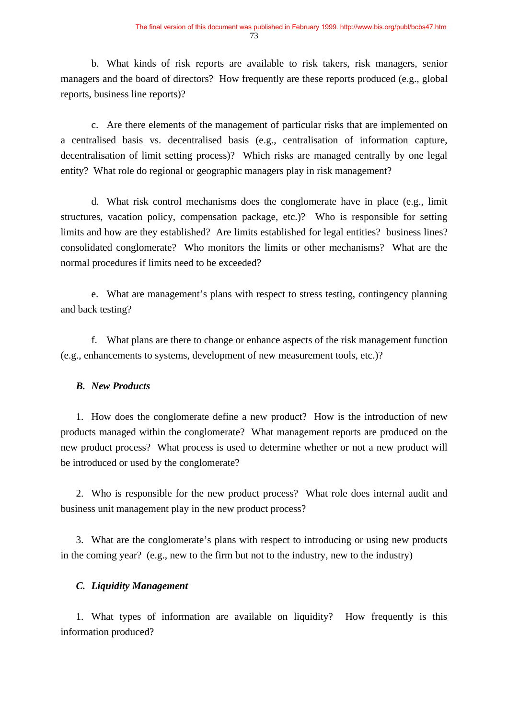b. What kinds of risk reports are available to risk takers, risk managers, senior managers and the board of directors? How frequently are these reports produced (e.g., global reports, business line reports)?

c. Are there elements of the management of particular risks that are implemented on a centralised basis vs. decentralised basis (e.g., centralisation of information capture, decentralisation of limit setting process)? Which risks are managed centrally by one legal entity? What role do regional or geographic managers play in risk management?

d. What risk control mechanisms does the conglomerate have in place (e.g., limit structures, vacation policy, compensation package, etc.)? Who is responsible for setting limits and how are they established? Are limits established for legal entities? business lines? consolidated conglomerate? Who monitors the limits or other mechanisms? What are the normal procedures if limits need to be exceeded?

e. What are management's plans with respect to stress testing, contingency planning and back testing?

f. What plans are there to change or enhance aspects of the risk management function (e.g., enhancements to systems, development of new measurement tools, etc.)?

#### *B. New Products*

1. How does the conglomerate define a new product? How is the introduction of new products managed within the conglomerate? What management reports are produced on the new product process? What process is used to determine whether or not a new product will be introduced or used by the conglomerate?

2. Who is responsible for the new product process? What role does internal audit and business unit management play in the new product process?

3. What are the conglomerate's plans with respect to introducing or using new products in the coming year? (e.g., new to the firm but not to the industry, new to the industry)

#### *C. Liquidity Management*

1. What types of information are available on liquidity? How frequently is this information produced?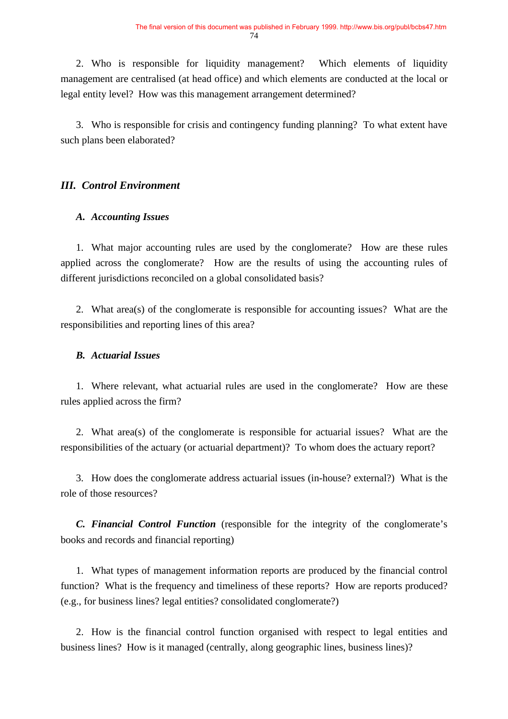2. Who is responsible for liquidity management? Which elements of liquidity management are centralised (at head office) and which elements are conducted at the local or legal entity level? How was this management arrangement determined?

3. Who is responsible for crisis and contingency funding planning? To what extent have such plans been elaborated?

## *III. Control Environment*

#### *A. Accounting Issues*

1. What major accounting rules are used by the conglomerate? How are these rules applied across the conglomerate? How are the results of using the accounting rules of different jurisdictions reconciled on a global consolidated basis?

2. What area(s) of the conglomerate is responsible for accounting issues? What are the responsibilities and reporting lines of this area?

#### *B. Actuarial Issues*

1. Where relevant, what actuarial rules are used in the conglomerate? How are these rules applied across the firm?

2. What area(s) of the conglomerate is responsible for actuarial issues? What are the responsibilities of the actuary (or actuarial department)? To whom does the actuary report?

3. How does the conglomerate address actuarial issues (in-house? external?) What is the role of those resources?

*C. Financial Control Function* (responsible for the integrity of the conglomerate's books and records and financial reporting)

1. What types of management information reports are produced by the financial control function? What is the frequency and timeliness of these reports? How are reports produced? (e.g., for business lines? legal entities? consolidated conglomerate?)

2. How is the financial control function organised with respect to legal entities and business lines? How is it managed (centrally, along geographic lines, business lines)?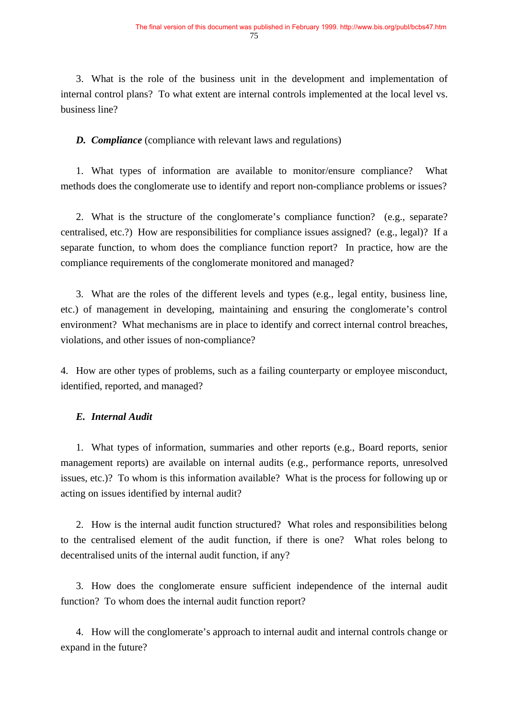3. What is the role of the business unit in the development and implementation of internal control plans? To what extent are internal controls implemented at the local level vs. business line?

*D. Compliance* (compliance with relevant laws and regulations)

1. What types of information are available to monitor/ensure compliance? What methods does the conglomerate use to identify and report non-compliance problems or issues?

2. What is the structure of the conglomerate's compliance function? (e.g., separate? centralised, etc.?) How are responsibilities for compliance issues assigned? (e.g., legal)? If a separate function, to whom does the compliance function report? In practice, how are the compliance requirements of the conglomerate monitored and managed?

3. What are the roles of the different levels and types (e.g., legal entity, business line, etc.) of management in developing, maintaining and ensuring the conglomerate's control environment? What mechanisms are in place to identify and correct internal control breaches, violations, and other issues of non-compliance?

4. How are other types of problems, such as a failing counterparty or employee misconduct, identified, reported, and managed?

## *E. Internal Audit*

1. What types of information, summaries and other reports (e.g., Board reports, senior management reports) are available on internal audits (e.g., performance reports, unresolved issues, etc.)? To whom is this information available? What is the process for following up or acting on issues identified by internal audit?

2. How is the internal audit function structured? What roles and responsibilities belong to the centralised element of the audit function, if there is one? What roles belong to decentralised units of the internal audit function, if any?

3. How does the conglomerate ensure sufficient independence of the internal audit function? To whom does the internal audit function report?

4. How will the conglomerate's approach to internal audit and internal controls change or expand in the future?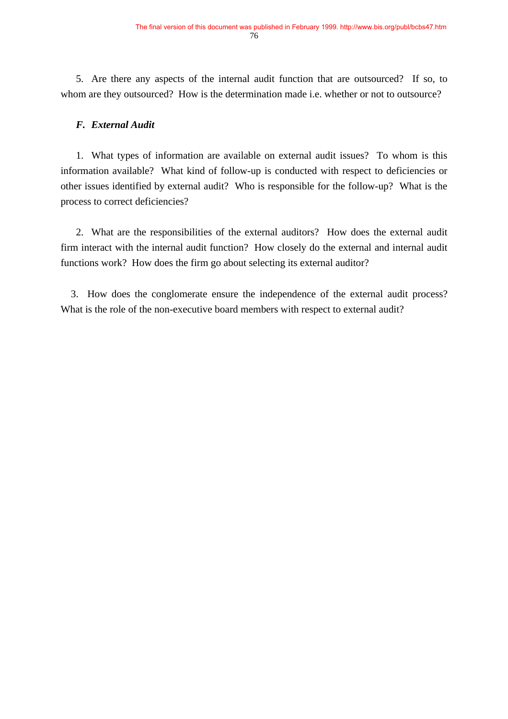5. Are there any aspects of the internal audit function that are outsourced? If so, to whom are they outsourced? How is the determination made i.e. whether or not to outsource?

#### *F. External Audit*

1. What types of information are available on external audit issues? To whom is this information available? What kind of follow-up is conducted with respect to deficiencies or other issues identified by external audit? Who is responsible for the follow-up? What is the process to correct deficiencies?

2. What are the responsibilities of the external auditors? How does the external audit firm interact with the internal audit function? How closely do the external and internal audit functions work? How does the firm go about selecting its external auditor?

 3. How does the conglomerate ensure the independence of the external audit process? What is the role of the non-executive board members with respect to external audit?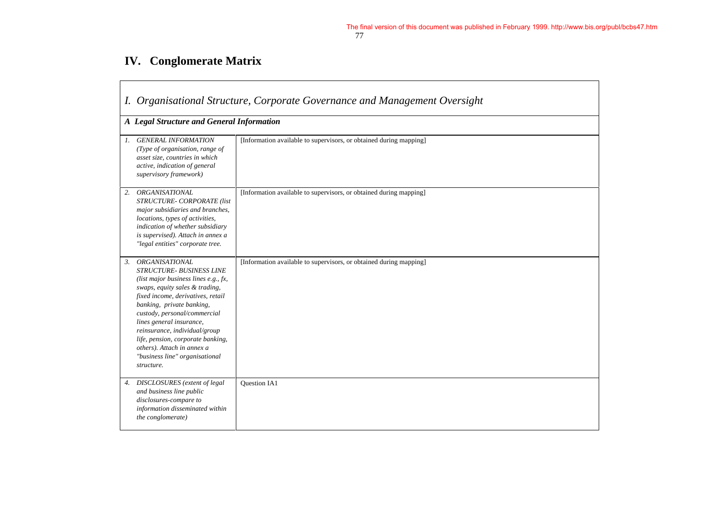# **IV. Conglomerate Matrix**

 $\Gamma$ 

|    | I. Organisational Structure, Corporate Governance and Management Oversight                                                                                                                                                                                                                                                                                                                                           |                                                                    |
|----|----------------------------------------------------------------------------------------------------------------------------------------------------------------------------------------------------------------------------------------------------------------------------------------------------------------------------------------------------------------------------------------------------------------------|--------------------------------------------------------------------|
|    | A Legal Structure and General Information                                                                                                                                                                                                                                                                                                                                                                            |                                                                    |
| 1. | <b>GENERAL INFORMATION</b><br>(Type of organisation, range of<br>asset size, countries in which<br>active, indication of general<br>supervisory framework)                                                                                                                                                                                                                                                           | [Information available to supervisors, or obtained during mapping] |
| 2. | <b>ORGANISATIONAL</b><br>STRUCTURE- CORPORATE (list<br>major subsidiaries and branches,<br>locations, types of activities,<br>indication of whether subsidiary<br>is supervised). Attach in annex a<br>"legal entities" corporate tree.                                                                                                                                                                              | [Information available to supervisors, or obtained during mapping] |
| 3. | <b>ORGANISATIONAL</b><br><b>STRUCTURE- BUSINESS LINE</b><br>(list major business lines e.g., fx,<br>swaps, equity sales & trading,<br>fixed income, derivatives, retail<br>banking, private banking,<br>custody, personal/commercial<br>lines general insurance,<br>reinsurance, individual/group<br>life, pension, corporate banking,<br>others). Attach in annex a<br>"business line" organisational<br>structure. | [Information available to supervisors, or obtained during mapping] |
| 4. | DISCLOSURES (extent of legal<br>and business line public<br>disclosures-compare to<br>information disseminated within<br>the conglomerate)                                                                                                                                                                                                                                                                           | <b>Ouestion IA1</b>                                                |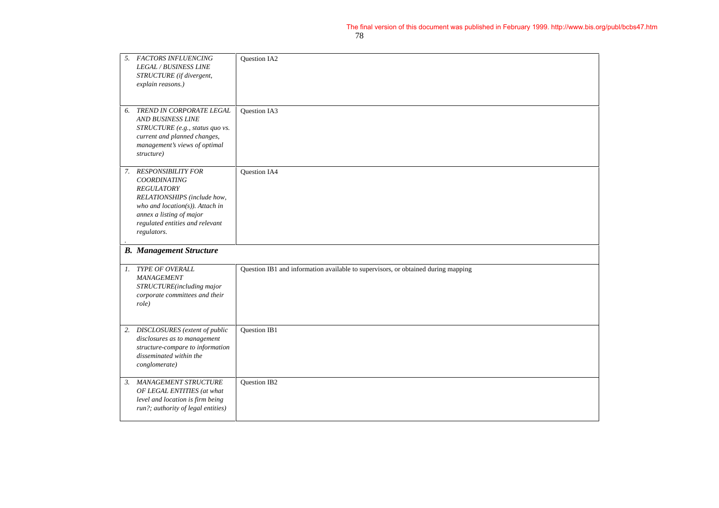| 5. | <b>FACTORS INFLUENCING</b><br><b>LEGAL / BUSINESS LINE</b><br>STRUCTURE (if divergent,<br>explain reasons.)                                                                                                       | Question IA2                                                                      |
|----|-------------------------------------------------------------------------------------------------------------------------------------------------------------------------------------------------------------------|-----------------------------------------------------------------------------------|
| 6. | TREND IN CORPORATE LEGAL<br><b>AND BUSINESS LINE</b><br>STRUCTURE (e.g., status quo vs.<br>current and planned changes,<br>management's views of optimal<br>structure)                                            | Question IA3                                                                      |
|    | 7. RESPONSIBILITY FOR<br><b>COORDINATING</b><br><b>REGULATORY</b><br>RELATIONSHIPS (include how,<br>who and location(s)). Attach in<br>annex a listing of major<br>regulated entities and relevant<br>regulators. | <b>Ouestion IA4</b>                                                               |
|    | <b>B.</b> Management Structure                                                                                                                                                                                    |                                                                                   |
|    | 1. TYPE OF OVERALL<br>MANAGEMENT<br>STRUCTURE(including major<br>corporate committees and their<br>role)                                                                                                          | Question IB1 and information available to supervisors, or obtained during mapping |
| 2. | DISCLOSURES (extent of public<br>disclosures as to management<br>structure-compare to information<br>disseminated within the<br>conglomerate)                                                                     | <b>Ouestion IB1</b>                                                               |
| 3. | MANAGEMENT STRUCTURE<br>OF LEGAL ENTITIES (at what<br>level and location is firm being<br>run?; authority of legal entities)                                                                                      | Question IB2                                                                      |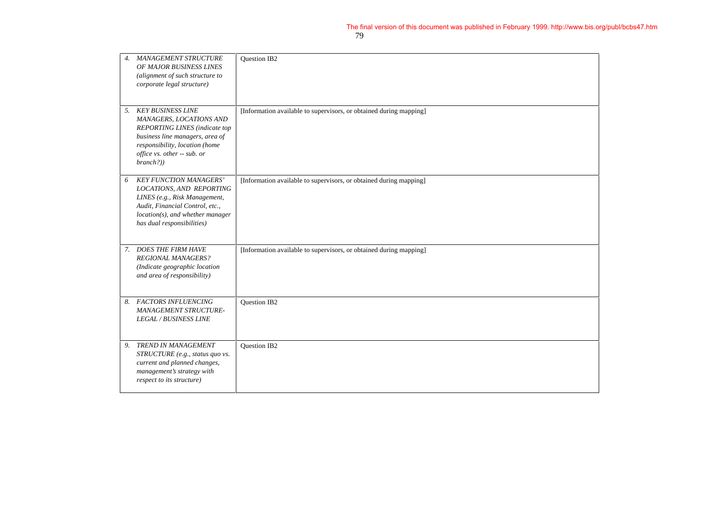| $\overline{4}$ . | <b>MANAGEMENT STRUCTURE</b><br>OF MAJOR BUSINESS LINES<br>(alignment of such structure to<br>corporate legal structure)                                                                                  | <b>Ouestion IB2</b>                                                |
|------------------|----------------------------------------------------------------------------------------------------------------------------------------------------------------------------------------------------------|--------------------------------------------------------------------|
|                  | 5. KEY BUSINESS LINE<br>MANAGERS, LOCATIONS AND<br><b>REPORTING LINES</b> (indicate top<br>business line managers, area of<br>responsibility, location (home<br>office vs. other -- sub. or<br>branch?)) | [Information available to supervisors, or obtained during mapping] |
| 6                | <b>KEY FUNCTION MANAGERS'</b><br>LOCATIONS, AND REPORTING<br>LINES (e.g., Risk Management,<br>Audit, Financial Control, etc.,<br>location(s), and whether manager<br>has dual responsibilities)          | [Information available to supervisors, or obtained during mapping] |
| 7.               | <b>DOES THE FIRM HAVE</b><br><b>REGIONAL MANAGERS?</b><br>(Indicate geographic location<br>and area of responsibility)                                                                                   | [Information available to supervisors, or obtained during mapping] |
|                  | 8. FACTORS INFLUENCING<br>MANAGEMENT STRUCTURE-<br><b>LEGAL / BUSINESS LINE</b>                                                                                                                          | Question IB2                                                       |
| 9.               | TREND IN MANAGEMENT<br>STRUCTURE (e.g., status quo vs.<br>current and planned changes,<br>management's strategy with<br>respect to its structure)                                                        | <b>Ouestion IB2</b>                                                |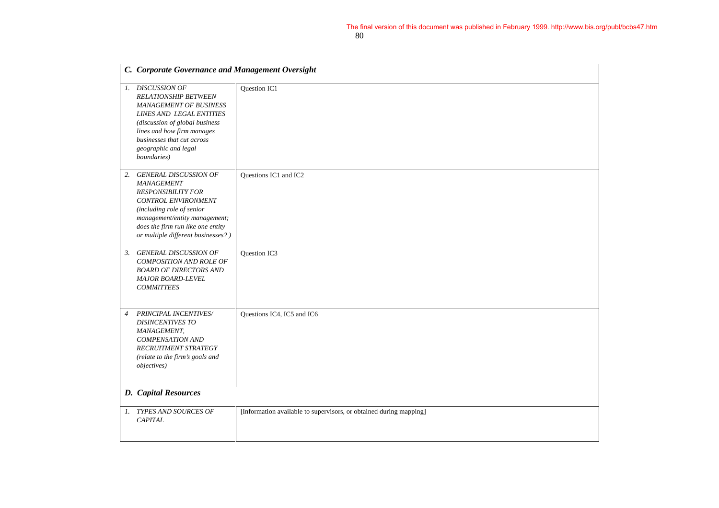|                | C. Corporate Governance and Management Oversight                                                                                                                                                                                                  |                                                                    |
|----------------|---------------------------------------------------------------------------------------------------------------------------------------------------------------------------------------------------------------------------------------------------|--------------------------------------------------------------------|
|                | 1. DISCUSSION OF<br><b>RELATIONSHIP BETWEEN</b><br><b>MANAGEMENT OF BUSINESS</b><br>LINES AND LEGAL ENTITIES<br>(discussion of global business<br>lines and how firm manages<br>businesses that cut across<br>geographic and legal<br>boundaries) | Question IC1                                                       |
| 2.             | <b>GENERAL DISCUSSION OF</b><br>MANAGEMENT<br><b>RESPONSIBILITY FOR</b><br>CONTROL ENVIRONMENT<br>(including role of senior<br>management/entity management;<br>does the firm run like one entity<br>or multiple different businesses?)           | Questions IC1 and IC2                                              |
| 3.             | <b>GENERAL DISCUSSION OF</b><br><b>COMPOSITION AND ROLE OF</b><br><b>BOARD OF DIRECTORS AND</b><br><b>MAJOR BOARD-LEVEL</b><br><b>COMMITTEES</b>                                                                                                  | Question IC3                                                       |
| $\overline{4}$ | PRINCIPAL INCENTIVES/<br><b>DISINCENTIVES TO</b><br>MANAGEMENT,<br><b>COMPENSATION AND</b><br>RECRUITMENT STRATEGY<br>(relate to the firm's goals and<br>objectives)                                                                              | Questions IC4, IC5 and IC6                                         |
|                | <b>D.</b> Capital Resources                                                                                                                                                                                                                       |                                                                    |
| 1.             | <b>TYPES AND SOURCES OF</b><br><b>CAPITAL</b>                                                                                                                                                                                                     | [Information available to supervisors, or obtained during mapping] |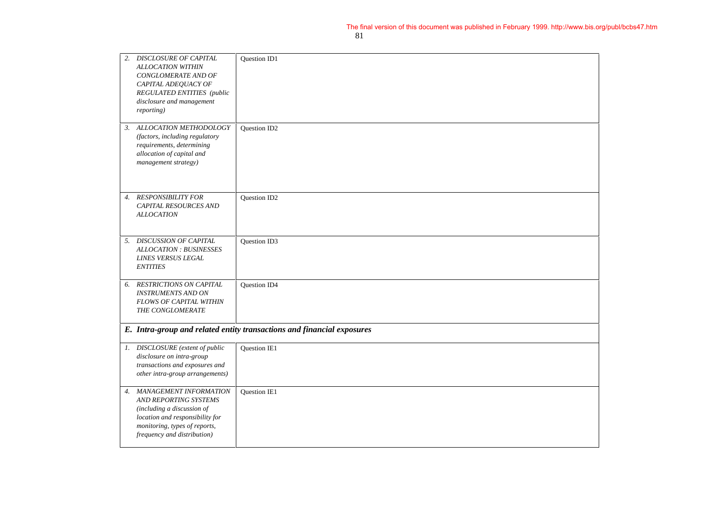|                  | 2. DISCLOSURE OF CAPITAL<br><b>ALLOCATION WITHIN</b><br>CONGLOMERATE AND OF<br>CAPITAL ADEQUACY OF<br><b>REGULATED ENTITIES</b> (public<br>disclosure and management<br>reporting) | Question ID1                                                           |
|------------------|------------------------------------------------------------------------------------------------------------------------------------------------------------------------------------|------------------------------------------------------------------------|
|                  | 3. ALLOCATION METHODOLOGY<br>(factors, including regulatory<br>requirements, determining<br>allocation of capital and<br>management strategy)                                      | Question ID2                                                           |
| $\overline{4}$ . | <b>RESPONSIBILITY FOR</b><br><b>CAPITAL RESOURCES AND</b><br><b>ALLOCATION</b>                                                                                                     | Question ID2                                                           |
| 5.               | <b>DISCUSSION OF CAPITAL</b><br><b>ALLOCATION: BUSINESSES</b><br><b>LINES VERSUS LEGAL</b><br><b>ENTITIES</b>                                                                      | Question ID3                                                           |
| 6.               | <b>RESTRICTIONS ON CAPITAL</b><br><b>INSTRUMENTS AND ON</b><br><b>FLOWS OF CAPITAL WITHIN</b><br>THE CONGLOMERATE                                                                  | <b>Ouestion ID4</b>                                                    |
|                  |                                                                                                                                                                                    | E. Intra-group and related entity transactions and financial exposures |
|                  | 1. DISCLOSURE (extent of public<br>disclosure on intra-group<br>transactions and exposures and<br>other intra-group arrangements)                                                  | Question IE1                                                           |
| 4.               | MANAGEMENT INFORMATION<br>AND REPORTING SYSTEMS<br>(including a discussion of<br>location and responsibility for<br>monitoring, types of reports,<br>frequency and distribution)   | Question IE1                                                           |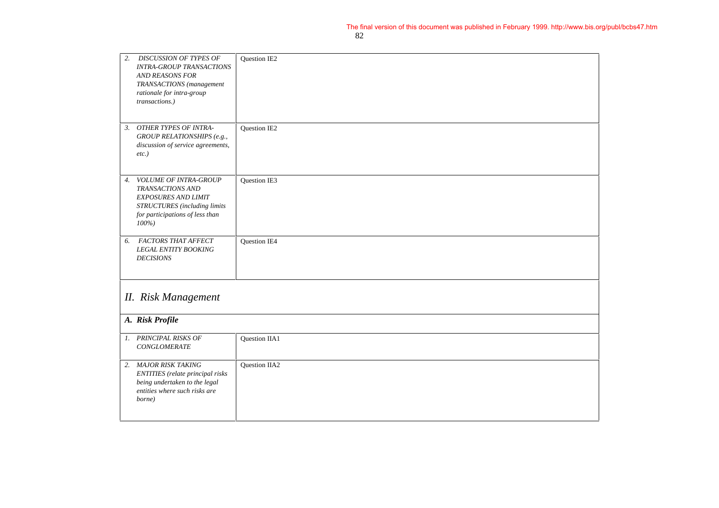| 2.<br><b>DISCUSSION OF TYPES OF</b><br><b>INTRA-GROUP TRANSACTIONS</b><br>AND REASONS FOR<br>TRANSACTIONS (management<br>rationale for intra-group<br>transactions.)          | Question IE2  |  |
|-------------------------------------------------------------------------------------------------------------------------------------------------------------------------------|---------------|--|
| <b>OTHER TYPES OF INTRA-</b><br>3.<br>GROUP RELATIONSHIPS (e.g.,<br>discussion of service agreements,<br>$etc.$ )                                                             | Question IE2  |  |
| <b>VOLUME OF INTRA-GROUP</b><br>$\overline{4}$ .<br>TRANSACTIONS AND<br><b>EXPOSURES AND LIMIT</b><br>STRUCTURES (including limits<br>for participations of less than<br>100% | Question IE3  |  |
| FACTORS THAT AFFECT<br>6.<br>LEGAL ENTITY BOOKING<br><b>DECISIONS</b>                                                                                                         | Question IE4  |  |
| <b>II.</b> Risk Management                                                                                                                                                    |               |  |
| A. Risk Profile                                                                                                                                                               |               |  |
| 1. PRINCIPAL RISKS OF<br><b>CONGLOMERATE</b>                                                                                                                                  | Question IIA1 |  |
| 2. MAJOR RISK TAKING<br><b>ENTITIES</b> (relate principal risks<br>being undertaken to the legal<br>entities where such risks are<br>borne)                                   | Question IIA2 |  |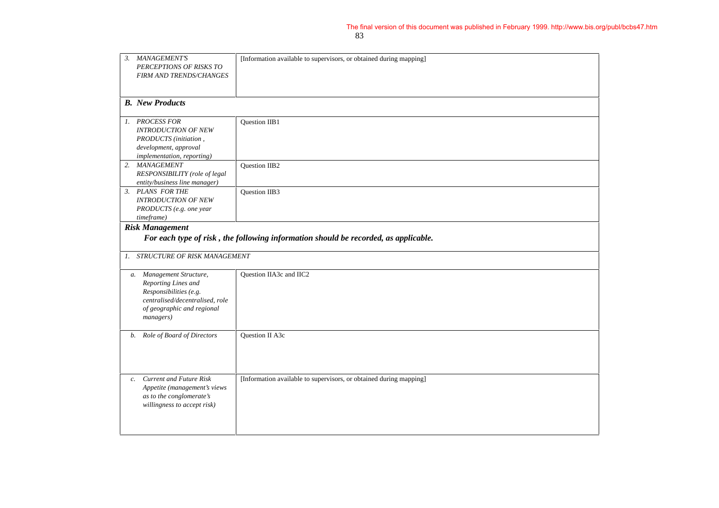| 3. | MANAGEMENT'S<br>PERCEPTIONS OF RISKS TO<br>FIRM AND TRENDS/CHANGES                                                                                      | [Information available to supervisors, or obtained during mapping] |  |
|----|---------------------------------------------------------------------------------------------------------------------------------------------------------|--------------------------------------------------------------------|--|
|    | <b>B.</b> New Products                                                                                                                                  |                                                                    |  |
|    | 1. PROCESS FOR<br><b>INTRODUCTION OF NEW</b><br>PRODUCTS (initiation,<br>development, approval<br>implementation, reporting)                            | Question IIB1                                                      |  |
|    | 2. MANAGEMENT<br>RESPONSIBILITY (role of legal<br>entity/business line manager)                                                                         | <b>Ouestion IIB2</b>                                               |  |
|    | 3. PLANS FOR THE<br><b>INTRODUCTION OF NEW</b><br>PRODUCTS (e.g. one year<br>timeframe)                                                                 | <b>Ouestion IIB3</b>                                               |  |
|    | <b>Risk Management</b><br>For each type of risk, the following information should be recorded, as applicable.                                           |                                                                    |  |
|    | 1. STRUCTURE OF RISK MANAGEMENT                                                                                                                         |                                                                    |  |
|    | a. Management Structure,<br>Reporting Lines and<br>Responsibilities (e.g.<br>centralised/decentralised, role<br>of geographic and regional<br>managers) | Question IIA3c and IIC2                                            |  |
| b. | Role of Board of Directors                                                                                                                              | <b>Ouestion II A3c</b>                                             |  |
| c. | <b>Current and Future Risk</b><br>Appetite (management's views<br>as to the conglomerate's<br>willingness to accept risk)                               | [Information available to supervisors, or obtained during mapping] |  |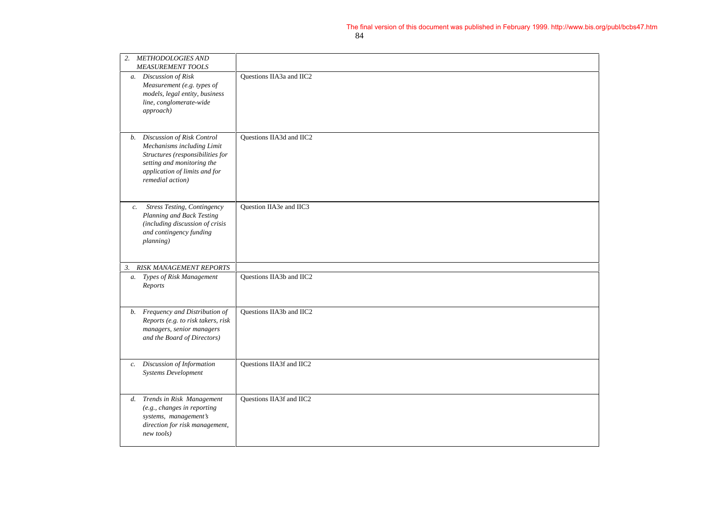| 2.                            | <b>METHODOLOGIES AND</b><br>MEASUREMENT TOOLS                                                                                                                                      |                                 |
|-------------------------------|------------------------------------------------------------------------------------------------------------------------------------------------------------------------------------|---------------------------------|
|                               | a. Discussion of Risk<br>Measurement (e.g. types of<br>models, legal entity, business<br>line, conglomerate-wide<br>approach)                                                      | Questions IIA3a and IIC2        |
|                               | b. Discussion of Risk Control<br>Mechanisms including Limit<br>Structures (responsibilities for<br>setting and monitoring the<br>application of limits and for<br>remedial action) | <b>Ouestions IIA3d and IIC2</b> |
| $\mathfrak{c}.$               | <b>Stress Testing, Contingency</b><br>Planning and Back Testing<br>(including discussion of crisis<br>and contingency funding<br>planning)                                         | Ouestion IIA3e and IIC3         |
| RISK MANAGEMENT REPORTS<br>3. |                                                                                                                                                                                    |                                 |
|                               | a. Types of Risk Management<br>Reports                                                                                                                                             | Questions IIA3b and IIC2        |
| <i>b</i> .                    | Frequency and Distribution of<br>Reports (e.g. to risk takers, risk<br>managers, senior managers<br>and the Board of Directors)                                                    | Questions IIA3b and IIC2        |
| c.                            | Discussion of Information<br><b>Systems Development</b>                                                                                                                            | Questions IIA3f and IIC2        |
|                               | d. Trends in Risk Management<br>(e.g., changes in reporting<br>systems, management's<br>direction for risk management,<br>new tools)                                               | Questions IIA3f and IIC2        |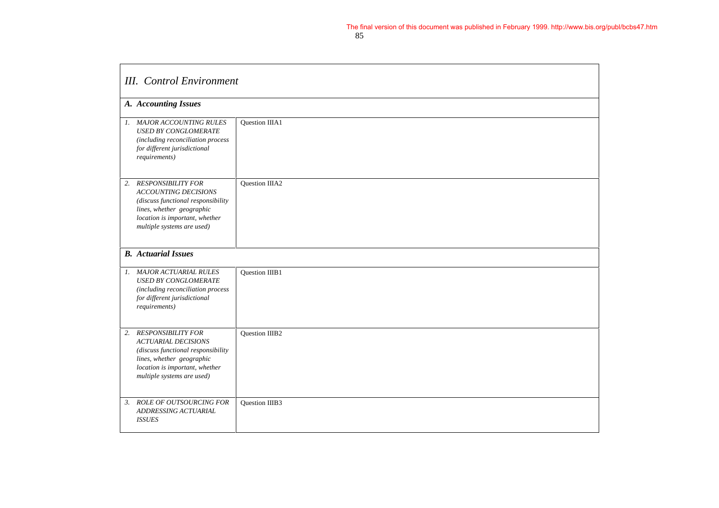| <b>III.</b> Control Environment                                                                                                                                                                  |                       |  |
|--------------------------------------------------------------------------------------------------------------------------------------------------------------------------------------------------|-----------------------|--|
| A. Accounting Issues                                                                                                                                                                             |                       |  |
| 1. MAJOR ACCOUNTING RULES<br><b>USED BY CONGLOMERATE</b><br>(including reconciliation process<br>for different jurisdictional<br>requirements)                                                   | Question IIIA1        |  |
| 2. RESPONSIBILITY FOR<br><b>ACCOUNTING DECISIONS</b><br>(discuss functional responsibility<br>lines, whether geographic<br>location is important, whether<br>multiple systems are used)          | Question IIIA2        |  |
| <b>B.</b> Actuarial Issues                                                                                                                                                                       |                       |  |
| 1. MAJOR ACTUARIAL RULES<br><b>USED BY CONGLOMERATE</b><br>(including reconciliation process<br>for different jurisdictional<br>requirements)                                                    | Question IIIB1        |  |
| <b>RESPONSIBILITY FOR</b><br>2.<br><b>ACTUARIAL DECISIONS</b><br>(discuss functional responsibility<br>lines, whether geographic<br>location is important, whether<br>multiple systems are used) | <b>Ouestion IIIB2</b> |  |
| 3. ROLE OF OUTSOURCING FOR<br>ADDRESSING ACTUARIAL<br><b>ISSUES</b>                                                                                                                              | Question IIIB3        |  |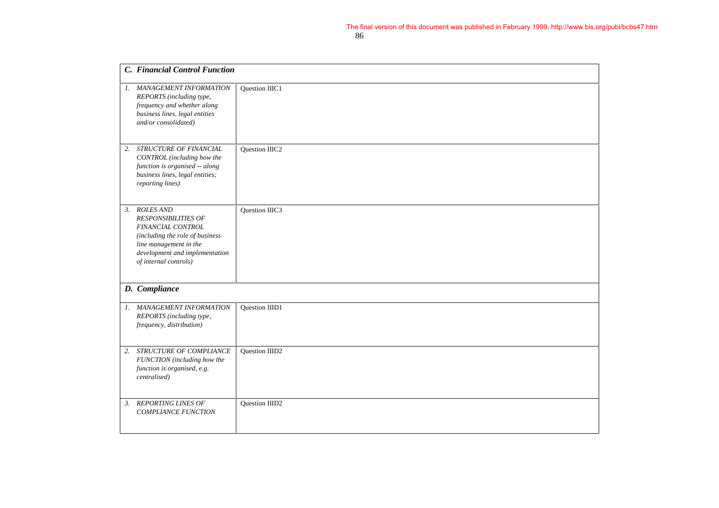|    | C. Financial Control Function                                                                                                                                                               |                |
|----|---------------------------------------------------------------------------------------------------------------------------------------------------------------------------------------------|----------------|
|    | 1. MANAGEMENT INFORMATION<br>REPORTS (including type,<br>frequency and whether along<br>business lines, legal entities<br>and/or consolidated)                                              | Question IIIC1 |
| 2. | STRUCTURE OF FINANCIAL<br>CONTROL (including how the<br>function is organised -- along<br>business lines, legal entities;<br>reporting lines)                                               | Question IIIC2 |
| 3. | <b>ROLES AND</b><br><b>RESPONSIBILITIES OF</b><br>FINANCIAL CONTROL<br>(including the role of business<br>line management in the<br>development and implementation<br>of internal controls) | Question IIIC3 |
|    | D. Compliance                                                                                                                                                                               |                |
| 1. | <b>MANAGEMENT INFORMATION</b><br>REPORTS (including type,<br>frequency, distribution)                                                                                                       | Question IIID1 |
| 2. | STRUCTURE OF COMPLIANCE<br>FUNCTION (including how the<br>function is organised, e.g.<br>centralised)                                                                                       | Question IIID2 |
| 3. | <b>REPORTING LINES OF</b><br><b>COMPLIANCE FUNCTION</b>                                                                                                                                     | Question IIID2 |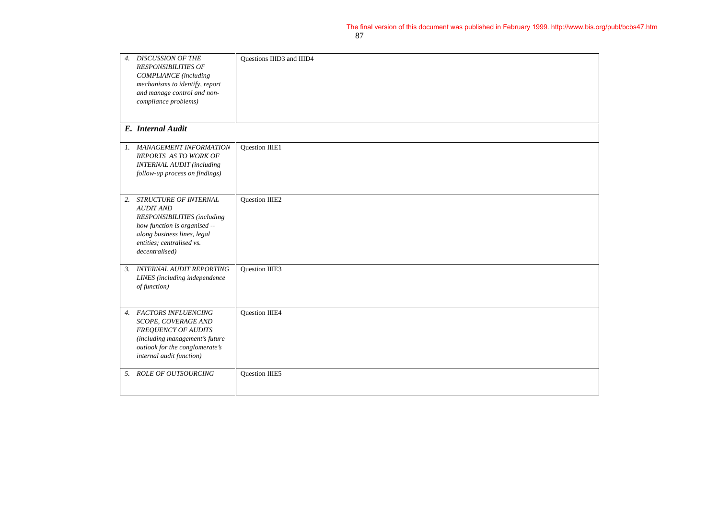| $\overline{4}$ . | <b>DISCUSSION OF THE</b><br><b>RESPONSIBILITIES OF</b><br><b>COMPLIANCE</b> (including<br>mechanisms to identify, report<br>and manage control and non-<br>compliance problems)        | Questions IIID3 and IIID4 |
|------------------|----------------------------------------------------------------------------------------------------------------------------------------------------------------------------------------|---------------------------|
|                  | E. Internal Audit                                                                                                                                                                      |                           |
|                  | 1. MANAGEMENT INFORMATION<br><b>REPORTS AS TO WORK OF</b><br><b>INTERNAL AUDIT</b> (including<br>follow-up process on findings)                                                        | Question IIIE1            |
| 2.               | STRUCTURE OF INTERNAL<br><b>AUDIT AND</b><br>RESPONSIBILITIES (including<br>how function is organised --<br>along business lines, legal<br>entities; centralised vs.<br>decentralised) | Question IIIE2            |
| 3.               | <b>INTERNAL AUDIT REPORTING</b><br>LINES (including independence<br>of function)                                                                                                       | <b>Ouestion IIIE3</b>     |
|                  | 4. FACTORS INFLUENCING<br>SCOPE, COVERAGE AND<br><b>FREQUENCY OF AUDITS</b><br>(including management's future<br>outlook for the conglomerate's<br>internal audit function)            | Question IIIE4            |
|                  | 5. ROLE OF OUTSOURCING                                                                                                                                                                 | Question IIIE5            |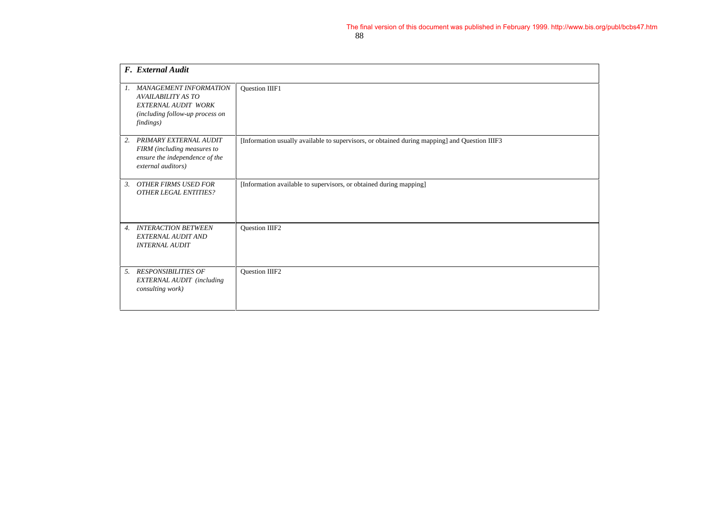|                  | F. External Audit                                                                                                                 |                                                                                               |
|------------------|-----------------------------------------------------------------------------------------------------------------------------------|-----------------------------------------------------------------------------------------------|
| 1.               | <b>MANAGEMENT INFORMATION</b><br><b>AVAILABILITY AS TO</b><br>EXTERNAL AUDIT WORK<br>(including follow-up process on<br>findings) | Question IIIF1                                                                                |
| 2.               | PRIMARY EXTERNAL AUDIT<br>FIRM (including measures to<br>ensure the independence of the<br>external auditors)                     | [Information usually available to supervisors, or obtained during mapping] and Question IIIF3 |
| 3.               | <b>OTHER FIRMS USED FOR</b><br><b>OTHER LEGAL ENTITIES?</b>                                                                       | [Information available to supervisors, or obtained during mapping]                            |
| $\overline{4}$ . | <b>INTERACTION BETWEEN</b><br>EXTERNAL AUDIT AND<br><b>INTERNAL AUDIT</b>                                                         | Question IIIF2                                                                                |
| 5.               | <b>RESPONSIBILITIES OF</b><br>EXTERNAL AUDIT (including<br>consulting work)                                                       | Question IIIF2                                                                                |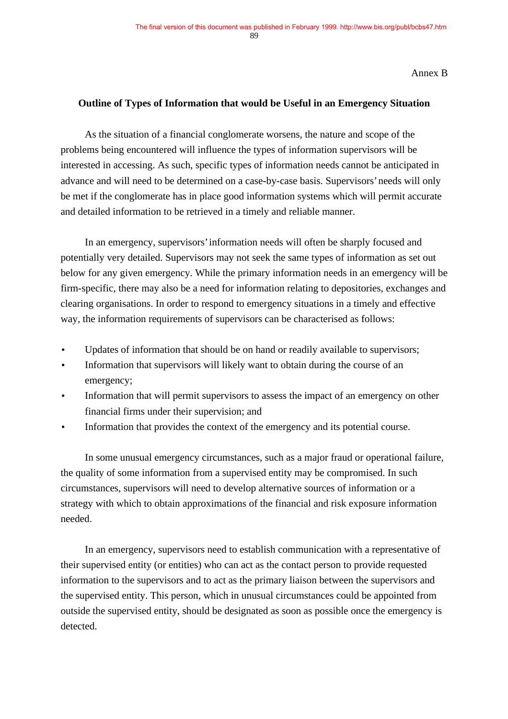Annex B

#### **Outline of Types of Information that would be Useful in an Emergency Situation**

As the situation of a financial conglomerate worsens, the nature and scope of the problems being encountered will influence the types of information supervisors will be interested in accessing. As such, specific types of information needs cannot be anticipated in advance and will need to be determined on a case-by-case basis. Supervisors' needs will only be met if the conglomerate has in place good information systems which will permit accurate and detailed information to be retrieved in a timely and reliable manner.

In an emergency, supervisors' information needs will often be sharply focused and potentially very detailed. Supervisors may not seek the same types of information as set out below for any given emergency. While the primary information needs in an emergency will be firm-specific, there may also be a need for information relating to depositories, exchanges and clearing organisations. In order to respond to emergency situations in a timely and effective way, the information requirements of supervisors can be characterised as follows:

- Updates of information that should be on hand or readily available to supervisors;
- Information that supervisors will likely want to obtain during the course of an emergency;
- Information that will permit supervisors to assess the impact of an emergency on other financial firms under their supervision; and
- Information that provides the context of the emergency and its potential course.

In some unusual emergency circumstances, such as a major fraud or operational failure, the quality of some information from a supervised entity may be compromised. In such circumstances, supervisors will need to develop alternative sources of information or a strategy with which to obtain approximations of the financial and risk exposure information needed.

In an emergency, supervisors need to establish communication with a representative of their supervised entity (or entities) who can act as the contact person to provide requested information to the supervisors and to act as the primary liaison between the supervisors and the supervised entity. This person, which in unusual circumstances could be appointed from outside the supervised entity, should be designated as soon as possible once the emergency is detected.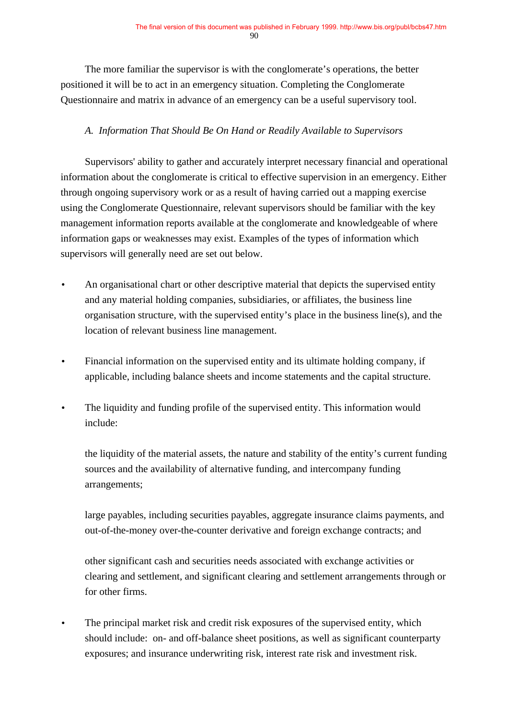The more familiar the supervisor is with the conglomerate's operations, the better positioned it will be to act in an emergency situation. Completing the Conglomerate Questionnaire and matrix in advance of an emergency can be a useful supervisory tool.

### *A. Information That Should Be On Hand or Readily Available to Supervisors*

Supervisors' ability to gather and accurately interpret necessary financial and operational information about the conglomerate is critical to effective supervision in an emergency. Either through ongoing supervisory work or as a result of having carried out a mapping exercise using the Conglomerate Questionnaire, relevant supervisors should be familiar with the key management information reports available at the conglomerate and knowledgeable of where information gaps or weaknesses may exist. Examples of the types of information which supervisors will generally need are set out below.

- An organisational chart or other descriptive material that depicts the supervised entity and any material holding companies, subsidiaries, or affiliates, the business line organisation structure, with the supervised entity's place in the business line(s), and the location of relevant business line management.
- Financial information on the supervised entity and its ultimate holding company, if applicable, including balance sheets and income statements and the capital structure.
- The liquidity and funding profile of the supervised entity. This information would include:

the liquidity of the material assets, the nature and stability of the entity's current funding sources and the availability of alternative funding, and intercompany funding arrangements;

large payables, including securities payables, aggregate insurance claims payments, and out-of-the-money over-the-counter derivative and foreign exchange contracts; and

other significant cash and securities needs associated with exchange activities or clearing and settlement, and significant clearing and settlement arrangements through or for other firms.

The principal market risk and credit risk exposures of the supervised entity, which should include: on- and off-balance sheet positions, as well as significant counterparty exposures; and insurance underwriting risk, interest rate risk and investment risk.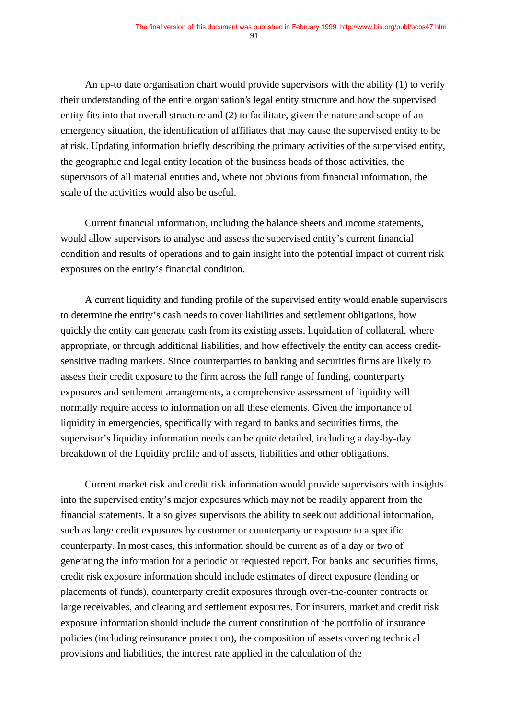An up-to date organisation chart would provide supervisors with the ability (1) to verify their understanding of the entire organisation's legal entity structure and how the supervised entity fits into that overall structure and (2) to facilitate, given the nature and scope of an emergency situation, the identification of affiliates that may cause the supervised entity to be at risk. Updating information briefly describing the primary activities of the supervised entity, the geographic and legal entity location of the business heads of those activities, the supervisors of all material entities and, where not obvious from financial information, the scale of the activities would also be useful.

Current financial information, including the balance sheets and income statements, would allow supervisors to analyse and assess the supervised entity's current financial condition and results of operations and to gain insight into the potential impact of current risk exposures on the entity's financial condition.

A current liquidity and funding profile of the supervised entity would enable supervisors to determine the entity's cash needs to cover liabilities and settlement obligations, how quickly the entity can generate cash from its existing assets, liquidation of collateral, where appropriate, or through additional liabilities, and how effectively the entity can access creditsensitive trading markets. Since counterparties to banking and securities firms are likely to assess their credit exposure to the firm across the full range of funding, counterparty exposures and settlement arrangements, a comprehensive assessment of liquidity will normally require access to information on all these elements. Given the importance of liquidity in emergencies, specifically with regard to banks and securities firms, the supervisor's liquidity information needs can be quite detailed, including a day-by-day breakdown of the liquidity profile and of assets, liabilities and other obligations.

Current market risk and credit risk information would provide supervisors with insights into the supervised entity's major exposures which may not be readily apparent from the financial statements. It also gives supervisors the ability to seek out additional information, such as large credit exposures by customer or counterparty or exposure to a specific counterparty. In most cases, this information should be current as of a day or two of generating the information for a periodic or requested report. For banks and securities firms, credit risk exposure information should include estimates of direct exposure (lending or placements of funds), counterparty credit exposures through over-the-counter contracts or large receivables, and clearing and settlement exposures. For insurers, market and credit risk exposure information should include the current constitution of the portfolio of insurance policies (including reinsurance protection), the composition of assets covering technical provisions and liabilities, the interest rate applied in the calculation of the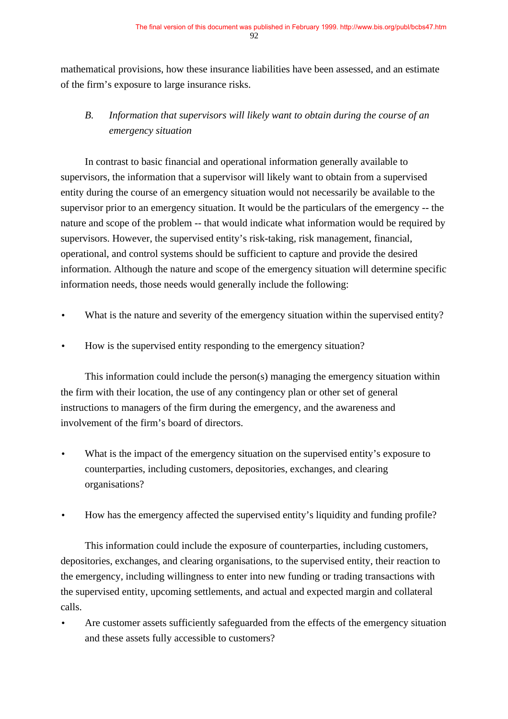mathematical provisions, how these insurance liabilities have been assessed, and an estimate of the firm's exposure to large insurance risks.

# *B. Information that supervisors will likely want to obtain during the course of an emergency situation*

In contrast to basic financial and operational information generally available to supervisors, the information that a supervisor will likely want to obtain from a supervised entity during the course of an emergency situation would not necessarily be available to the supervisor prior to an emergency situation. It would be the particulars of the emergency -- the nature and scope of the problem -- that would indicate what information would be required by supervisors. However, the supervised entity's risk-taking, risk management, financial, operational, and control systems should be sufficient to capture and provide the desired information. Although the nature and scope of the emergency situation will determine specific information needs, those needs would generally include the following:

- What is the nature and severity of the emergency situation within the supervised entity?
- How is the supervised entity responding to the emergency situation?

This information could include the person(s) managing the emergency situation within the firm with their location, the use of any contingency plan or other set of general instructions to managers of the firm during the emergency, and the awareness and involvement of the firm's board of directors.

- What is the impact of the emergency situation on the supervised entity's exposure to counterparties, including customers, depositories, exchanges, and clearing organisations?
- How has the emergency affected the supervised entity's liquidity and funding profile?

This information could include the exposure of counterparties, including customers, depositories, exchanges, and clearing organisations, to the supervised entity, their reaction to the emergency, including willingness to enter into new funding or trading transactions with the supervised entity, upcoming settlements, and actual and expected margin and collateral calls.

• Are customer assets sufficiently safeguarded from the effects of the emergency situation and these assets fully accessible to customers?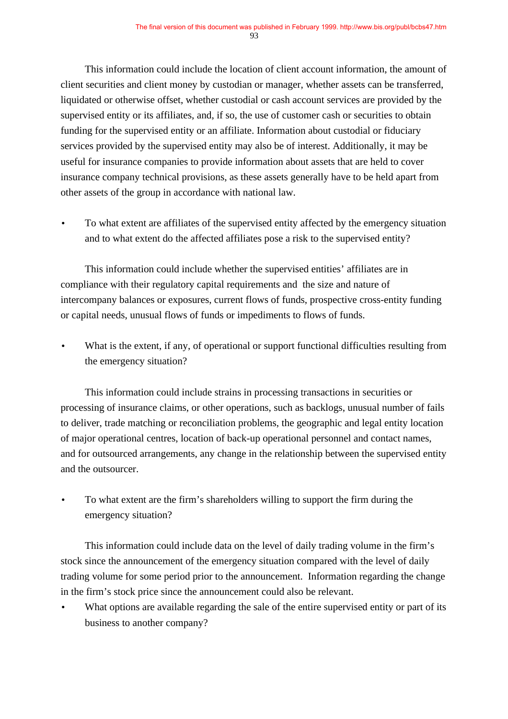This information could include the location of client account information, the amount of client securities and client money by custodian or manager, whether assets can be transferred, liquidated or otherwise offset, whether custodial or cash account services are provided by the supervised entity or its affiliates, and, if so, the use of customer cash or securities to obtain funding for the supervised entity or an affiliate. Information about custodial or fiduciary services provided by the supervised entity may also be of interest. Additionally, it may be useful for insurance companies to provide information about assets that are held to cover insurance company technical provisions, as these assets generally have to be held apart from other assets of the group in accordance with national law.

• To what extent are affiliates of the supervised entity affected by the emergency situation and to what extent do the affected affiliates pose a risk to the supervised entity?

This information could include whether the supervised entities' affiliates are in compliance with their regulatory capital requirements and the size and nature of intercompany balances or exposures, current flows of funds, prospective cross-entity funding or capital needs, unusual flows of funds or impediments to flows of funds.

What is the extent, if any, of operational or support functional difficulties resulting from the emergency situation?

This information could include strains in processing transactions in securities or processing of insurance claims, or other operations, such as backlogs, unusual number of fails to deliver, trade matching or reconciliation problems, the geographic and legal entity location of major operational centres, location of back-up operational personnel and contact names, and for outsourced arrangements, any change in the relationship between the supervised entity and the outsourcer.

• To what extent are the firm's shareholders willing to support the firm during the emergency situation?

This information could include data on the level of daily trading volume in the firm's stock since the announcement of the emergency situation compared with the level of daily trading volume for some period prior to the announcement. Information regarding the change in the firm's stock price since the announcement could also be relevant.

What options are available regarding the sale of the entire supervised entity or part of its business to another company?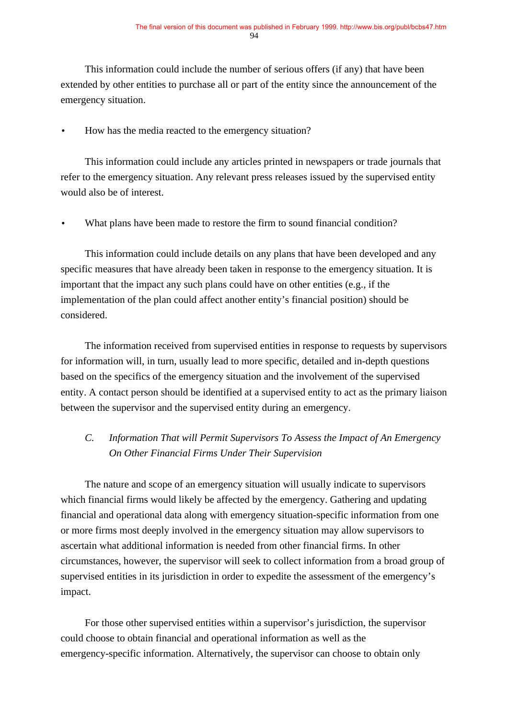This information could include the number of serious offers (if any) that have been extended by other entities to purchase all or part of the entity since the announcement of the emergency situation.

• How has the media reacted to the emergency situation?

This information could include any articles printed in newspapers or trade journals that refer to the emergency situation. Any relevant press releases issued by the supervised entity would also be of interest.

What plans have been made to restore the firm to sound financial condition?

This information could include details on any plans that have been developed and any specific measures that have already been taken in response to the emergency situation. It is important that the impact any such plans could have on other entities (e.g., if the implementation of the plan could affect another entity's financial position) should be considered.

The information received from supervised entities in response to requests by supervisors for information will, in turn, usually lead to more specific, detailed and in-depth questions based on the specifics of the emergency situation and the involvement of the supervised entity. A contact person should be identified at a supervised entity to act as the primary liaison between the supervisor and the supervised entity during an emergency.

## *C. Information That will Permit Supervisors To Assess the Impact of An Emergency On Other Financial Firms Under Their Supervision*

The nature and scope of an emergency situation will usually indicate to supervisors which financial firms would likely be affected by the emergency. Gathering and updating financial and operational data along with emergency situation-specific information from one or more firms most deeply involved in the emergency situation may allow supervisors to ascertain what additional information is needed from other financial firms. In other circumstances, however, the supervisor will seek to collect information from a broad group of supervised entities in its jurisdiction in order to expedite the assessment of the emergency's impact.

For those other supervised entities within a supervisor's jurisdiction, the supervisor could choose to obtain financial and operational information as well as the emergency-specific information. Alternatively, the supervisor can choose to obtain only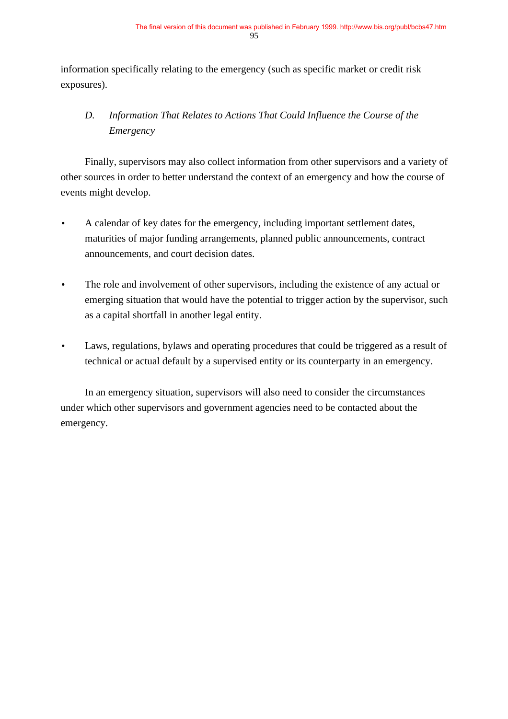information specifically relating to the emergency (such as specific market or credit risk exposures).

# *D. Information That Relates to Actions That Could Influence the Course of the Emergency*

Finally, supervisors may also collect information from other supervisors and a variety of other sources in order to better understand the context of an emergency and how the course of events might develop.

- A calendar of key dates for the emergency, including important settlement dates, maturities of major funding arrangements, planned public announcements, contract announcements, and court decision dates.
- The role and involvement of other supervisors, including the existence of any actual or emerging situation that would have the potential to trigger action by the supervisor, such as a capital shortfall in another legal entity.
- Laws, regulations, bylaws and operating procedures that could be triggered as a result of technical or actual default by a supervised entity or its counterparty in an emergency.

In an emergency situation, supervisors will also need to consider the circumstances under which other supervisors and government agencies need to be contacted about the emergency.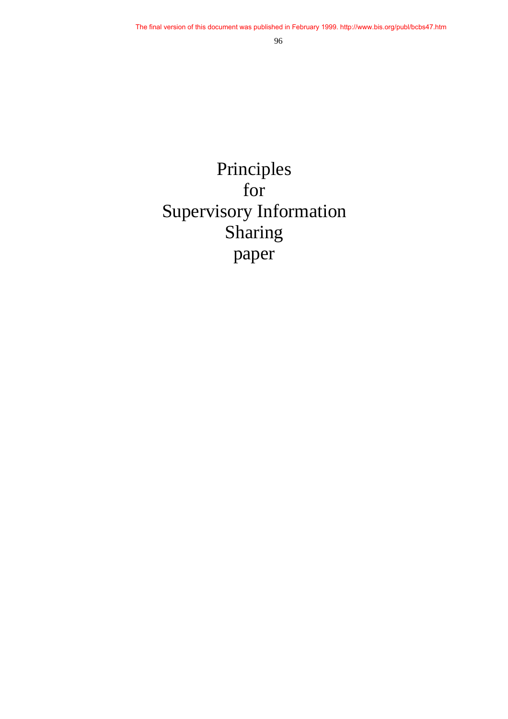# Principles for Supervisory Information Sharing paper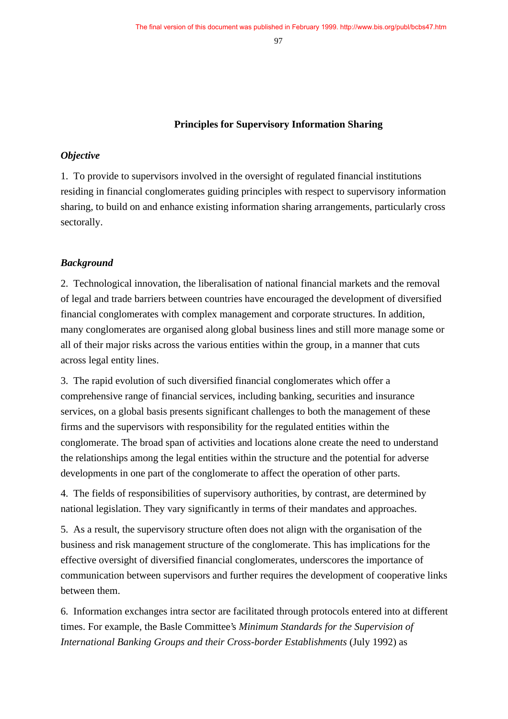#### **Principles for Supervisory Information Sharing**

#### *Objective*

1. To provide to supervisors involved in the oversight of regulated financial institutions residing in financial conglomerates guiding principles with respect to supervisory information sharing, to build on and enhance existing information sharing arrangements, particularly cross sectorally.

#### *Background*

2. Technological innovation, the liberalisation of national financial markets and the removal of legal and trade barriers between countries have encouraged the development of diversified financial conglomerates with complex management and corporate structures. In addition, many conglomerates are organised along global business lines and still more manage some or all of their major risks across the various entities within the group, in a manner that cuts across legal entity lines.

3. The rapid evolution of such diversified financial conglomerates which offer a comprehensive range of financial services, including banking, securities and insurance services, on a global basis presents significant challenges to both the management of these firms and the supervisors with responsibility for the regulated entities within the conglomerate. The broad span of activities and locations alone create the need to understand the relationships among the legal entities within the structure and the potential for adverse developments in one part of the conglomerate to affect the operation of other parts.

4. The fields of responsibilities of supervisory authorities, by contrast, are determined by national legislation. They vary significantly in terms of their mandates and approaches.

5. As a result, the supervisory structure often does not align with the organisation of the business and risk management structure of the conglomerate. This has implications for the effective oversight of diversified financial conglomerates, underscores the importance of communication between supervisors and further requires the development of cooperative links between them.

6. Information exchanges intra sector are facilitated through protocols entered into at different times. For example, the Basle Committee's *Minimum Standards for the Supervision of International Banking Groups and their Cross-border Establishments* (July 1992) as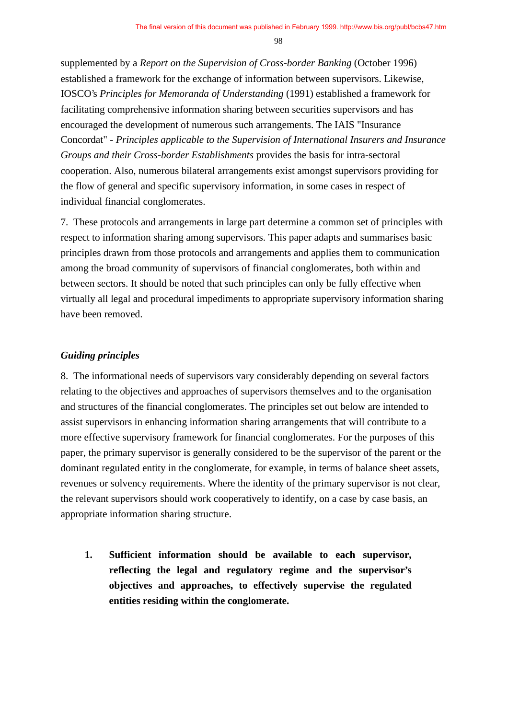supplemented by a *Report on the Supervision of Cross-border Banking* (October 1996) established a framework for the exchange of information between supervisors. Likewise, IOSCO's *Principles for Memoranda of Understanding* (1991) established a framework for facilitating comprehensive information sharing between securities supervisors and has encouraged the development of numerous such arrangements. The IAIS "Insurance Concordat" - *Principles applicable to the Supervision of International Insurers and Insurance Groups and their Cross-border Establishments* provides the basis for intra-sectoral cooperation. Also, numerous bilateral arrangements exist amongst supervisors providing for the flow of general and specific supervisory information, in some cases in respect of individual financial conglomerates.

7. These protocols and arrangements in large part determine a common set of principles with respect to information sharing among supervisors. This paper adapts and summarises basic principles drawn from those protocols and arrangements and applies them to communication among the broad community of supervisors of financial conglomerates, both within and between sectors. It should be noted that such principles can only be fully effective when virtually all legal and procedural impediments to appropriate supervisory information sharing have been removed.

#### *Guiding principles*

8. The informational needs of supervisors vary considerably depending on several factors relating to the objectives and approaches of supervisors themselves and to the organisation and structures of the financial conglomerates. The principles set out below are intended to assist supervisors in enhancing information sharing arrangements that will contribute to a more effective supervisory framework for financial conglomerates. For the purposes of this paper, the primary supervisor is generally considered to be the supervisor of the parent or the dominant regulated entity in the conglomerate, for example, in terms of balance sheet assets, revenues or solvency requirements. Where the identity of the primary supervisor is not clear, the relevant supervisors should work cooperatively to identify, on a case by case basis, an appropriate information sharing structure.

**1. Sufficient information should be available to each supervisor, reflecting the legal and regulatory regime and the supervisor's objectives and approaches, to effectively supervise the regulated entities residing within the conglomerate.**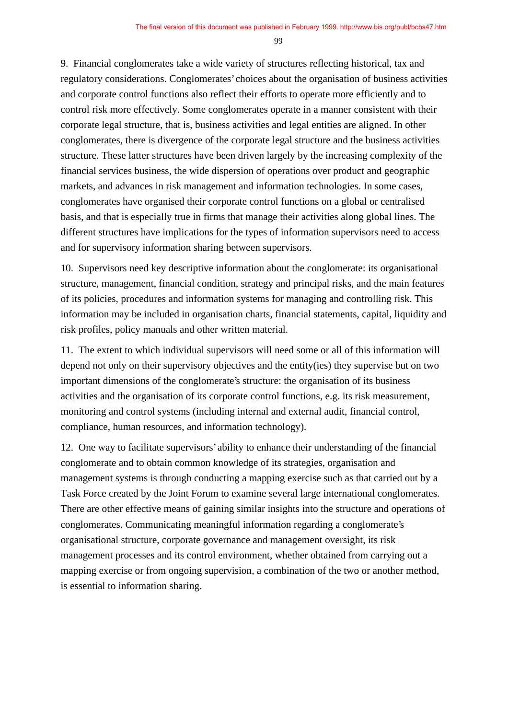9. Financial conglomerates take a wide variety of structures reflecting historical, tax and regulatory considerations. Conglomerates' choices about the organisation of business activities and corporate control functions also reflect their efforts to operate more efficiently and to control risk more effectively. Some conglomerates operate in a manner consistent with their corporate legal structure, that is, business activities and legal entities are aligned. In other conglomerates, there is divergence of the corporate legal structure and the business activities structure. These latter structures have been driven largely by the increasing complexity of the financial services business, the wide dispersion of operations over product and geographic markets, and advances in risk management and information technologies. In some cases, conglomerates have organised their corporate control functions on a global or centralised basis, and that is especially true in firms that manage their activities along global lines. The different structures have implications for the types of information supervisors need to access and for supervisory information sharing between supervisors.

10. Supervisors need key descriptive information about the conglomerate: its organisational structure, management, financial condition, strategy and principal risks, and the main features of its policies, procedures and information systems for managing and controlling risk. This information may be included in organisation charts, financial statements, capital, liquidity and risk profiles, policy manuals and other written material.

11. The extent to which individual supervisors will need some or all of this information will depend not only on their supervisory objectives and the entity(ies) they supervise but on two important dimensions of the conglomerate's structure: the organisation of its business activities and the organisation of its corporate control functions, e.g. its risk measurement, monitoring and control systems (including internal and external audit, financial control, compliance, human resources, and information technology).

12. One way to facilitate supervisors' ability to enhance their understanding of the financial conglomerate and to obtain common knowledge of its strategies, organisation and management systems is through conducting a mapping exercise such as that carried out by a Task Force created by the Joint Forum to examine several large international conglomerates. There are other effective means of gaining similar insights into the structure and operations of conglomerates. Communicating meaningful information regarding a conglomerate's organisational structure, corporate governance and management oversight, its risk management processes and its control environment, whether obtained from carrying out a mapping exercise or from ongoing supervision, a combination of the two or another method, is essential to information sharing.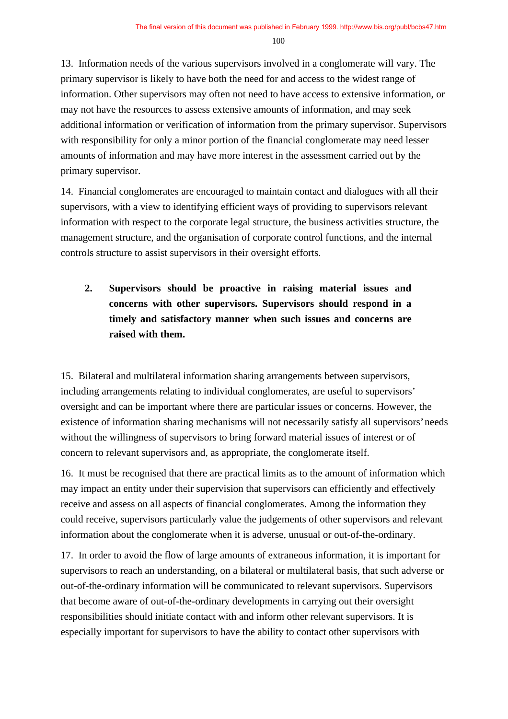13. Information needs of the various supervisors involved in a conglomerate will vary. The primary supervisor is likely to have both the need for and access to the widest range of information. Other supervisors may often not need to have access to extensive information, or may not have the resources to assess extensive amounts of information, and may seek additional information or verification of information from the primary supervisor. Supervisors with responsibility for only a minor portion of the financial conglomerate may need lesser amounts of information and may have more interest in the assessment carried out by the primary supervisor.

14. Financial conglomerates are encouraged to maintain contact and dialogues with all their supervisors, with a view to identifying efficient ways of providing to supervisors relevant information with respect to the corporate legal structure, the business activities structure, the management structure, and the organisation of corporate control functions, and the internal controls structure to assist supervisors in their oversight efforts.

# **2. Supervisors should be proactive in raising material issues and concerns with other supervisors. Supervisors should respond in a timely and satisfactory manner when such issues and concerns are raised with them.**

15. Bilateral and multilateral information sharing arrangements between supervisors, including arrangements relating to individual conglomerates, are useful to supervisors' oversight and can be important where there are particular issues or concerns. However, the existence of information sharing mechanisms will not necessarily satisfy all supervisors' needs without the willingness of supervisors to bring forward material issues of interest or of concern to relevant supervisors and, as appropriate, the conglomerate itself.

16. It must be recognised that there are practical limits as to the amount of information which may impact an entity under their supervision that supervisors can efficiently and effectively receive and assess on all aspects of financial conglomerates. Among the information they could receive, supervisors particularly value the judgements of other supervisors and relevant information about the conglomerate when it is adverse, unusual or out-of-the-ordinary.

17. In order to avoid the flow of large amounts of extraneous information, it is important for supervisors to reach an understanding, on a bilateral or multilateral basis, that such adverse or out-of-the-ordinary information will be communicated to relevant supervisors. Supervisors that become aware of out-of-the-ordinary developments in carrying out their oversight responsibilities should initiate contact with and inform other relevant supervisors. It is especially important for supervisors to have the ability to contact other supervisors with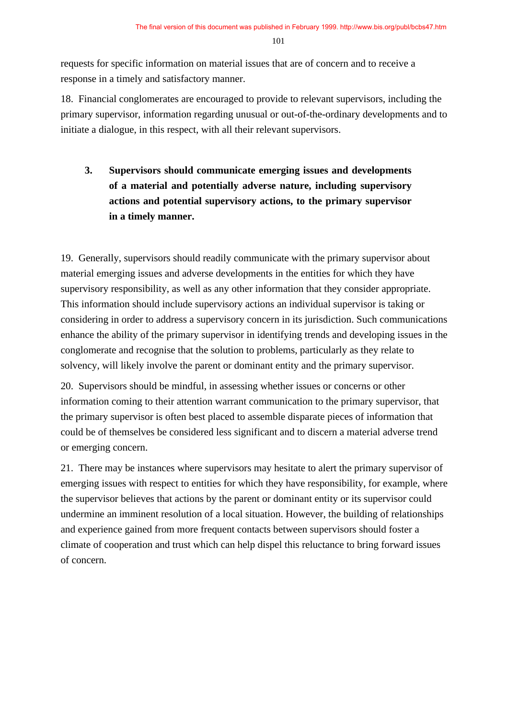requests for specific information on material issues that are of concern and to receive a response in a timely and satisfactory manner.

18. Financial conglomerates are encouraged to provide to relevant supervisors, including the primary supervisor, information regarding unusual or out-of-the-ordinary developments and to initiate a dialogue, in this respect, with all their relevant supervisors.

**3. Supervisors should communicate emerging issues and developments of a material and potentially adverse nature, including supervisory actions and potential supervisory actions, to the primary supervisor in a timely manner.**

19. Generally, supervisors should readily communicate with the primary supervisor about material emerging issues and adverse developments in the entities for which they have supervisory responsibility, as well as any other information that they consider appropriate. This information should include supervisory actions an individual supervisor is taking or considering in order to address a supervisory concern in its jurisdiction. Such communications enhance the ability of the primary supervisor in identifying trends and developing issues in the conglomerate and recognise that the solution to problems, particularly as they relate to solvency, will likely involve the parent or dominant entity and the primary supervisor.

20. Supervisors should be mindful, in assessing whether issues or concerns or other information coming to their attention warrant communication to the primary supervisor, that the primary supervisor is often best placed to assemble disparate pieces of information that could be of themselves be considered less significant and to discern a material adverse trend or emerging concern.

21. There may be instances where supervisors may hesitate to alert the primary supervisor of emerging issues with respect to entities for which they have responsibility, for example, where the supervisor believes that actions by the parent or dominant entity or its supervisor could undermine an imminent resolution of a local situation. However, the building of relationships and experience gained from more frequent contacts between supervisors should foster a climate of cooperation and trust which can help dispel this reluctance to bring forward issues of concern.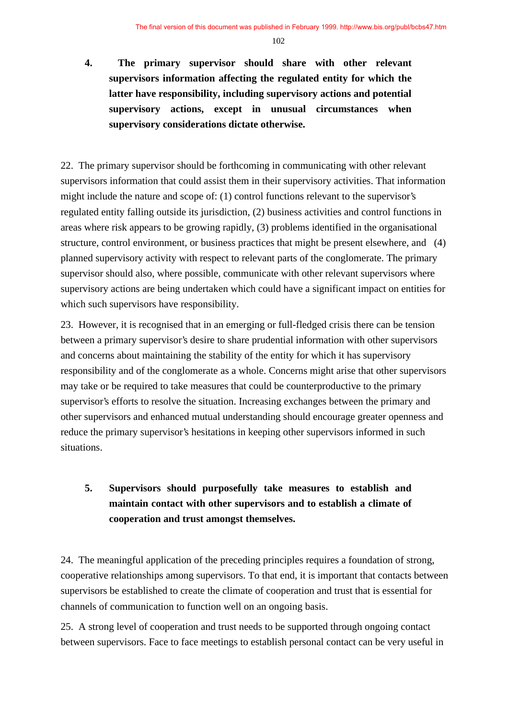# **4. The primary supervisor should share with other relevant supervisors information affecting the regulated entity for which the latter have responsibility, including supervisory actions and potential supervisory actions, except in unusual circumstances when supervisory considerations dictate otherwise.**

22. The primary supervisor should be forthcoming in communicating with other relevant supervisors information that could assist them in their supervisory activities. That information might include the nature and scope of: (1) control functions relevant to the supervisor's regulated entity falling outside its jurisdiction, (2) business activities and control functions in areas where risk appears to be growing rapidly, (3) problems identified in the organisational structure, control environment, or business practices that might be present elsewhere, and (4) planned supervisory activity with respect to relevant parts of the conglomerate. The primary supervisor should also, where possible, communicate with other relevant supervisors where supervisory actions are being undertaken which could have a significant impact on entities for which such supervisors have responsibility.

23. However, it is recognised that in an emerging or full-fledged crisis there can be tension between a primary supervisor's desire to share prudential information with other supervisors and concerns about maintaining the stability of the entity for which it has supervisory responsibility and of the conglomerate as a whole. Concerns might arise that other supervisors may take or be required to take measures that could be counterproductive to the primary supervisor's efforts to resolve the situation. Increasing exchanges between the primary and other supervisors and enhanced mutual understanding should encourage greater openness and reduce the primary supervisor's hesitations in keeping other supervisors informed in such situations.

# **5. Supervisors should purposefully take measures to establish and maintain contact with other supervisors and to establish a climate of cooperation and trust amongst themselves.**

24. The meaningful application of the preceding principles requires a foundation of strong, cooperative relationships among supervisors. To that end, it is important that contacts between supervisors be established to create the climate of cooperation and trust that is essential for channels of communication to function well on an ongoing basis.

25. A strong level of cooperation and trust needs to be supported through ongoing contact between supervisors. Face to face meetings to establish personal contact can be very useful in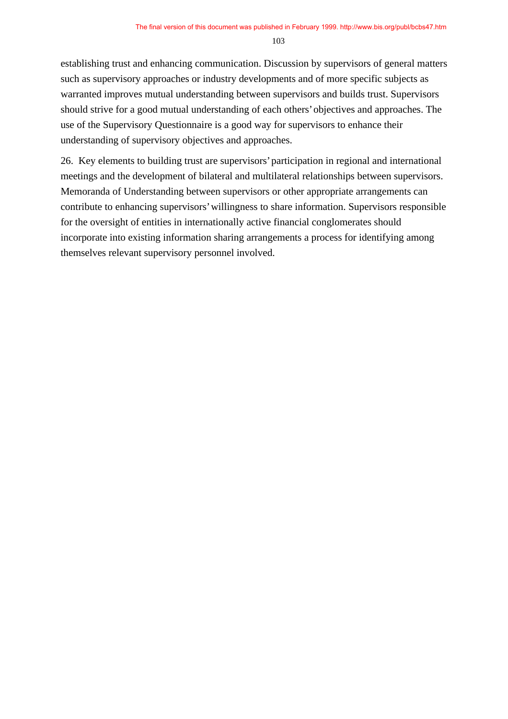establishing trust and enhancing communication. Discussion by supervisors of general matters such as supervisory approaches or industry developments and of more specific subjects as warranted improves mutual understanding between supervisors and builds trust. Supervisors should strive for a good mutual understanding of each others' objectives and approaches. The use of the Supervisory Questionnaire is a good way for supervisors to enhance their understanding of supervisory objectives and approaches.

26. Key elements to building trust are supervisors' participation in regional and international meetings and the development of bilateral and multilateral relationships between supervisors. Memoranda of Understanding between supervisors or other appropriate arrangements can contribute to enhancing supervisors' willingness to share information. Supervisors responsible for the oversight of entities in internationally active financial conglomerates should incorporate into existing information sharing arrangements a process for identifying among themselves relevant supervisory personnel involved.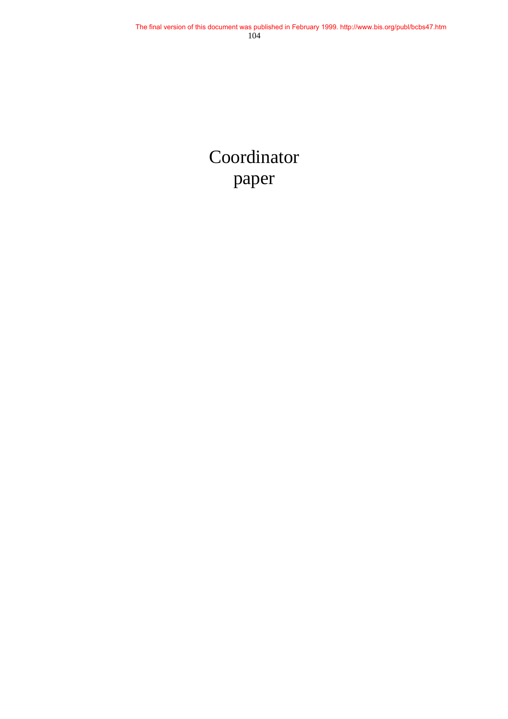# Coordinator paper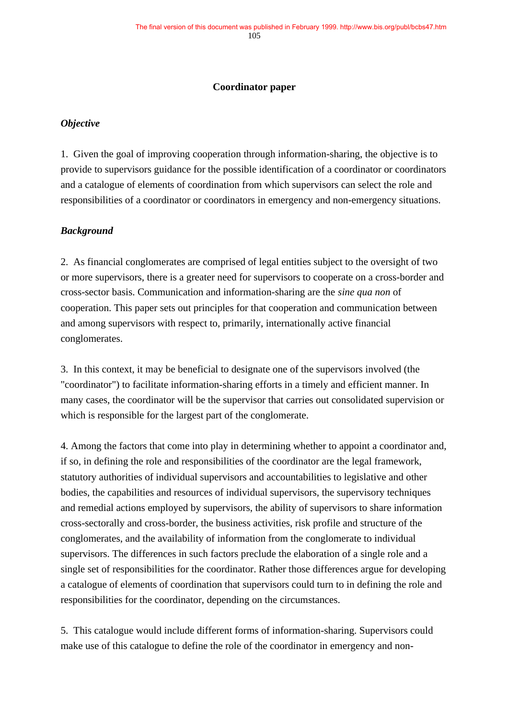#### **Coordinator paper**

#### *Objective*

1. Given the goal of improving cooperation through information-sharing, the objective is to provide to supervisors guidance for the possible identification of a coordinator or coordinators and a catalogue of elements of coordination from which supervisors can select the role and responsibilities of a coordinator or coordinators in emergency and non-emergency situations.

#### *Background*

2. As financial conglomerates are comprised of legal entities subject to the oversight of two or more supervisors, there is a greater need for supervisors to cooperate on a cross-border and cross-sector basis. Communication and information-sharing are the *sine qua non* of cooperation. This paper sets out principles for that cooperation and communication between and among supervisors with respect to, primarily, internationally active financial conglomerates.

3. In this context, it may be beneficial to designate one of the supervisors involved (the "coordinator") to facilitate information-sharing efforts in a timely and efficient manner. In many cases, the coordinator will be the supervisor that carries out consolidated supervision or which is responsible for the largest part of the conglomerate.

4. Among the factors that come into play in determining whether to appoint a coordinator and, if so, in defining the role and responsibilities of the coordinator are the legal framework, statutory authorities of individual supervisors and accountabilities to legislative and other bodies, the capabilities and resources of individual supervisors, the supervisory techniques and remedial actions employed by supervisors, the ability of supervisors to share information cross-sectorally and cross-border, the business activities, risk profile and structure of the conglomerates, and the availability of information from the conglomerate to individual supervisors. The differences in such factors preclude the elaboration of a single role and a single set of responsibilities for the coordinator. Rather those differences argue for developing a catalogue of elements of coordination that supervisors could turn to in defining the role and responsibilities for the coordinator, depending on the circumstances.

5. This catalogue would include different forms of information-sharing. Supervisors could make use of this catalogue to define the role of the coordinator in emergency and non-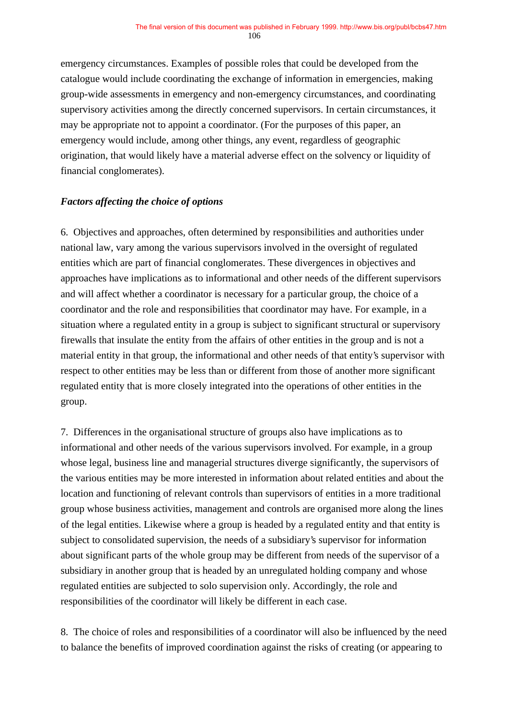emergency circumstances. Examples of possible roles that could be developed from the catalogue would include coordinating the exchange of information in emergencies, making group-wide assessments in emergency and non-emergency circumstances, and coordinating supervisory activities among the directly concerned supervisors. In certain circumstances, it may be appropriate not to appoint a coordinator. (For the purposes of this paper, an emergency would include, among other things, any event, regardless of geographic origination, that would likely have a material adverse effect on the solvency or liquidity of financial conglomerates).

#### *Factors affecting the choice of options*

6. Objectives and approaches, often determined by responsibilities and authorities under national law, vary among the various supervisors involved in the oversight of regulated entities which are part of financial conglomerates. These divergences in objectives and approaches have implications as to informational and other needs of the different supervisors and will affect whether a coordinator is necessary for a particular group, the choice of a coordinator and the role and responsibilities that coordinator may have. For example, in a situation where a regulated entity in a group is subject to significant structural or supervisory firewalls that insulate the entity from the affairs of other entities in the group and is not a material entity in that group, the informational and other needs of that entity's supervisor with respect to other entities may be less than or different from those of another more significant regulated entity that is more closely integrated into the operations of other entities in the group.

7. Differences in the organisational structure of groups also have implications as to informational and other needs of the various supervisors involved. For example, in a group whose legal, business line and managerial structures diverge significantly, the supervisors of the various entities may be more interested in information about related entities and about the location and functioning of relevant controls than supervisors of entities in a more traditional group whose business activities, management and controls are organised more along the lines of the legal entities. Likewise where a group is headed by a regulated entity and that entity is subject to consolidated supervision, the needs of a subsidiary's supervisor for information about significant parts of the whole group may be different from needs of the supervisor of a subsidiary in another group that is headed by an unregulated holding company and whose regulated entities are subjected to solo supervision only. Accordingly, the role and responsibilities of the coordinator will likely be different in each case.

8. The choice of roles and responsibilities of a coordinator will also be influenced by the need to balance the benefits of improved coordination against the risks of creating (or appearing to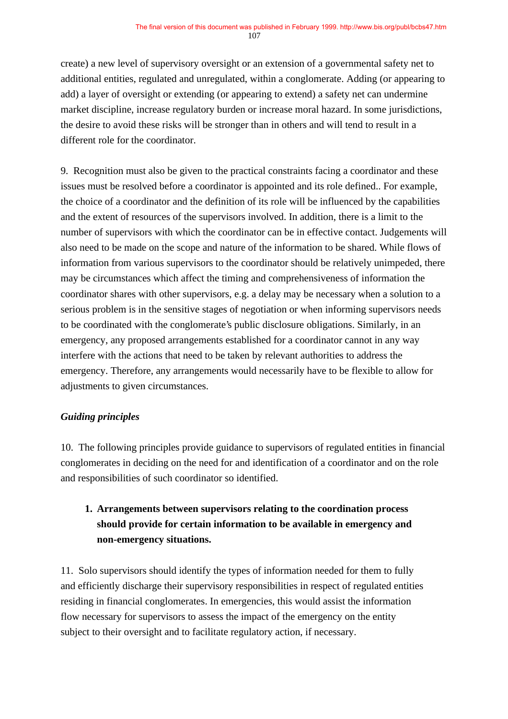create) a new level of supervisory oversight or an extension of a governmental safety net to additional entities, regulated and unregulated, within a conglomerate. Adding (or appearing to add) a layer of oversight or extending (or appearing to extend) a safety net can undermine market discipline, increase regulatory burden or increase moral hazard. In some jurisdictions, the desire to avoid these risks will be stronger than in others and will tend to result in a different role for the coordinator.

9. Recognition must also be given to the practical constraints facing a coordinator and these issues must be resolved before a coordinator is appointed and its role defined.. For example, the choice of a coordinator and the definition of its role will be influenced by the capabilities and the extent of resources of the supervisors involved. In addition, there is a limit to the number of supervisors with which the coordinator can be in effective contact. Judgements will also need to be made on the scope and nature of the information to be shared. While flows of information from various supervisors to the coordinator should be relatively unimpeded, there may be circumstances which affect the timing and comprehensiveness of information the coordinator shares with other supervisors, e.g. a delay may be necessary when a solution to a serious problem is in the sensitive stages of negotiation or when informing supervisors needs to be coordinated with the conglomerate's public disclosure obligations. Similarly, in an emergency, any proposed arrangements established for a coordinator cannot in any way interfere with the actions that need to be taken by relevant authorities to address the emergency. Therefore, any arrangements would necessarily have to be flexible to allow for adjustments to given circumstances.

### *Guiding principles*

10. The following principles provide guidance to supervisors of regulated entities in financial conglomerates in deciding on the need for and identification of a coordinator and on the role and responsibilities of such coordinator so identified.

# **1. Arrangements between supervisors relating to the coordination process should provide for certain information to be available in emergency and non-emergency situations.**

11. Solo supervisors should identify the types of information needed for them to fully and efficiently discharge their supervisory responsibilities in respect of regulated entities residing in financial conglomerates. In emergencies, this would assist the information flow necessary for supervisors to assess the impact of the emergency on the entity subject to their oversight and to facilitate regulatory action, if necessary.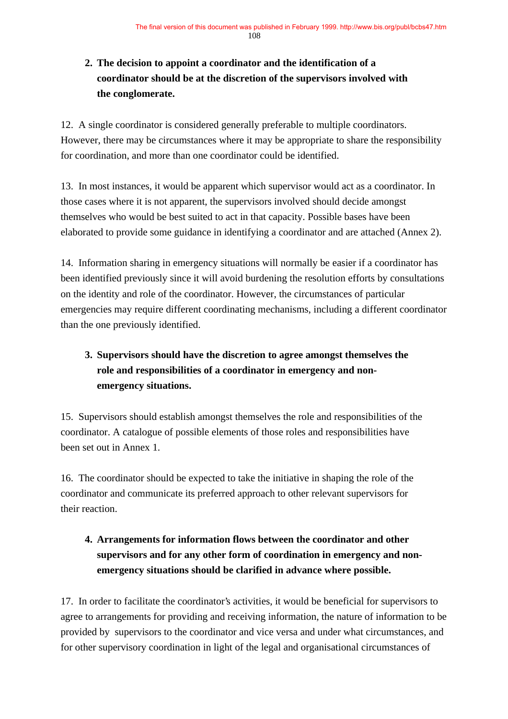# **2. The decision to appoint a coordinator and the identification of a coordinator should be at the discretion of the supervisors involved with the conglomerate.**

12. A single coordinator is considered generally preferable to multiple coordinators. However, there may be circumstances where it may be appropriate to share the responsibility for coordination, and more than one coordinator could be identified.

13. In most instances, it would be apparent which supervisor would act as a coordinator. In those cases where it is not apparent, the supervisors involved should decide amongst themselves who would be best suited to act in that capacity. Possible bases have been elaborated to provide some guidance in identifying a coordinator and are attached (Annex 2).

14. Information sharing in emergency situations will normally be easier if a coordinator has been identified previously since it will avoid burdening the resolution efforts by consultations on the identity and role of the coordinator. However, the circumstances of particular emergencies may require different coordinating mechanisms, including a different coordinator than the one previously identified.

# **3. Supervisors should have the discretion to agree amongst themselves the role and responsibilities of a coordinator in emergency and nonemergency situations.**

15. Supervisors should establish amongst themselves the role and responsibilities of the coordinator. A catalogue of possible elements of those roles and responsibilities have been set out in Annex 1.

16. The coordinator should be expected to take the initiative in shaping the role of the coordinator and communicate its preferred approach to other relevant supervisors for their reaction.

# **4. Arrangements for information flows between the coordinator and other supervisors and for any other form of coordination in emergency and nonemergency situations should be clarified in advance where possible.**

17. In order to facilitate the coordinator's activities, it would be beneficial for supervisors to agree to arrangements for providing and receiving information, the nature of information to be provided by supervisors to the coordinator and vice versa and under what circumstances, and for other supervisory coordination in light of the legal and organisational circumstances of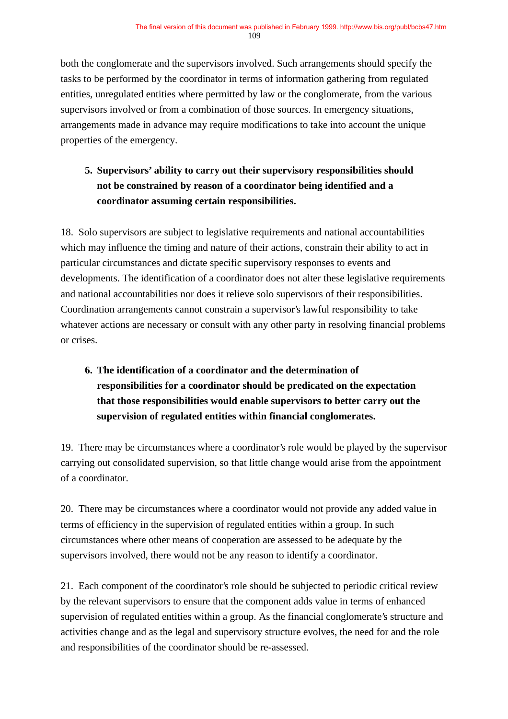both the conglomerate and the supervisors involved. Such arrangements should specify the tasks to be performed by the coordinator in terms of information gathering from regulated entities, unregulated entities where permitted by law or the conglomerate, from the various supervisors involved or from a combination of those sources. In emergency situations, arrangements made in advance may require modifications to take into account the unique properties of the emergency.

# **5. Supervisors' ability to carry out their supervisory responsibilities should not be constrained by reason of a coordinator being identified and a coordinator assuming certain responsibilities.**

18. Solo supervisors are subject to legislative requirements and national accountabilities which may influence the timing and nature of their actions, constrain their ability to act in particular circumstances and dictate specific supervisory responses to events and developments. The identification of a coordinator does not alter these legislative requirements and national accountabilities nor does it relieve solo supervisors of their responsibilities. Coordination arrangements cannot constrain a supervisor's lawful responsibility to take whatever actions are necessary or consult with any other party in resolving financial problems or crises.

# **6. The identification of a coordinator and the determination of responsibilities for a coordinator should be predicated on the expectation that those responsibilities would enable supervisors to better carry out the supervision of regulated entities within financial conglomerates.**

19. There may be circumstances where a coordinator's role would be played by the supervisor carrying out consolidated supervision, so that little change would arise from the appointment of a coordinator.

20. There may be circumstances where a coordinator would not provide any added value in terms of efficiency in the supervision of regulated entities within a group. In such circumstances where other means of cooperation are assessed to be adequate by the supervisors involved, there would not be any reason to identify a coordinator.

21. Each component of the coordinator's role should be subjected to periodic critical review by the relevant supervisors to ensure that the component adds value in terms of enhanced supervision of regulated entities within a group. As the financial conglomerate's structure and activities change and as the legal and supervisory structure evolves, the need for and the role and responsibilities of the coordinator should be re-assessed.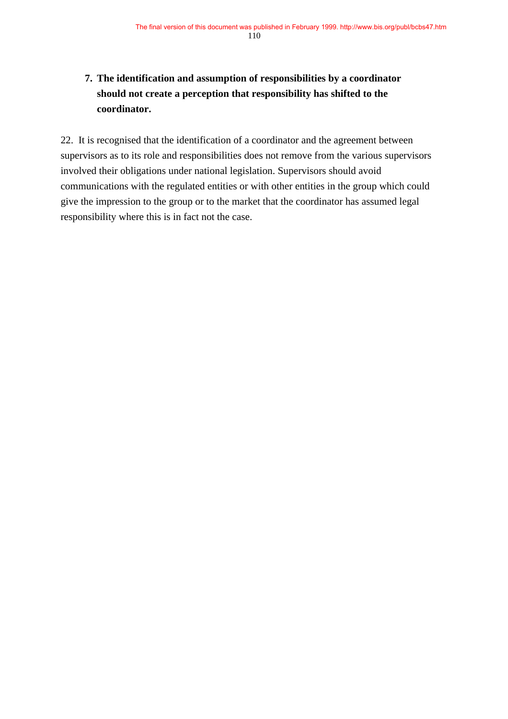# **7. The identification and assumption of responsibilities by a coordinator should not create a perception that responsibility has shifted to the coordinator.**

22. It is recognised that the identification of a coordinator and the agreement between supervisors as to its role and responsibilities does not remove from the various supervisors involved their obligations under national legislation. Supervisors should avoid communications with the regulated entities or with other entities in the group which could give the impression to the group or to the market that the coordinator has assumed legal responsibility where this is in fact not the case.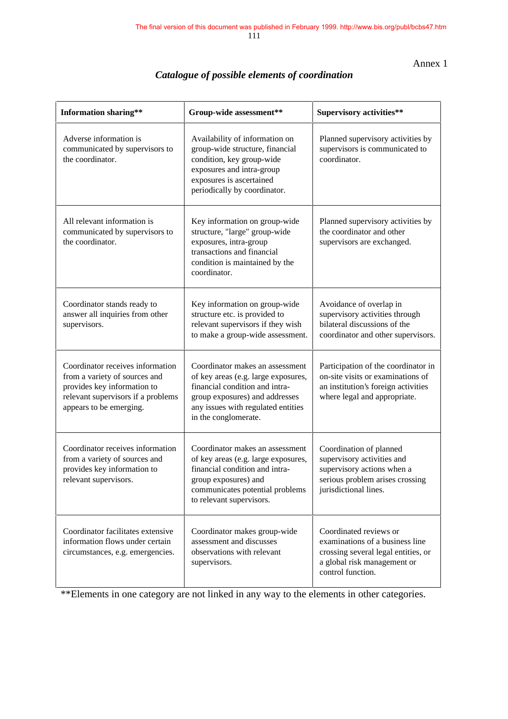Annex 1

| <b>Information sharing**</b>                                                                                                                                      | Group-wide assessment**                                                                                                                                                                                  | <b>Supervisory activities**</b>                                                                                                                      |  |
|-------------------------------------------------------------------------------------------------------------------------------------------------------------------|----------------------------------------------------------------------------------------------------------------------------------------------------------------------------------------------------------|------------------------------------------------------------------------------------------------------------------------------------------------------|--|
| Adverse information is<br>communicated by supervisors to<br>the coordinator.                                                                                      | Availability of information on<br>group-wide structure, financial<br>condition, key group-wide<br>exposures and intra-group<br>exposures is ascertained<br>periodically by coordinator.                  | Planned supervisory activities by<br>supervisors is communicated to<br>coordinator.                                                                  |  |
| All relevant information is<br>communicated by supervisors to<br>the coordinator.                                                                                 | Key information on group-wide<br>structure, "large" group-wide<br>exposures, intra-group<br>transactions and financial<br>condition is maintained by the<br>coordinator.                                 | Planned supervisory activities by<br>the coordinator and other<br>supervisors are exchanged.                                                         |  |
| Coordinator stands ready to<br>answer all inquiries from other<br>supervisors.                                                                                    | Key information on group-wide<br>structure etc. is provided to<br>relevant supervisors if they wish<br>to make a group-wide assessment.                                                                  | Avoidance of overlap in<br>supervisory activities through<br>bilateral discussions of the<br>coordinator and other supervisors.                      |  |
| Coordinator receives information<br>from a variety of sources and<br>provides key information to<br>relevant supervisors if a problems<br>appears to be emerging. | Coordinator makes an assessment<br>of key areas (e.g. large exposures,<br>financial condition and intra-<br>group exposures) and addresses<br>any issues with regulated entities<br>in the conglomerate. | Participation of the coordinator in<br>on-site visits or examinations of<br>an institution's foreign activities<br>where legal and appropriate.      |  |
| Coordinator receives information<br>from a variety of sources and<br>provides key information to<br>relevant supervisors.                                         | Coordinator makes an assessment<br>of key areas (e.g. large exposures,<br>financial condition and intra-<br>group exposures) and<br>communicates potential problems<br>to relevant supervisors.          | Coordination of planned<br>supervisory activities and<br>supervisory actions when a<br>serious problem arises crossing<br>jurisdictional lines.      |  |
| Coordinator facilitates extensive<br>information flows under certain<br>circumstances, e.g. emergencies.                                                          | Coordinator makes group-wide<br>assessment and discusses<br>observations with relevant<br>supervisors.                                                                                                   | Coordinated reviews or<br>examinations of a business line<br>crossing several legal entities, or<br>a global risk management or<br>control function. |  |

# *Catalogue of possible elements of coordination*

\*\*Elements in one category are not linked in any way to the elements in other categories.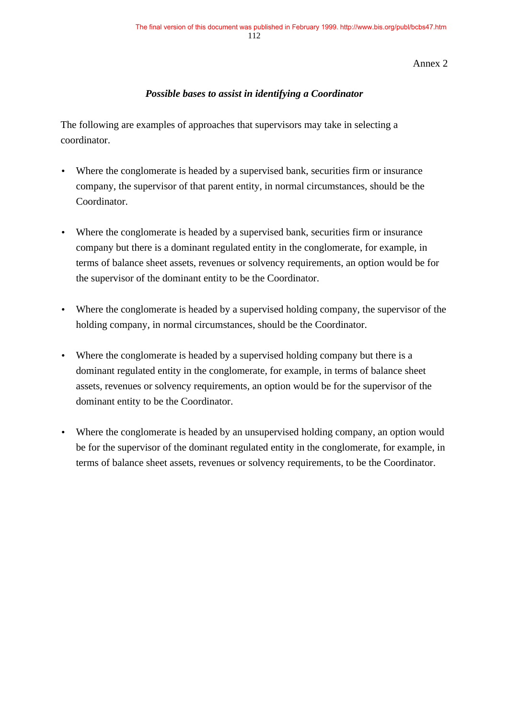Annex 2

### *Possible bases to assist in identifying a Coordinator*

The following are examples of approaches that supervisors may take in selecting a coordinator.

- Where the conglomerate is headed by a supervised bank, securities firm or insurance company, the supervisor of that parent entity, in normal circumstances, should be the Coordinator.
- Where the conglomerate is headed by a supervised bank, securities firm or insurance company but there is a dominant regulated entity in the conglomerate, for example, in terms of balance sheet assets, revenues or solvency requirements, an option would be for the supervisor of the dominant entity to be the Coordinator.
- Where the conglomerate is headed by a supervised holding company, the supervisor of the holding company, in normal circumstances, should be the Coordinator.
- Where the conglomerate is headed by a supervised holding company but there is a dominant regulated entity in the conglomerate, for example, in terms of balance sheet assets, revenues or solvency requirements, an option would be for the supervisor of the dominant entity to be the Coordinator.
- Where the conglomerate is headed by an unsupervised holding company, an option would be for the supervisor of the dominant regulated entity in the conglomerate, for example, in terms of balance sheet assets, revenues or solvency requirements, to be the Coordinator.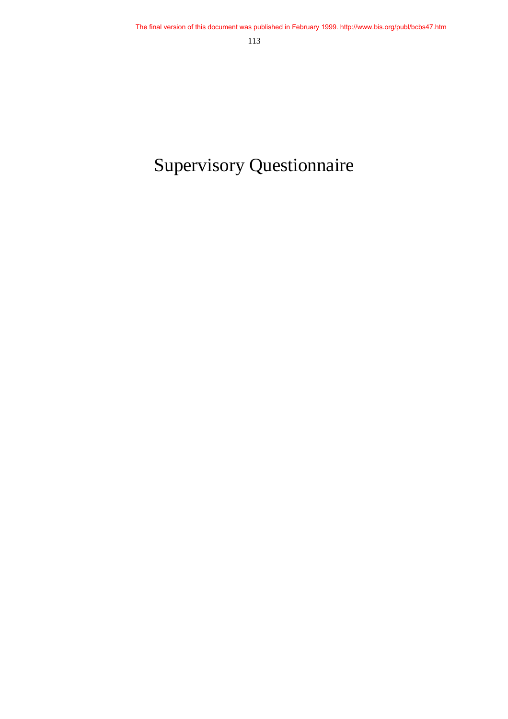# Supervisory Questionnaire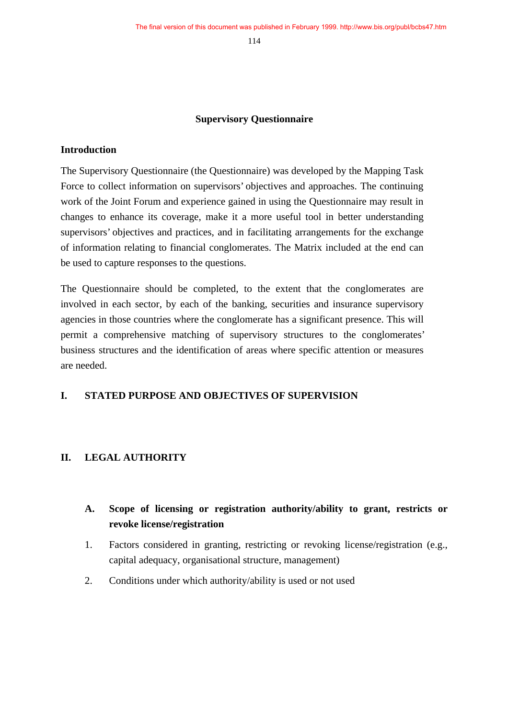#### **Supervisory Questionnaire**

#### **Introduction**

The Supervisory Questionnaire (the Questionnaire) was developed by the Mapping Task Force to collect information on supervisors' objectives and approaches. The continuing work of the Joint Forum and experience gained in using the Questionnaire may result in changes to enhance its coverage, make it a more useful tool in better understanding supervisors' objectives and practices, and in facilitating arrangements for the exchange of information relating to financial conglomerates. The Matrix included at the end can be used to capture responses to the questions.

The Questionnaire should be completed, to the extent that the conglomerates are involved in each sector, by each of the banking, securities and insurance supervisory agencies in those countries where the conglomerate has a significant presence. This will permit a comprehensive matching of supervisory structures to the conglomerates' business structures and the identification of areas where specific attention or measures are needed.

#### **I. STATED PURPOSE AND OBJECTIVES OF SUPERVISION**

#### **II. LEGAL AUTHORITY**

- **A. Scope of licensing or registration authority/ability to grant, restricts or revoke license/registration**
- 1. Factors considered in granting, restricting or revoking license/registration (e.g., capital adequacy, organisational structure, management)
- 2. Conditions under which authority/ability is used or not used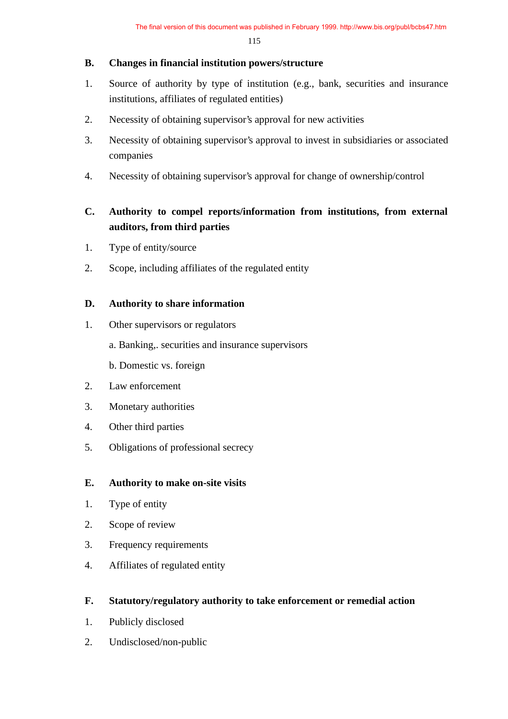### **B. Changes in financial institution powers/structure**

- 1. Source of authority by type of institution (e.g., bank, securities and insurance institutions, affiliates of regulated entities)
- 2. Necessity of obtaining supervisor's approval for new activities
- 3. Necessity of obtaining supervisor's approval to invest in subsidiaries or associated companies
- 4. Necessity of obtaining supervisor's approval for change of ownership/control

# **C. Authority to compel reports/information from institutions, from external auditors, from third parties**

- 1. Type of entity/source
- 2. Scope, including affiliates of the regulated entity

### **D. Authority to share information**

- 1. Other supervisors or regulators
	- a. Banking,. securities and insurance supervisors
	- b. Domestic vs. foreign
- 2. Law enforcement
- 3. Monetary authorities
- 4. Other third parties
- 5. Obligations of professional secrecy

# **E. Authority to make on-site visits**

- 1. Type of entity
- 2. Scope of review
- 3. Frequency requirements
- 4. Affiliates of regulated entity

# **F. Statutory/regulatory authority to take enforcement or remedial action**

- 1. Publicly disclosed
- 2. Undisclosed/non-public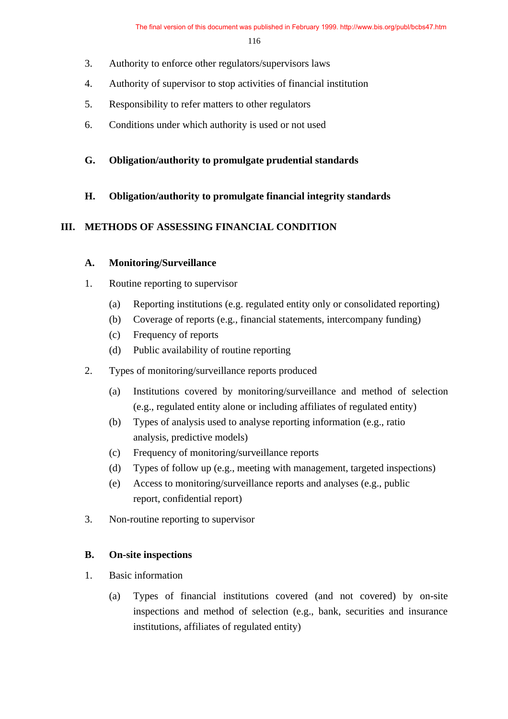- 3. Authority to enforce other regulators/supervisors laws
- 4. Authority of supervisor to stop activities of financial institution
- 5. Responsibility to refer matters to other regulators
- 6. Conditions under which authority is used or not used
- **G. Obligation/authority to promulgate prudential standards**
- **H. Obligation/authority to promulgate financial integrity standards**

### **III. METHODS OF ASSESSING FINANCIAL CONDITION**

### **A. Monitoring/Surveillance**

- 1. Routine reporting to supervisor
	- (a) Reporting institutions (e.g. regulated entity only or consolidated reporting)
	- (b) Coverage of reports (e.g., financial statements, intercompany funding)
	- (c) Frequency of reports
	- (d) Public availability of routine reporting
- 2. Types of monitoring/surveillance reports produced
	- (a) Institutions covered by monitoring/surveillance and method of selection (e.g., regulated entity alone or including affiliates of regulated entity)
	- (b) Types of analysis used to analyse reporting information (e.g., ratio analysis, predictive models)
	- (c) Frequency of monitoring/surveillance reports
	- (d) Types of follow up (e.g., meeting with management, targeted inspections)
	- (e) Access to monitoring/surveillance reports and analyses (e.g., public report, confidential report)
- 3. Non-routine reporting to supervisor

# **B. On-site inspections**

- 1. Basic information
	- (a) Types of financial institutions covered (and not covered) by on-site inspections and method of selection (e.g., bank, securities and insurance institutions, affiliates of regulated entity)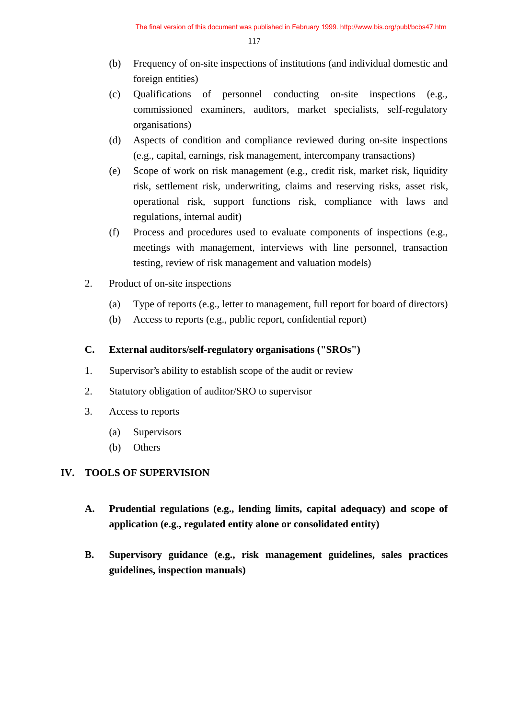- (b) Frequency of on-site inspections of institutions (and individual domestic and foreign entities)
- (c) Qualifications of personnel conducting on-site inspections (e.g., commissioned examiners, auditors, market specialists, self-regulatory organisations)
- (d) Aspects of condition and compliance reviewed during on-site inspections (e.g., capital, earnings, risk management, intercompany transactions)
- (e) Scope of work on risk management (e.g., credit risk, market risk, liquidity risk, settlement risk, underwriting, claims and reserving risks, asset risk, operational risk, support functions risk, compliance with laws and regulations, internal audit)
- (f) Process and procedures used to evaluate components of inspections (e.g., meetings with management, interviews with line personnel, transaction testing, review of risk management and valuation models)
- 2. Product of on-site inspections
	- (a) Type of reports (e.g., letter to management, full report for board of directors)
	- (b) Access to reports (e.g., public report, confidential report)

### **C. External auditors/self-regulatory organisations ("SROs")**

- 1. Supervisor's ability to establish scope of the audit or review
- 2. Statutory obligation of auditor/SRO to supervisor
- 3. Access to reports
	- (a) Supervisors
	- (b) Others

### **IV. TOOLS OF SUPERVISION**

- **A. Prudential regulations (e.g., lending limits, capital adequacy) and scope of application (e.g., regulated entity alone or consolidated entity)**
- **B. Supervisory guidance (e.g., risk management guidelines, sales practices guidelines, inspection manuals)**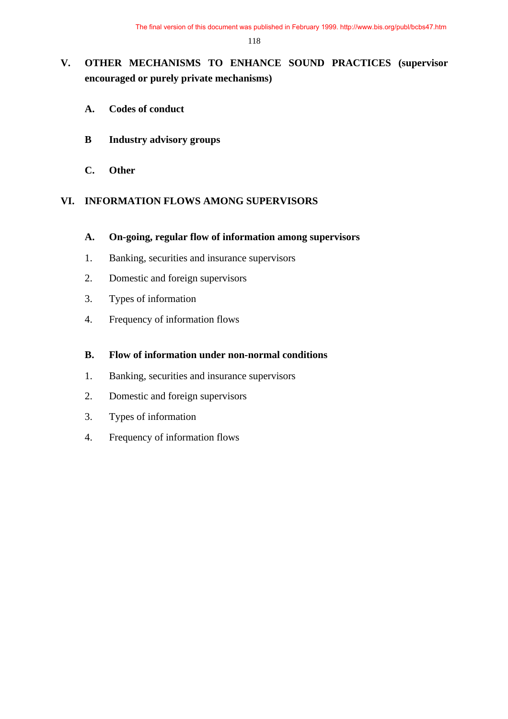# **V. OTHER MECHANISMS TO ENHANCE SOUND PRACTICES (supervisor encouraged or purely private mechanisms)**

- **A. Codes of conduct**
- **B Industry advisory groups**
- **C. Other**

#### **VI. INFORMATION FLOWS AMONG SUPERVISORS**

- **A. On-going, regular flow of information among supervisors**
- 1. Banking, securities and insurance supervisors
- 2. Domestic and foreign supervisors
- 3. Types of information
- 4. Frequency of information flows

#### **B. Flow of information under non-normal conditions**

- 1. Banking, securities and insurance supervisors
- 2. Domestic and foreign supervisors
- 3. Types of information
- 4. Frequency of information flows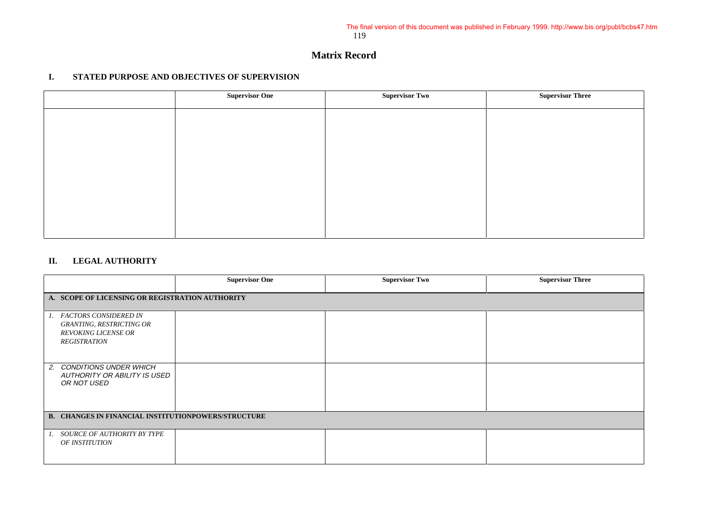#### **Matrix Record**

#### **I. STATED PURPOSE AND OBJECTIVES OF SUPERVISION**

| <b>Supervisor One</b> | <b>Supervisor Two</b> | <b>Supervisor Three</b> |
|-----------------------|-----------------------|-------------------------|
|                       |                       |                         |
|                       |                       |                         |
|                       |                       |                         |
|                       |                       |                         |
|                       |                       |                         |
|                       |                       |                         |
|                       |                       |                         |
|                       |                       |                         |

#### **II. LEGAL AUTHORITY**

|                                                            | <b>Supervisor One</b> | <b>Supervisor Two</b> | <b>Supervisor Three</b> |
|------------------------------------------------------------|-----------------------|-----------------------|-------------------------|
| A. SCOPE OF LICENSING OR REGISTRATION AUTHORITY            |                       |                       |                         |
|                                                            |                       |                       |                         |
| 1. FACTORS CONSIDERED IN                                   |                       |                       |                         |
| <b>GRANTING, RESTRICTING OR</b>                            |                       |                       |                         |
| <b>REVOKING LICENSE OR</b>                                 |                       |                       |                         |
| <b>REGISTRATION</b>                                        |                       |                       |                         |
|                                                            |                       |                       |                         |
|                                                            |                       |                       |                         |
| 2. CONDITIONS UNDER WHICH                                  |                       |                       |                         |
| AUTHORITY OR ABILITY IS USED                               |                       |                       |                         |
| OR NOT USED                                                |                       |                       |                         |
|                                                            |                       |                       |                         |
|                                                            |                       |                       |                         |
|                                                            |                       |                       |                         |
| <b>B. CHANGES IN FINANCIAL INSTITUTIONPOWERS/STRUCTURE</b> |                       |                       |                         |
|                                                            |                       |                       |                         |
| 1. SOURCE OF AUTHORITY BY TYPE                             |                       |                       |                         |
| OF INSTITUTION                                             |                       |                       |                         |
|                                                            |                       |                       |                         |
|                                                            |                       |                       |                         |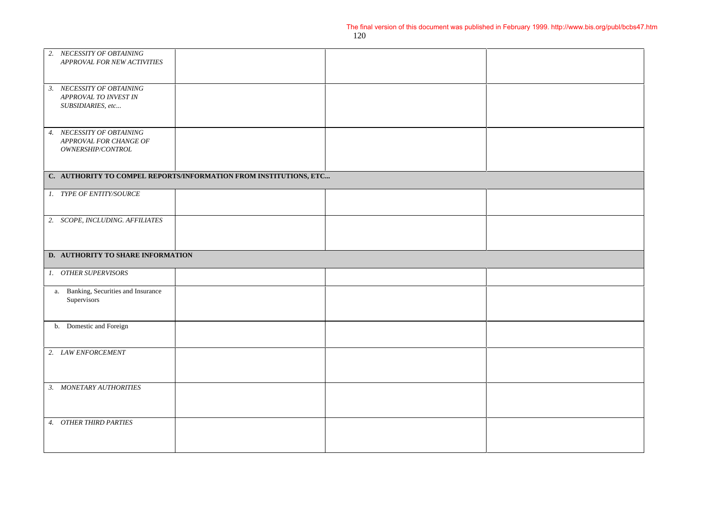| 2. NECESSITY OF OBTAINING<br>APPROVAL FOR NEW ACTIVITIES |                                                                   |  |
|----------------------------------------------------------|-------------------------------------------------------------------|--|
|                                                          |                                                                   |  |
| 3. NECESSITY OF OBTAINING                                |                                                                   |  |
| APPROVAL TO INVEST IN                                    |                                                                   |  |
| SUBSIDIARIES, etc                                        |                                                                   |  |
|                                                          |                                                                   |  |
| 4. NECESSITY OF OBTAINING<br>APPROVAL FOR CHANGE OF      |                                                                   |  |
| OWNERSHIP/CONTROL                                        |                                                                   |  |
|                                                          |                                                                   |  |
|                                                          | C. AUTHORITY TO COMPEL REPORTS/INFORMATION FROM INSTITUTIONS, ETC |  |
| 1. TYPE OF ENTITY/SOURCE                                 |                                                                   |  |
|                                                          |                                                                   |  |
| 2. SCOPE, INCLUDING. AFFILIATES                          |                                                                   |  |
|                                                          |                                                                   |  |
|                                                          |                                                                   |  |
|                                                          |                                                                   |  |
| D. AUTHORITY TO SHARE INFORMATION                        |                                                                   |  |
| 1. OTHER SUPERVISORS                                     |                                                                   |  |
| a. Banking, Securities and Insurance                     |                                                                   |  |
| Supervisors                                              |                                                                   |  |
|                                                          |                                                                   |  |
| b. Domestic and Foreign                                  |                                                                   |  |
| 2. LAW ENFORCEMENT                                       |                                                                   |  |
|                                                          |                                                                   |  |
|                                                          |                                                                   |  |
| 3. MONETARY AUTHORITIES                                  |                                                                   |  |
|                                                          |                                                                   |  |
| 4. OTHER THIRD PARTIES                                   |                                                                   |  |
|                                                          |                                                                   |  |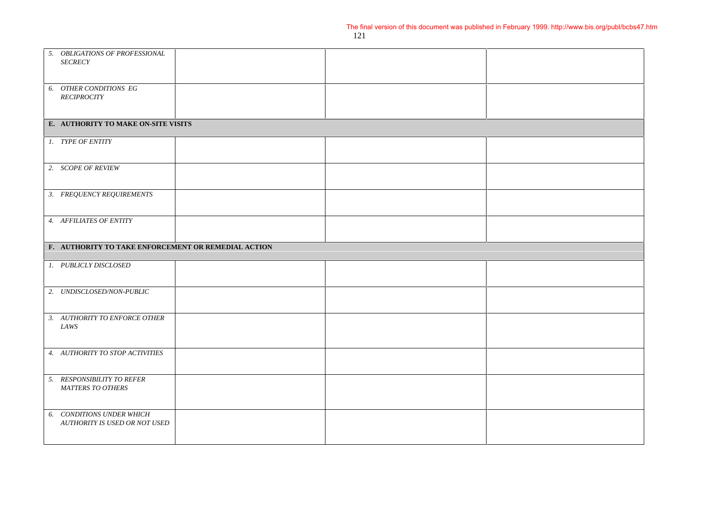| 5. OBLIGATIONS OF PROFESSIONAL<br><b>SECRECY</b>           |  |  |
|------------------------------------------------------------|--|--|
| 6. OTHER CONDITIONS EG<br><b>RECIPROCITY</b>               |  |  |
| E. AUTHORITY TO MAKE ON-SITE VISITS                        |  |  |
| 1. TYPE OF ENTITY                                          |  |  |
| 2. SCOPE OF REVIEW                                         |  |  |
| 3. FREQUENCY REQUIREMENTS                                  |  |  |
| 4. AFFILIATES OF ENTITY                                    |  |  |
| F. AUTHORITY TO TAKE ENFORCEMENT OR REMEDIAL ACTION        |  |  |
| 1. PUBLICLY DISCLOSED                                      |  |  |
| 2. UNDISCLOSED/NON-PUBLIC                                  |  |  |
| 3. AUTHORITY TO ENFORCE OTHER<br>LAWS                      |  |  |
| 4. AUTHORITY TO STOP ACTIVITIES                            |  |  |
| 5. RESPONSIBILITY TO REFER<br><b>MATTERS TO OTHERS</b>     |  |  |
| 6. CONDITIONS UNDER WHICH<br>AUTHORITY IS USED OR NOT USED |  |  |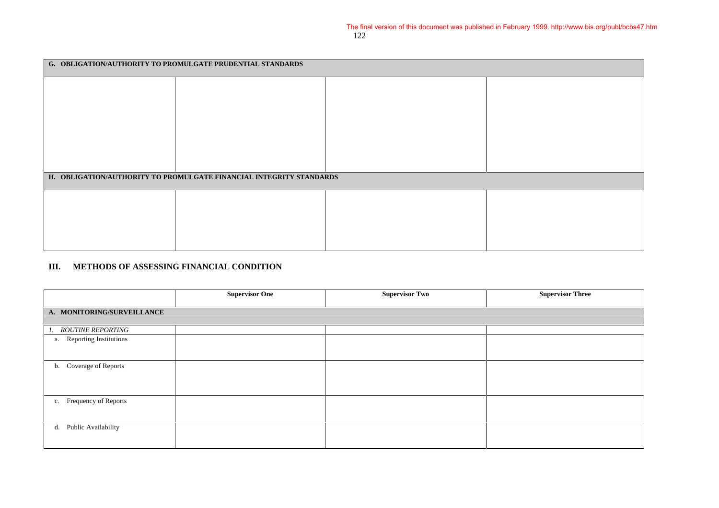| G. OBLIGATION/AUTHORITY TO PROMULGATE PRUDENTIAL STANDARDS |                                                                     |  |  |  |
|------------------------------------------------------------|---------------------------------------------------------------------|--|--|--|
|                                                            |                                                                     |  |  |  |
|                                                            |                                                                     |  |  |  |
|                                                            |                                                                     |  |  |  |
|                                                            |                                                                     |  |  |  |
|                                                            |                                                                     |  |  |  |
|                                                            | H. OBLIGATION/AUTHORITY TO PROMULGATE FINANCIAL INTEGRITY STANDARDS |  |  |  |
|                                                            |                                                                     |  |  |  |
|                                                            |                                                                     |  |  |  |
|                                                            |                                                                     |  |  |  |
|                                                            |                                                                     |  |  |  |
|                                                            |                                                                     |  |  |  |

#### **III. METHODS OF ASSESSING FINANCIAL CONDITION**

|                            | <b>Supervisor One</b> | <b>Supervisor Two</b> | <b>Supervisor Three</b> |  |  |  |  |
|----------------------------|-----------------------|-----------------------|-------------------------|--|--|--|--|
| A. MONITORING/SURVEILLANCE |                       |                       |                         |  |  |  |  |
| 1. ROUTINE REPORTING       |                       |                       |                         |  |  |  |  |
| a. Reporting Institutions  |                       |                       |                         |  |  |  |  |
| b. Coverage of Reports     |                       |                       |                         |  |  |  |  |
| c. Frequency of Reports    |                       |                       |                         |  |  |  |  |
| Public Availability<br>d.  |                       |                       |                         |  |  |  |  |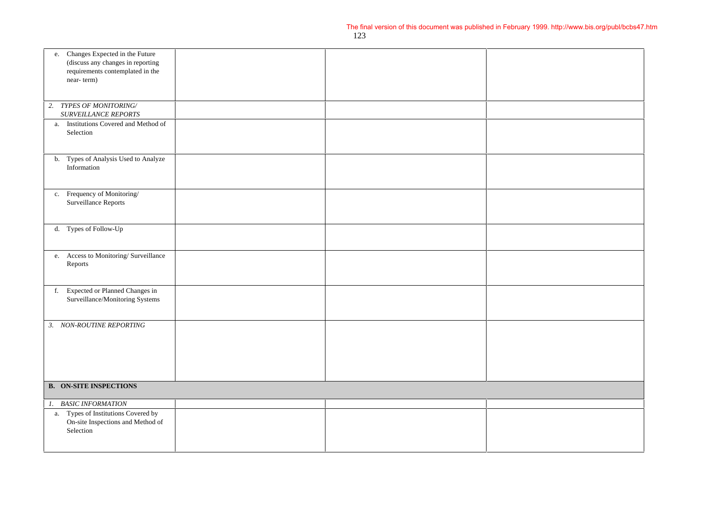| e. Changes Expected in the Future                                    |  |  |
|----------------------------------------------------------------------|--|--|
| (discuss any changes in reporting                                    |  |  |
| requirements contemplated in the                                     |  |  |
| near-term)                                                           |  |  |
|                                                                      |  |  |
| TYPES OF MONITORING/<br>2.                                           |  |  |
| SURVEILLANCE REPORTS                                                 |  |  |
| a. Institutions Covered and Method of                                |  |  |
| Selection                                                            |  |  |
|                                                                      |  |  |
|                                                                      |  |  |
| b. Types of Analysis Used to Analyze                                 |  |  |
| Information                                                          |  |  |
|                                                                      |  |  |
| c. Frequency of Monitoring/                                          |  |  |
| Surveillance Reports                                                 |  |  |
|                                                                      |  |  |
|                                                                      |  |  |
| d. Types of Follow-Up                                                |  |  |
|                                                                      |  |  |
|                                                                      |  |  |
| e. Access to Monitoring/ Surveillance                                |  |  |
| Reports                                                              |  |  |
|                                                                      |  |  |
|                                                                      |  |  |
| f. Expected or Planned Changes in<br>Surveillance/Monitoring Systems |  |  |
|                                                                      |  |  |
|                                                                      |  |  |
| 3. NON-ROUTINE REPORTING                                             |  |  |
|                                                                      |  |  |
|                                                                      |  |  |
|                                                                      |  |  |
|                                                                      |  |  |
|                                                                      |  |  |
|                                                                      |  |  |
| <b>B. ON-SITE INSPECTIONS</b>                                        |  |  |
| 1. BASIC INFORMATION                                                 |  |  |
| a. Types of Institutions Covered by                                  |  |  |
| On-site Inspections and Method of                                    |  |  |
| Selection                                                            |  |  |
|                                                                      |  |  |
|                                                                      |  |  |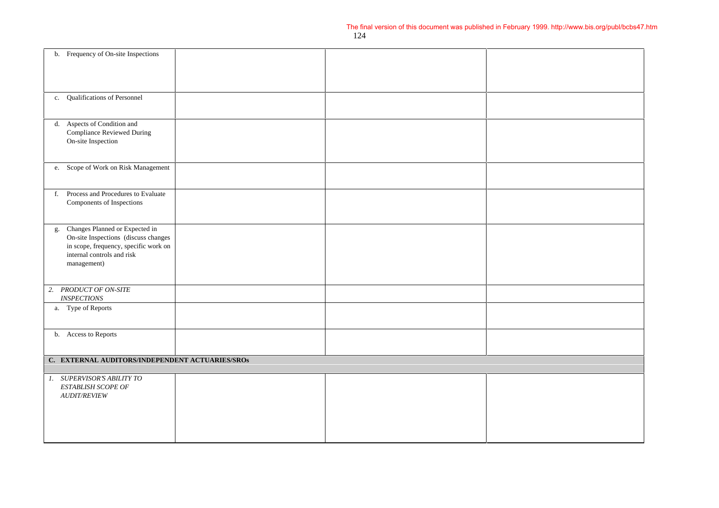|    | b. Frequency of On-site Inspections                                                                                                                          |  |  |
|----|--------------------------------------------------------------------------------------------------------------------------------------------------------------|--|--|
|    | c. Qualifications of Personnel                                                                                                                               |  |  |
|    | d. Aspects of Condition and<br>Compliance Reviewed During<br>On-site Inspection                                                                              |  |  |
|    | e. Scope of Work on Risk Management                                                                                                                          |  |  |
| f. | Process and Procedures to Evaluate<br>Components of Inspections                                                                                              |  |  |
| g. | Changes Planned or Expected in<br>On-site Inspections (discuss changes<br>in scope, frequency, specific work on<br>internal controls and risk<br>management) |  |  |
|    | 2. PRODUCT OF ON-SITE<br><b>INSPECTIONS</b>                                                                                                                  |  |  |
|    | a. Type of Reports                                                                                                                                           |  |  |
|    | b. Access to Reports                                                                                                                                         |  |  |
|    | C. EXTERNAL AUDITORS/INDEPENDENT ACTUARIES/SROS                                                                                                              |  |  |
|    | 1. SUPERVISOR'S ABILITY TO<br>ESTABLISH SCOPE OF<br><b>AUDIT/REVIEW</b>                                                                                      |  |  |
|    |                                                                                                                                                              |  |  |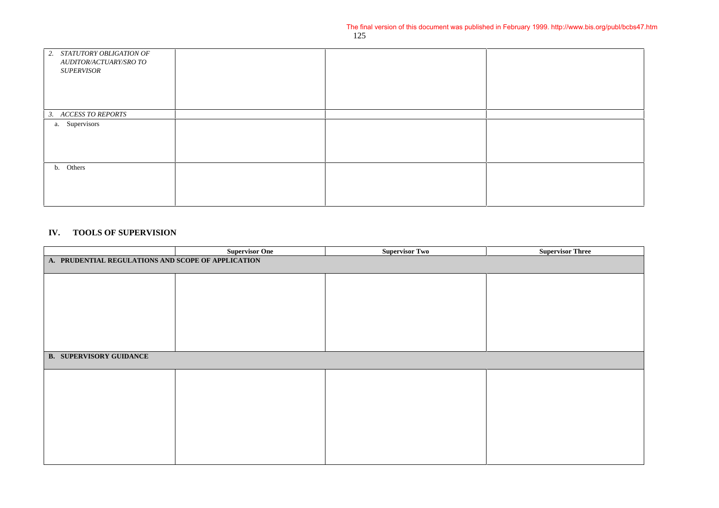| 2. STATUTORY OBLIGATION OF<br>AUDITOR/ACTUARY/SRO TO |  |  |
|------------------------------------------------------|--|--|
| <i><b>SUPERVISOR</b></i>                             |  |  |
|                                                      |  |  |
|                                                      |  |  |
|                                                      |  |  |
| 3. ACCESS TO REPORTS                                 |  |  |
| a. Supervisors                                       |  |  |
|                                                      |  |  |
|                                                      |  |  |
|                                                      |  |  |
| b. Others                                            |  |  |
|                                                      |  |  |
|                                                      |  |  |
|                                                      |  |  |

#### **IV. TOOLS OF SUPERVISION**

|                                                    | <b>Supervisor One</b> | <b>Supervisor Two</b> | <b>Supervisor Three</b> |  |  |
|----------------------------------------------------|-----------------------|-----------------------|-------------------------|--|--|
| A. PRUDENTIAL REGULATIONS AND SCOPE OF APPLICATION |                       |                       |                         |  |  |
|                                                    |                       |                       |                         |  |  |
|                                                    |                       |                       |                         |  |  |
|                                                    |                       |                       |                         |  |  |
|                                                    |                       |                       |                         |  |  |
|                                                    |                       |                       |                         |  |  |
|                                                    |                       |                       |                         |  |  |
|                                                    |                       |                       |                         |  |  |
|                                                    |                       |                       |                         |  |  |
|                                                    |                       |                       |                         |  |  |
| <b>B. SUPERVISORY GUIDANCE</b>                     |                       |                       |                         |  |  |
|                                                    |                       |                       |                         |  |  |
|                                                    |                       |                       |                         |  |  |
|                                                    |                       |                       |                         |  |  |
|                                                    |                       |                       |                         |  |  |
|                                                    |                       |                       |                         |  |  |
|                                                    |                       |                       |                         |  |  |
|                                                    |                       |                       |                         |  |  |
|                                                    |                       |                       |                         |  |  |
|                                                    |                       |                       |                         |  |  |
|                                                    |                       |                       |                         |  |  |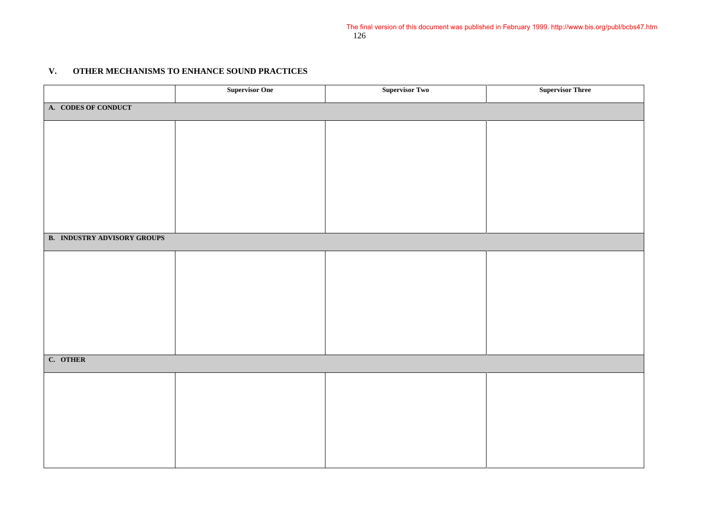#### **V. OTHER MECHANISMS TO ENHANCE SOUND PRACTICES**

|                                    | <b>Supervisor One</b> | <b>Supervisor Two</b> | <b>Supervisor Three</b> |  |  |  |
|------------------------------------|-----------------------|-----------------------|-------------------------|--|--|--|
| A. CODES OF CONDUCT                |                       |                       |                         |  |  |  |
|                                    |                       |                       |                         |  |  |  |
|                                    |                       |                       |                         |  |  |  |
|                                    |                       |                       |                         |  |  |  |
|                                    |                       |                       |                         |  |  |  |
|                                    |                       |                       |                         |  |  |  |
|                                    |                       |                       |                         |  |  |  |
|                                    |                       |                       |                         |  |  |  |
| <b>B. INDUSTRY ADVISORY GROUPS</b> |                       |                       |                         |  |  |  |
|                                    |                       |                       |                         |  |  |  |
|                                    |                       |                       |                         |  |  |  |
|                                    |                       |                       |                         |  |  |  |
|                                    |                       |                       |                         |  |  |  |
|                                    |                       |                       |                         |  |  |  |
|                                    |                       |                       |                         |  |  |  |
| C. OTHER                           |                       |                       |                         |  |  |  |
|                                    |                       |                       |                         |  |  |  |
|                                    |                       |                       |                         |  |  |  |
|                                    |                       |                       |                         |  |  |  |
|                                    |                       |                       |                         |  |  |  |
|                                    |                       |                       |                         |  |  |  |
|                                    |                       |                       |                         |  |  |  |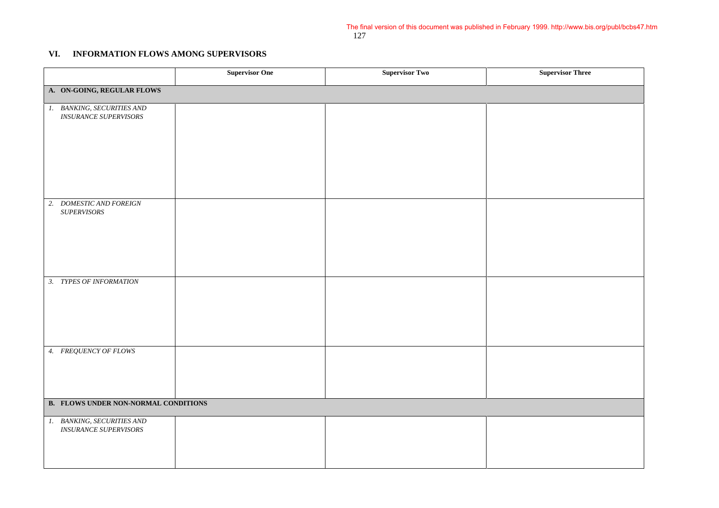#### **VI. INFORMATION FLOWS AMONG SUPERVISORS**

|                                                                                                                  | <b>Supervisor One</b> | <b>Supervisor Two</b> | <b>Supervisor Three</b> |  |
|------------------------------------------------------------------------------------------------------------------|-----------------------|-----------------------|-------------------------|--|
| A. ON-GOING, REGULAR FLOWS                                                                                       |                       |                       |                         |  |
| 1. BANKING, SECURITIES AND<br><b>INSURANCE SUPERVISORS</b>                                                       |                       |                       |                         |  |
| 2. DOMESTIC AND FOREIGN<br>$\label{eq:subF} \begin{minipage}{0.4\linewidth} \textit{SUPERVISORS} \end{minipage}$ |                       |                       |                         |  |
| 3. TYPES OF INFORMATION                                                                                          |                       |                       |                         |  |
| 4. FREQUENCY OF FLOWS                                                                                            |                       |                       |                         |  |
| <b>B. FLOWS UNDER NON-NORMAL CONDITIONS</b>                                                                      |                       |                       |                         |  |
| 1. BANKING, SECURITIES AND<br><b>INSURANCE SUPERVISORS</b>                                                       |                       |                       |                         |  |